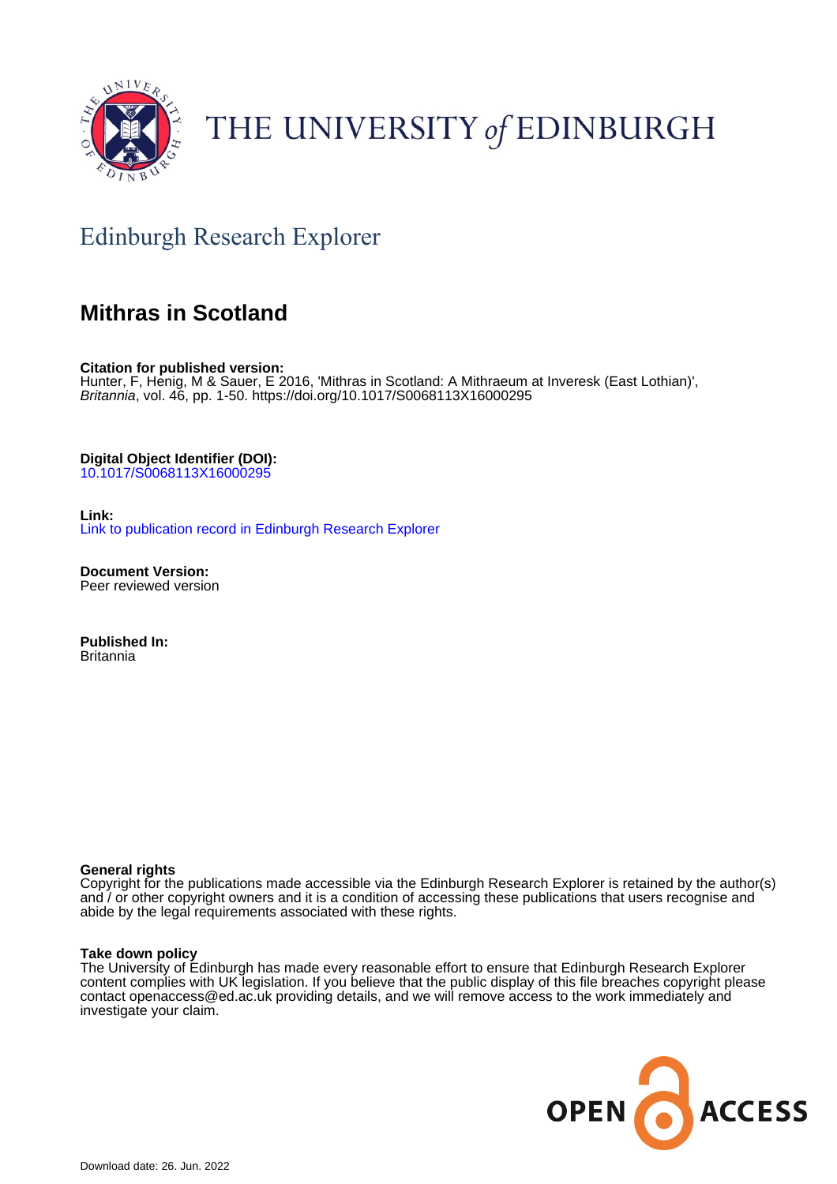

# THE UNIVERSITY of EDINBURGH

## Edinburgh Research Explorer

## **Mithras in Scotland**

**Citation for published version:** Hunter, F, Henig, M & Sauer, E 2016, 'Mithras in Scotland: A Mithraeum at Inveresk (East Lothian)', Britannia, vol. 46, pp. 1-50.<https://doi.org/10.1017/S0068113X16000295>

**Digital Object Identifier (DOI):**

[10.1017/S0068113X16000295](https://doi.org/10.1017/S0068113X16000295)

**Link:** [Link to publication record in Edinburgh Research Explorer](https://www.research.ed.ac.uk/en/publications/8fb44d23-80d6-4b18-9fe9-1367c65903a3)

**Document Version:** Peer reviewed version

**Published In: Britannia** 

#### **General rights**

Copyright for the publications made accessible via the Edinburgh Research Explorer is retained by the author(s) and / or other copyright owners and it is a condition of accessing these publications that users recognise and abide by the legal requirements associated with these rights.

#### **Take down policy**

The University of Edinburgh has made every reasonable effort to ensure that Edinburgh Research Explorer content complies with UK legislation. If you believe that the public display of this file breaches copyright please contact openaccess@ed.ac.uk providing details, and we will remove access to the work immediately and investigate your claim.

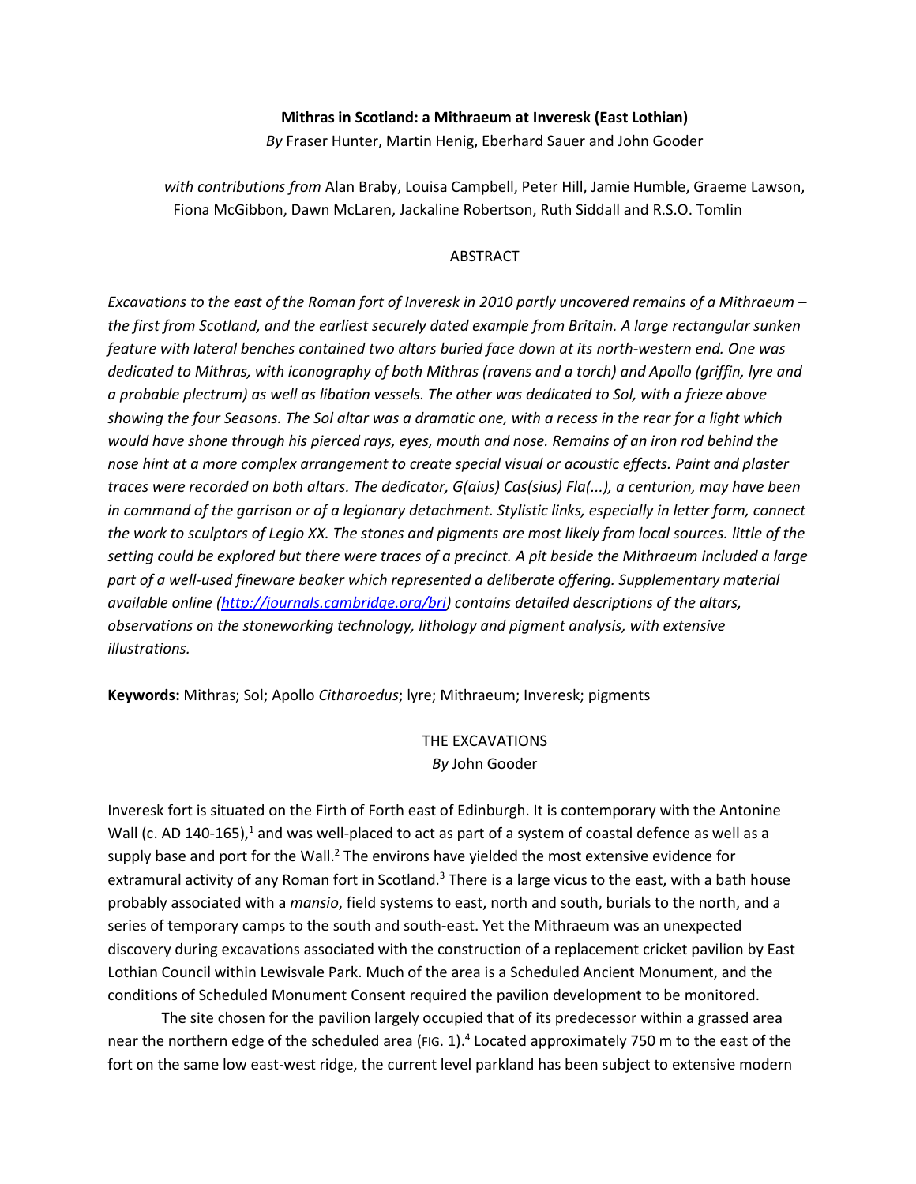#### **Mithras in Scotland: a Mithraeum at Inveresk (East Lothian)**

*By* Fraser Hunter, Martin Henig, Eberhard Sauer and John Gooder

*with contributions from* Alan Braby, Louisa Campbell, Peter Hill, Jamie Humble, Graeme Lawson, Fiona McGibbon, Dawn McLaren, Jackaline Robertson, Ruth Siddall and R.S.O. Tomlin

#### ABSTRACT

*Excavations to the east of the Roman fort of Inveresk in 2010 partly uncovered remains of a Mithraeum – the first from Scotland, and the earliest securely dated example from Britain. A large rectangular sunken feature with lateral benches contained two altars buried face down at its north-western end. One was dedicated to Mithras, with iconography of both Mithras (ravens and a torch) and Apollo (griffin, lyre and a probable plectrum) as well as libation vessels. The other was dedicated to Sol, with a frieze above showing the four Seasons. The Sol altar was a dramatic one, with a recess in the rear for a light which would have shone through his pierced rays, eyes, mouth and nose. Remains of an iron rod behind the nose hint at a more complex arrangement to create special visual or acoustic effects. Paint and plaster traces were recorded on both altars. The dedicator, G(aius) Cas(sius) Fla(...), a centurion, may have been in command of the garrison or of a legionary detachment. Stylistic links, especially in letter form, connect the work to sculptors of Legio XX. The stones and pigments are most likely from local sources. little of the setting could be explored but there were traces of a precinct. A pit beside the Mithraeum included a large part of a well-used fineware beaker which represented a deliberate offering. Supplementary material available online [\(http://journals.cambridge.org/bri\)](http://journals.cambridge.org/bri) contains detailed descriptions of the altars, observations on the stoneworking technology, lithology and pigment analysis, with extensive illustrations.*

**Keywords:** Mithras; Sol; Apollo *Citharoedus*; lyre; Mithraeum; Inveresk; pigments

## THE EXCAVATIONS *By* John Gooder

Inveresk fort is situated on the Firth of Forth east of Edinburgh. It is contemporary with the Antonine Wall (c. AD 140-165),<sup>1</sup> and was well-placed to act as part of a system of coastal defence as well as a supply base and port for the Wall.<sup>2</sup> The environs have yielded the most extensive evidence for extramural activity of any Roman fort in Scotland.<sup>3</sup> There is a large vicus to the east, with a bath house probably associated with a *mansio*, field systems to east, north and south, burials to the north, and a series of temporary camps to the south and south-east. Yet the Mithraeum was an unexpected discovery during excavations associated with the construction of a replacement cricket pavilion by East Lothian Council within Lewisvale Park. Much of the area is a Scheduled Ancient Monument, and the conditions of Scheduled Monument Consent required the pavilion development to be monitored.

The site chosen for the pavilion largely occupied that of its predecessor within a grassed area near the northern edge of the scheduled area (FIG. 1).<sup>4</sup> Located approximately 750 m to the east of the fort on the same low east-west ridge, the current level parkland has been subject to extensive modern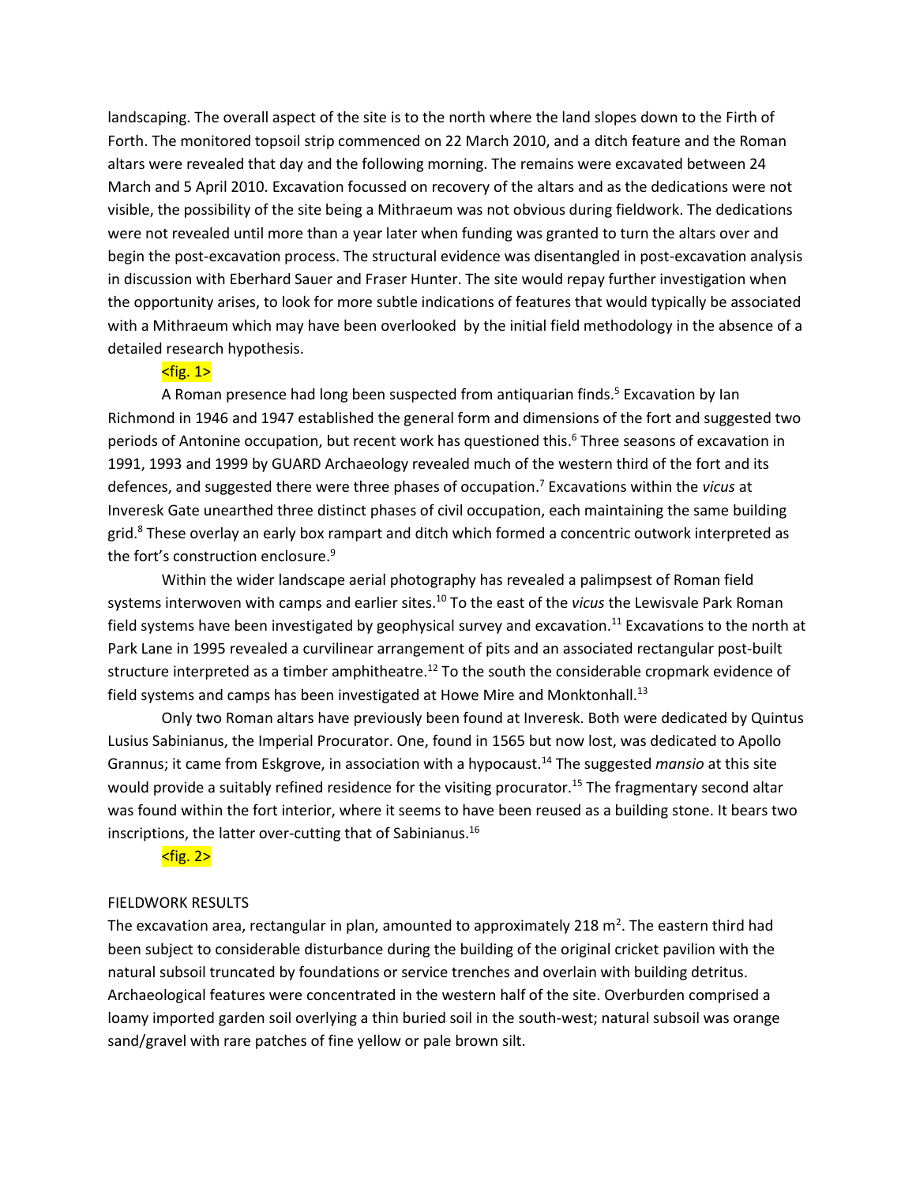landscaping. The overall aspect of the site is to the north where the land slopes down to the Firth of Forth. The monitored topsoil strip commenced on 22 March 2010, and a ditch feature and the Roman altars were revealed that day and the following morning. The remains were excavated between 24 March and 5 April 2010. Excavation focussed on recovery of the altars and as the dedications were not visible, the possibility of the site being a Mithraeum was not obvious during fieldwork. The dedications were not revealed until more than a year later when funding was granted to turn the altars over and begin the post-excavation process. The structural evidence was disentangled in post-excavation analysis in discussion with Eberhard Sauer and Fraser Hunter. The site would repay further investigation when the opportunity arises, to look for more subtle indications of features that would typically be associated with a Mithraeum which may have been overlooked by the initial field methodology in the absence of a detailed research hypothesis.

## $<$ fig. 1>

A Roman presence had long been suspected from antiquarian finds. <sup>5</sup> Excavation by Ian Richmond in 1946 and 1947 established the general form and dimensions of the fort and suggested two periods of Antonine occupation, but recent work has questioned this. <sup>6</sup> Three seasons of excavation in 1991, 1993 and 1999 by GUARD Archaeology revealed much of the western third of the fort and its defences, and suggested there were three phases of occupation. <sup>7</sup> Excavations within the *vicus* at Inveresk Gate unearthed three distinct phases of civil occupation, each maintaining the same building grid.<sup>8</sup> These overlay an early box rampart and ditch which formed a concentric outwork interpreted as the fort's construction enclosure.<sup>9</sup>

Within the wider landscape aerial photography has revealed a palimpsest of Roman field systems interwoven with camps and earlier sites.<sup>10</sup> To the east of the *vicus* the Lewisvale Park Roman field systems have been investigated by geophysical survey and excavation.<sup>11</sup> Excavations to the north at Park Lane in 1995 revealed a curvilinear arrangement of pits and an associated rectangular post-built structure interpreted as a timber amphitheatre.<sup>12</sup> To the south the considerable cropmark evidence of field systems and camps has been investigated at Howe Mire and Monktonhall.<sup>13</sup>

Only two Roman altars have previously been found at Inveresk. Both were dedicated by Quintus Lusius Sabinianus, the Imperial Procurator. One, found in 1565 but now lost, was dedicated to Apollo Grannus; it came from Eskgrove, in association with a hypocaust.<sup>14</sup> The suggested *mansio* at this site would provide a suitably refined residence for the visiting procurator.<sup>15</sup> The fragmentary second altar was found within the fort interior, where it seems to have been reused as a building stone. It bears two inscriptions, the latter over-cutting that of Sabinianus.<sup>16</sup>

## $<$ fig. 2 $>$

#### FIELDWORK RESULTS

The excavation area, rectangular in plan, amounted to approximately 218 m<sup>2</sup>. The eastern third had been subject to considerable disturbance during the building of the original cricket pavilion with the natural subsoil truncated by foundations or service trenches and overlain with building detritus. Archaeological features were concentrated in the western half of the site. Overburden comprised a loamy imported garden soil overlying a thin buried soil in the south-west; natural subsoil was orange sand/gravel with rare patches of fine yellow or pale brown silt.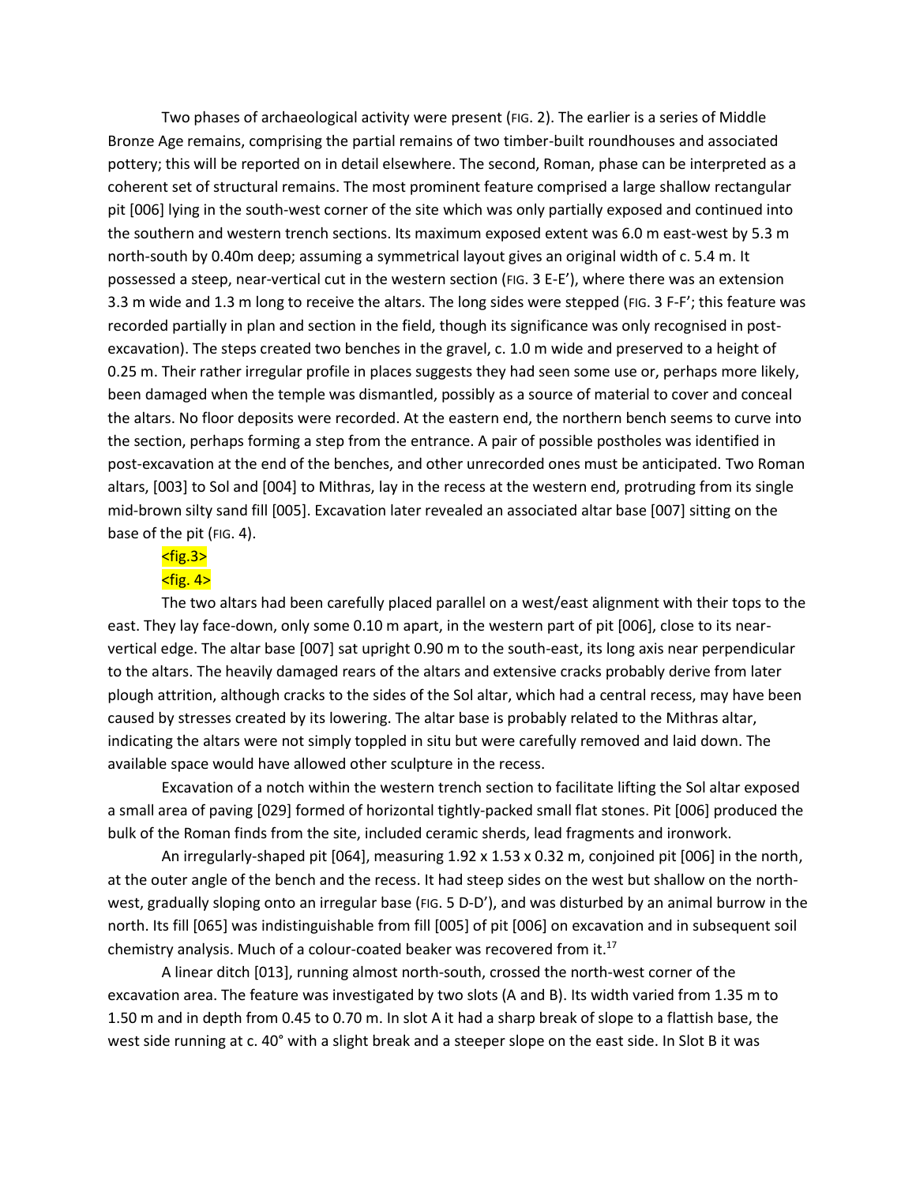Two phases of archaeological activity were present (FIG. 2). The earlier is a series of Middle Bronze Age remains, comprising the partial remains of two timber-built roundhouses and associated pottery; this will be reported on in detail elsewhere. The second, Roman, phase can be interpreted as a coherent set of structural remains. The most prominent feature comprised a large shallow rectangular pit [006] lying in the south-west corner of the site which was only partially exposed and continued into the southern and western trench sections. Its maximum exposed extent was 6.0 m east-west by 5.3 m north-south by 0.40m deep; assuming a symmetrical layout gives an original width of c. 5.4 m. It possessed a steep, near-vertical cut in the western section (FIG. 3 E-E'), where there was an extension 3.3 m wide and 1.3 m long to receive the altars. The long sides were stepped (FIG. 3 F-F'; this feature was recorded partially in plan and section in the field, though its significance was only recognised in postexcavation). The steps created two benches in the gravel, c. 1.0 m wide and preserved to a height of 0.25 m. Their rather irregular profile in places suggests they had seen some use or, perhaps more likely, been damaged when the temple was dismantled, possibly as a source of material to cover and conceal the altars. No floor deposits were recorded. At the eastern end, the northern bench seems to curve into the section, perhaps forming a step from the entrance. A pair of possible postholes was identified in post-excavation at the end of the benches, and other unrecorded ones must be anticipated. Two Roman altars, [003] to Sol and [004] to Mithras, lay in the recess at the western end, protruding from its single mid-brown silty sand fill [005]. Excavation later revealed an associated altar base [007] sitting on the base of the pit (FIG. 4).

#### $<$ fig.3 $>$

#### $<$ fig. 4 $>$

The two altars had been carefully placed parallel on a west/east alignment with their tops to the east. They lay face-down, only some 0.10 m apart, in the western part of pit [006], close to its nearvertical edge. The altar base [007] sat upright 0.90 m to the south-east, its long axis near perpendicular to the altars. The heavily damaged rears of the altars and extensive cracks probably derive from later plough attrition, although cracks to the sides of the Sol altar, which had a central recess, may have been caused by stresses created by its lowering. The altar base is probably related to the Mithras altar, indicating the altars were not simply toppled in situ but were carefully removed and laid down. The available space would have allowed other sculpture in the recess.

Excavation of a notch within the western trench section to facilitate lifting the Sol altar exposed a small area of paving [029] formed of horizontal tightly-packed small flat stones. Pit [006] produced the bulk of the Roman finds from the site, included ceramic sherds, lead fragments and ironwork.

An irregularly-shaped pit [064], measuring 1.92 x 1.53 x 0.32 m, conjoined pit [006] in the north, at the outer angle of the bench and the recess. It had steep sides on the west but shallow on the northwest, gradually sloping onto an irregular base (FIG. 5 D-D'), and was disturbed by an animal burrow in the north. Its fill [065] was indistinguishable from fill [005] of pit [006] on excavation and in subsequent soil chemistry analysis. Much of a colour-coated beaker was recovered from it.<sup>17</sup>

A linear ditch [013], running almost north-south, crossed the north-west corner of the excavation area. The feature was investigated by two slots (A and B). Its width varied from 1.35 m to 1.50 m and in depth from 0.45 to 0.70 m. In slot A it had a sharp break of slope to a flattish base, the west side running at c. 40° with a slight break and a steeper slope on the east side. In Slot B it was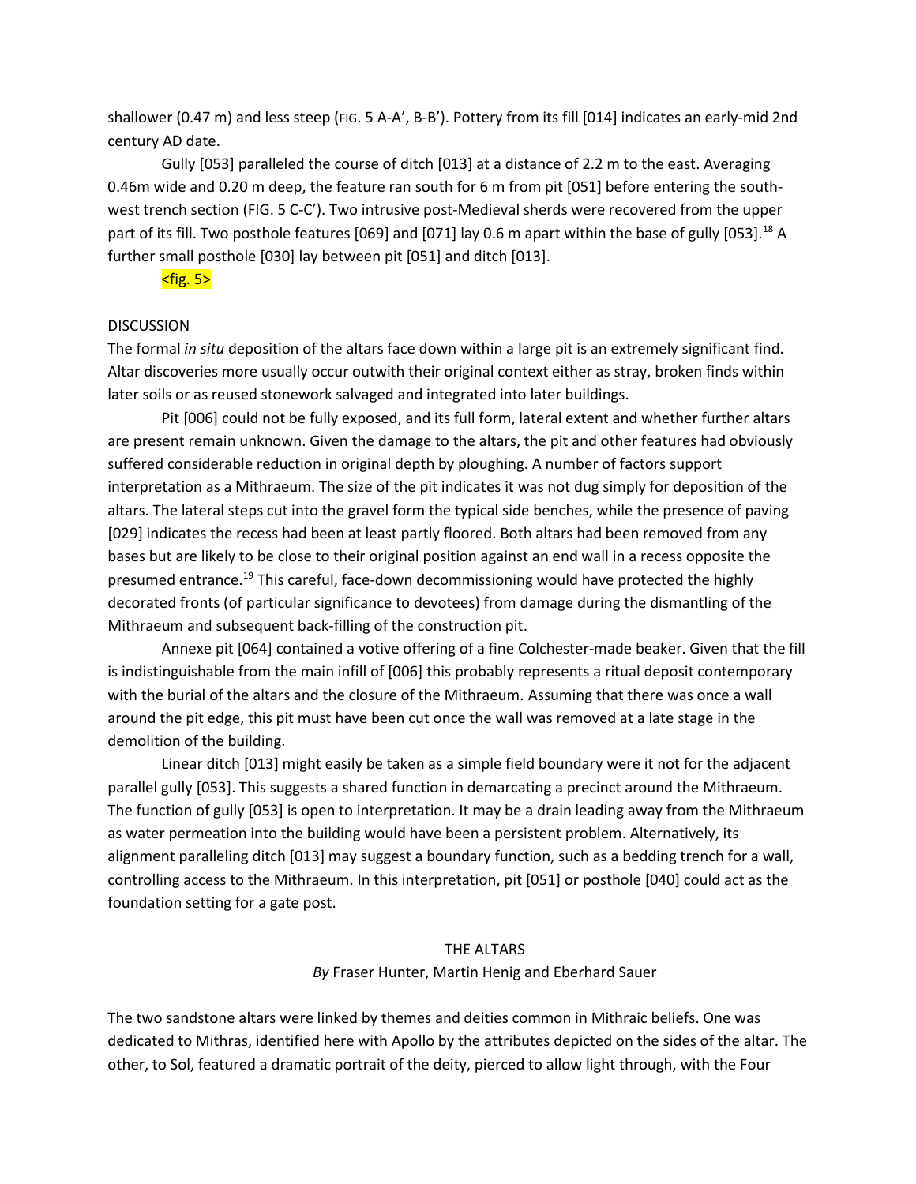shallower (0.47 m) and less steep (FIG. 5 A-A', B-B'). Pottery from its fill [014] indicates an early-mid 2nd century AD date.

Gully [053] paralleled the course of ditch [013] at a distance of 2.2 m to the east. Averaging 0.46m wide and 0.20 m deep, the feature ran south for 6 m from pit [051] before entering the southwest trench section (FIG. 5 C-C'). Two intrusive post-Medieval sherds were recovered from the upper part of its fill. Two posthole features [069] and [071] lay 0.6 m apart within the base of gully [053].<sup>18</sup> A further small posthole [030] lay between pit [051] and ditch [013].

## $<$ fig. 5 $>$

#### DISCUSSION

The formal *in situ* deposition of the altars face down within a large pit is an extremely significant find. Altar discoveries more usually occur outwith their original context either as stray, broken finds within later soils or as reused stonework salvaged and integrated into later buildings.

Pit [006] could not be fully exposed, and its full form, lateral extent and whether further altars are present remain unknown. Given the damage to the altars, the pit and other features had obviously suffered considerable reduction in original depth by ploughing. A number of factors support interpretation as a Mithraeum. The size of the pit indicates it was not dug simply for deposition of the altars. The lateral steps cut into the gravel form the typical side benches, while the presence of paving [029] indicates the recess had been at least partly floored. Both altars had been removed from any bases but are likely to be close to their original position against an end wall in a recess opposite the presumed entrance.<sup>19</sup> This careful, face-down decommissioning would have protected the highly decorated fronts (of particular significance to devotees) from damage during the dismantling of the Mithraeum and subsequent back-filling of the construction pit.

Annexe pit [064] contained a votive offering of a fine Colchester-made beaker. Given that the fill is indistinguishable from the main infill of [006] this probably represents a ritual deposit contemporary with the burial of the altars and the closure of the Mithraeum. Assuming that there was once a wall around the pit edge, this pit must have been cut once the wall was removed at a late stage in the demolition of the building.

Linear ditch [013] might easily be taken as a simple field boundary were it not for the adjacent parallel gully [053]. This suggests a shared function in demarcating a precinct around the Mithraeum. The function of gully [053] is open to interpretation. It may be a drain leading away from the Mithraeum as water permeation into the building would have been a persistent problem. Alternatively, its alignment paralleling ditch [013] may suggest a boundary function, such as a bedding trench for a wall, controlling access to the Mithraeum. In this interpretation, pit [051] or posthole [040] could act as the foundation setting for a gate post.

#### THE ALTARS

#### *By* Fraser Hunter, Martin Henig and Eberhard Sauer

The two sandstone altars were linked by themes and deities common in Mithraic beliefs. One was dedicated to Mithras, identified here with Apollo by the attributes depicted on the sides of the altar. The other, to Sol, featured a dramatic portrait of the deity, pierced to allow light through, with the Four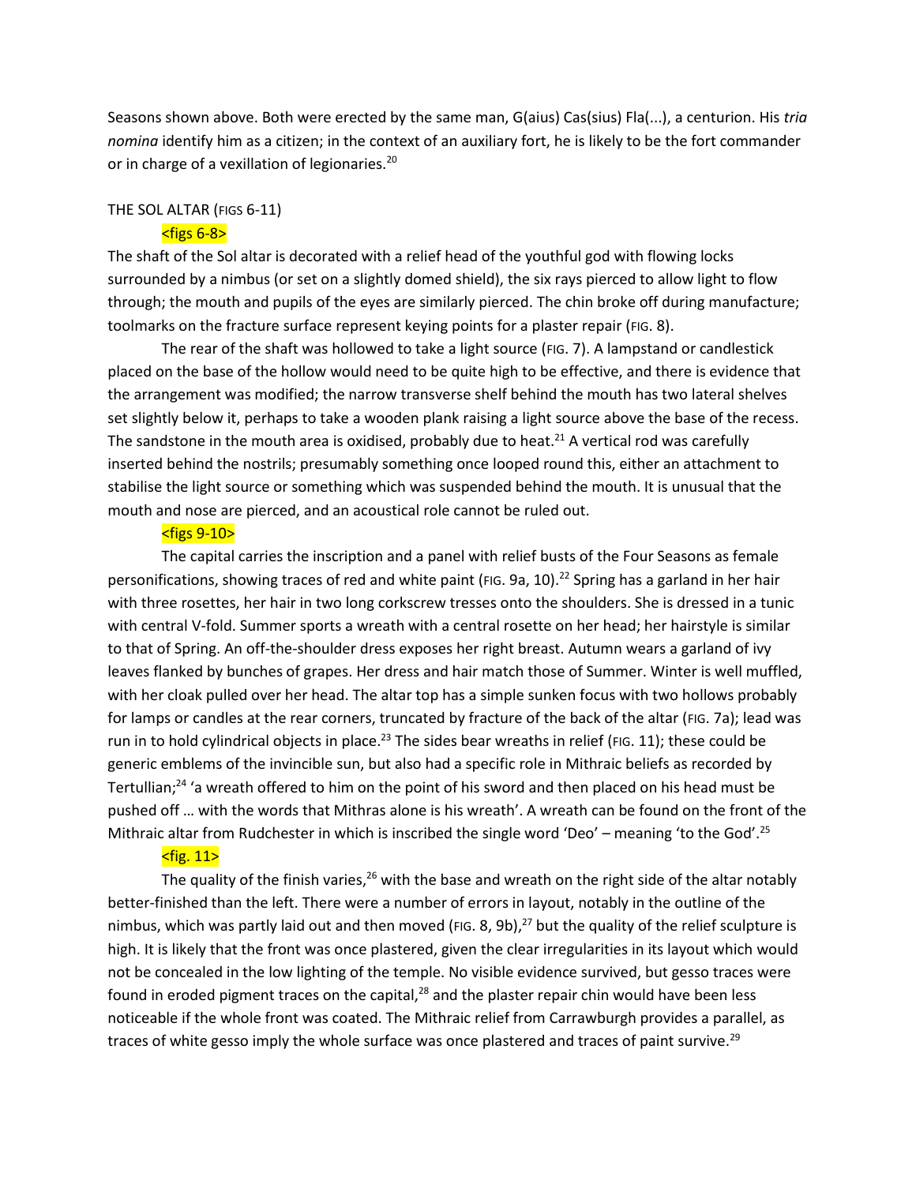Seasons shown above. Both were erected by the same man, G(aius) Cas(sius) Fla(...), a centurion. His *tria nomina* identify him as a citizen; in the context of an auxiliary fort, he is likely to be the fort commander or in charge of a vexillation of legionaries.<sup>20</sup>

#### THE SOL ALTAR (FIGS 6-11)

#### $<$ figs 6-8 $>$

The shaft of the Sol altar is decorated with a relief head of the youthful god with flowing locks surrounded by a nimbus (or set on a slightly domed shield), the six rays pierced to allow light to flow through; the mouth and pupils of the eyes are similarly pierced. The chin broke off during manufacture; toolmarks on the fracture surface represent keying points for a plaster repair (FIG. 8).

The rear of the shaft was hollowed to take a light source (FIG. 7). A lampstand or candlestick placed on the base of the hollow would need to be quite high to be effective, and there is evidence that the arrangement was modified; the narrow transverse shelf behind the mouth has two lateral shelves set slightly below it, perhaps to take a wooden plank raising a light source above the base of the recess. The sandstone in the mouth area is oxidised, probably due to heat.<sup>21</sup> A vertical rod was carefully inserted behind the nostrils; presumably something once looped round this, either an attachment to stabilise the light source or something which was suspended behind the mouth. It is unusual that the mouth and nose are pierced, and an acoustical role cannot be ruled out.

#### <figs 9-10>

The capital carries the inscription and a panel with relief busts of the Four Seasons as female personifications, showing traces of red and white paint (FIG. 9a, 10).<sup>22</sup> Spring has a garland in her hair with three rosettes, her hair in two long corkscrew tresses onto the shoulders. She is dressed in a tunic with central V-fold. Summer sports a wreath with a central rosette on her head; her hairstyle is similar to that of Spring. An off-the-shoulder dress exposes her right breast. Autumn wears a garland of ivy leaves flanked by bunches of grapes. Her dress and hair match those of Summer. Winter is well muffled, with her cloak pulled over her head. The altar top has a simple sunken focus with two hollows probably for lamps or candles at the rear corners, truncated by fracture of the back of the altar (FIG. 7a); lead was run in to hold cylindrical objects in place.<sup>23</sup> The sides bear wreaths in relief (FIG. 11); these could be generic emblems of the invincible sun, but also had a specific role in Mithraic beliefs as recorded by Tertullian;<sup>24</sup> 'a wreath offered to him on the point of his sword and then placed on his head must be pushed off … with the words that Mithras alone is his wreath'. A wreath can be found on the front of the Mithraic altar from Rudchester in which is inscribed the single word 'Deo' – meaning 'to the God'.<sup>25</sup>

#### <fig. 11>

The quality of the finish varies,  $26$  with the base and wreath on the right side of the altar notably better-finished than the left. There were a number of errors in layout, notably in the outline of the nimbus, which was partly laid out and then moved (FIG. 8, 9b),<sup>27</sup> but the quality of the relief sculpture is high. It is likely that the front was once plastered, given the clear irregularities in its layout which would not be concealed in the low lighting of the temple. No visible evidence survived, but gesso traces were found in eroded pigment traces on the capital, $28$  and the plaster repair chin would have been less noticeable if the whole front was coated. The Mithraic relief from Carrawburgh provides a parallel, as traces of white gesso imply the whole surface was once plastered and traces of paint survive.<sup>29</sup>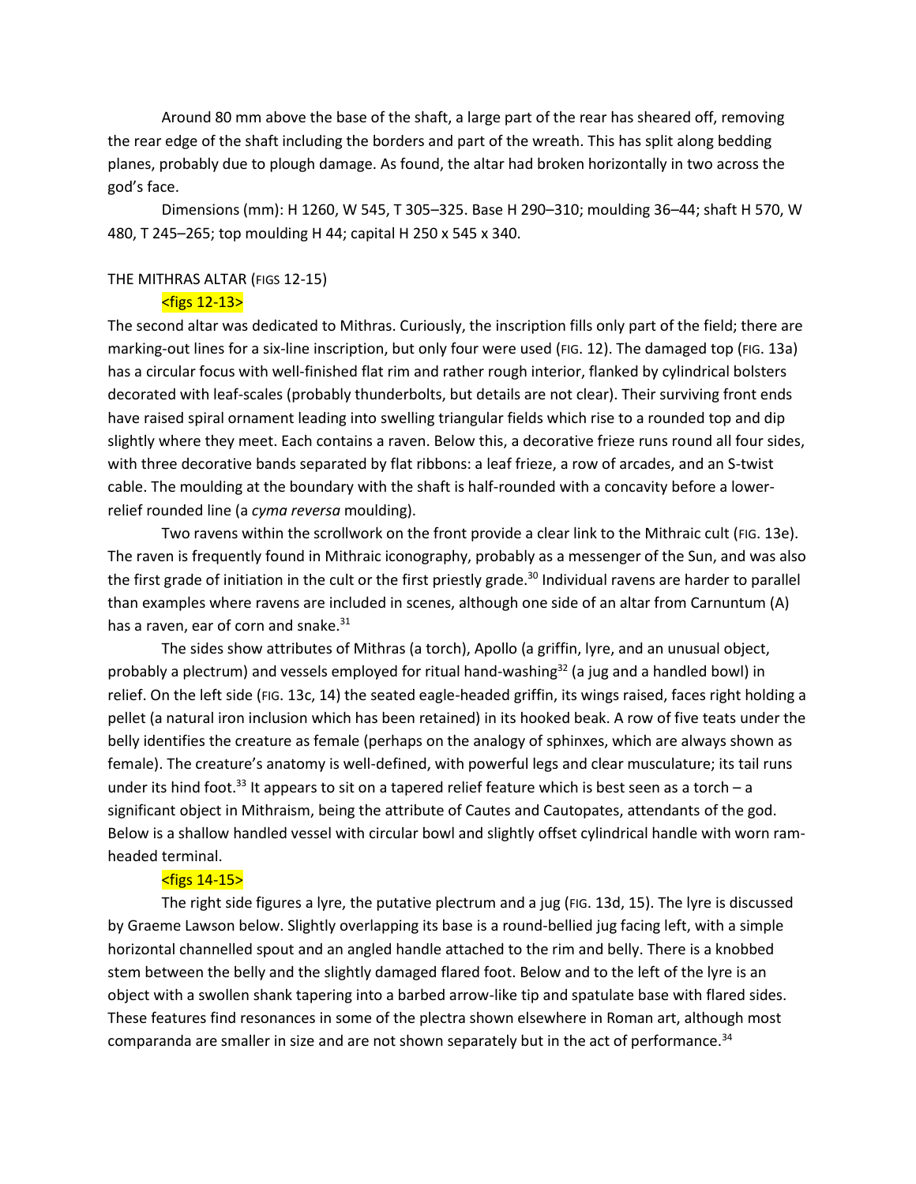Around 80 mm above the base of the shaft, a large part of the rear has sheared off, removing the rear edge of the shaft including the borders and part of the wreath. This has split along bedding planes, probably due to plough damage. As found, the altar had broken horizontally in two across the god's face.

Dimensions (mm): H 1260, W 545, T 305–325. Base H 290–310; moulding 36–44; shaft H 570, W 480, T 245–265; top moulding H 44; capital H 250 x 545 x 340.

#### THE MITHRAS ALTAR (FIGS 12-15)

#### <figs 12-13>

The second altar was dedicated to Mithras. Curiously, the inscription fills only part of the field; there are marking-out lines for a six-line inscription, but only four were used (FIG. 12). The damaged top (FIG. 13a) has a circular focus with well-finished flat rim and rather rough interior, flanked by cylindrical bolsters decorated with leaf-scales (probably thunderbolts, but details are not clear). Their surviving front ends have raised spiral ornament leading into swelling triangular fields which rise to a rounded top and dip slightly where they meet. Each contains a raven. Below this, a decorative frieze runs round all four sides, with three decorative bands separated by flat ribbons: a leaf frieze, a row of arcades, and an S-twist cable. The moulding at the boundary with the shaft is half-rounded with a concavity before a lowerrelief rounded line (a *cyma reversa* moulding).

Two ravens within the scrollwork on the front provide a clear link to the Mithraic cult (FIG. 13e). The raven is frequently found in Mithraic iconography, probably as a messenger of the Sun, and was also the first grade of initiation in the cult or the first priestly grade.<sup>30</sup> Individual ravens are harder to parallel than examples where ravens are included in scenes, although one side of an altar from Carnuntum (A) has a raven, ear of corn and snake.<sup>31</sup>

The sides show attributes of Mithras (a torch), Apollo (a griffin, lyre, and an unusual object, probably a plectrum) and vessels employed for ritual hand-washing<sup>32</sup> (a jug and a handled bowl) in relief. On the left side (FIG. 13c, 14) the seated eagle-headed griffin, its wings raised, faces right holding a pellet (a natural iron inclusion which has been retained) in its hooked beak. A row of five teats under the belly identifies the creature as female (perhaps on the analogy of sphinxes, which are always shown as female). The creature's anatomy is well-defined, with powerful legs and clear musculature; its tail runs under its hind foot.<sup>33</sup> It appears to sit on a tapered relief feature which is best seen as a torch – a significant object in Mithraism, being the attribute of Cautes and Cautopates, attendants of the god. Below is a shallow handled vessel with circular bowl and slightly offset cylindrical handle with worn ramheaded terminal.

#### <figs 14-15>

The right side figures a lyre, the putative plectrum and a jug (FIG. 13d, 15). The lyre is discussed by Graeme Lawson below. Slightly overlapping its base is a round-bellied jug facing left, with a simple horizontal channelled spout and an angled handle attached to the rim and belly. There is a knobbed stem between the belly and the slightly damaged flared foot. Below and to the left of the lyre is an object with a swollen shank tapering into a barbed arrow-like tip and spatulate base with flared sides. These features find resonances in some of the plectra shown elsewhere in Roman art, although most comparanda are smaller in size and are not shown separately but in the act of performance.<sup>34</sup>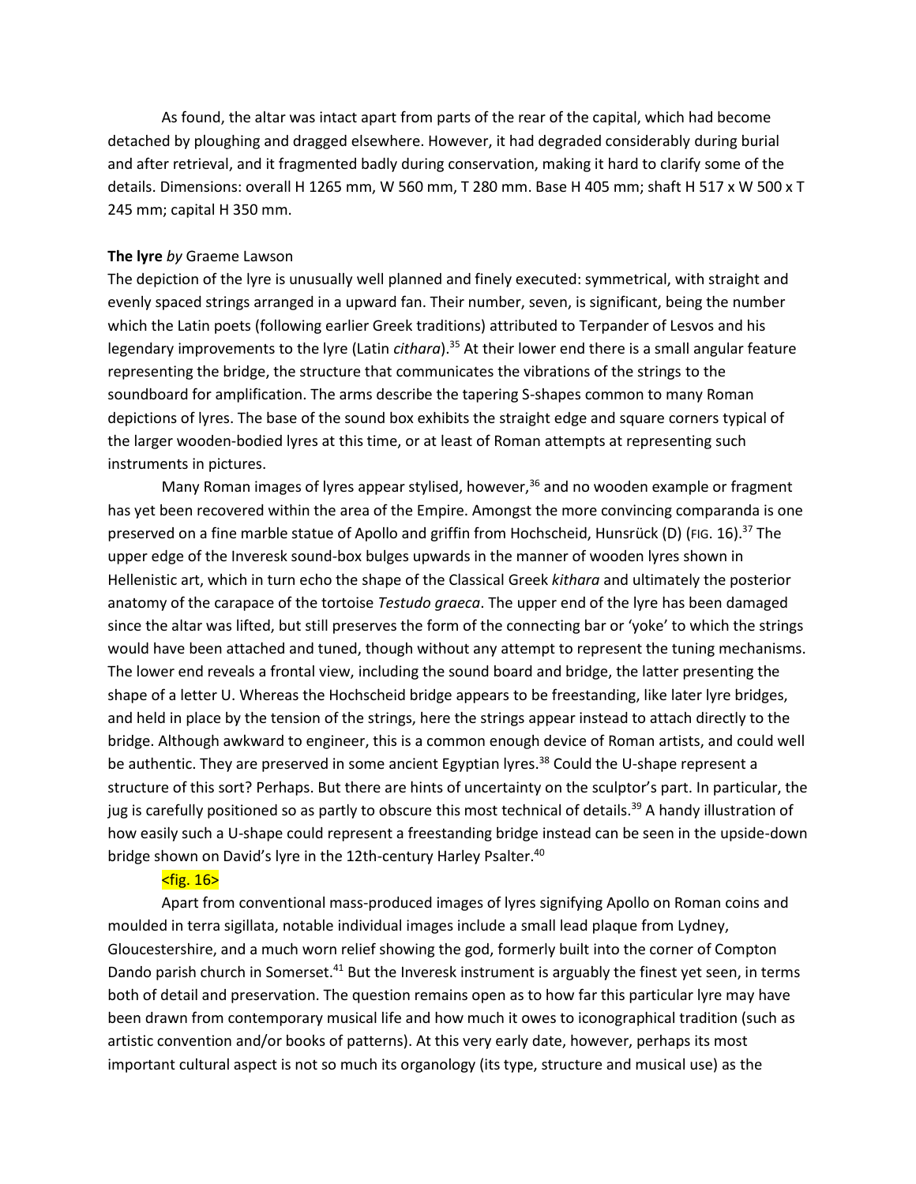As found, the altar was intact apart from parts of the rear of the capital, which had become detached by ploughing and dragged elsewhere. However, it had degraded considerably during burial and after retrieval, and it fragmented badly during conservation, making it hard to clarify some of the details. Dimensions: overall H 1265 mm, W 560 mm, T 280 mm. Base H 405 mm; shaft H 517 x W 500 x T 245 mm; capital H 350 mm.

#### **The lyre** *by* Graeme Lawson

The depiction of the lyre is unusually well planned and finely executed: symmetrical, with straight and evenly spaced strings arranged in a upward fan. Their number, seven, is significant, being the number which the Latin poets (following earlier Greek traditions) attributed to Terpander of Lesvos and his legendary improvements to the lyre (Latin *cithara*).<sup>35</sup> At their lower end there is a small angular feature representing the bridge, the structure that communicates the vibrations of the strings to the soundboard for amplification. The arms describe the tapering S-shapes common to many Roman depictions of lyres. The base of the sound box exhibits the straight edge and square corners typical of the larger wooden-bodied lyres at this time, or at least of Roman attempts at representing such instruments in pictures.

Many Roman images of lyres appear stylised, however, $36$  and no wooden example or fragment has yet been recovered within the area of the Empire. Amongst the more convincing comparanda is one preserved on a fine marble statue of Apollo and griffin from Hochscheid, Hunsrück (D) (FIG. 16).<sup>37</sup> The upper edge of the Inveresk sound-box bulges upwards in the manner of wooden lyres shown in Hellenistic art, which in turn echo the shape of the Classical Greek *kithara* and ultimately the posterior anatomy of the carapace of the tortoise *Testudo graeca*. The upper end of the lyre has been damaged since the altar was lifted, but still preserves the form of the connecting bar or 'yoke' to which the strings would have been attached and tuned, though without any attempt to represent the tuning mechanisms. The lower end reveals a frontal view, including the sound board and bridge, the latter presenting the shape of a letter U. Whereas the Hochscheid bridge appears to be freestanding, like later lyre bridges, and held in place by the tension of the strings, here the strings appear instead to attach directly to the bridge. Although awkward to engineer, this is a common enough device of Roman artists, and could well be authentic. They are preserved in some ancient Egyptian lyres.<sup>38</sup> Could the U-shape represent a structure of this sort? Perhaps. But there are hints of uncertainty on the sculptor's part. In particular, the jug is carefully positioned so as partly to obscure this most technical of details.<sup>39</sup> A handy illustration of how easily such a U-shape could represent a freestanding bridge instead can be seen in the upside-down bridge shown on David's lyre in the 12th-century Harley Psalter.<sup>40</sup>

#### $<$ fig. 16 $>$

Apart from conventional mass-produced images of lyres signifying Apollo on Roman coins and moulded in terra sigillata, notable individual images include a small lead plaque from Lydney, Gloucestershire, and a much worn relief showing the god, formerly built into the corner of Compton Dando parish church in Somerset.<sup>41</sup> But the Inveresk instrument is arguably the finest yet seen, in terms both of detail and preservation. The question remains open as to how far this particular lyre may have been drawn from contemporary musical life and how much it owes to iconographical tradition (such as artistic convention and/or books of patterns). At this very early date, however, perhaps its most important cultural aspect is not so much its organology (its type, structure and musical use) as the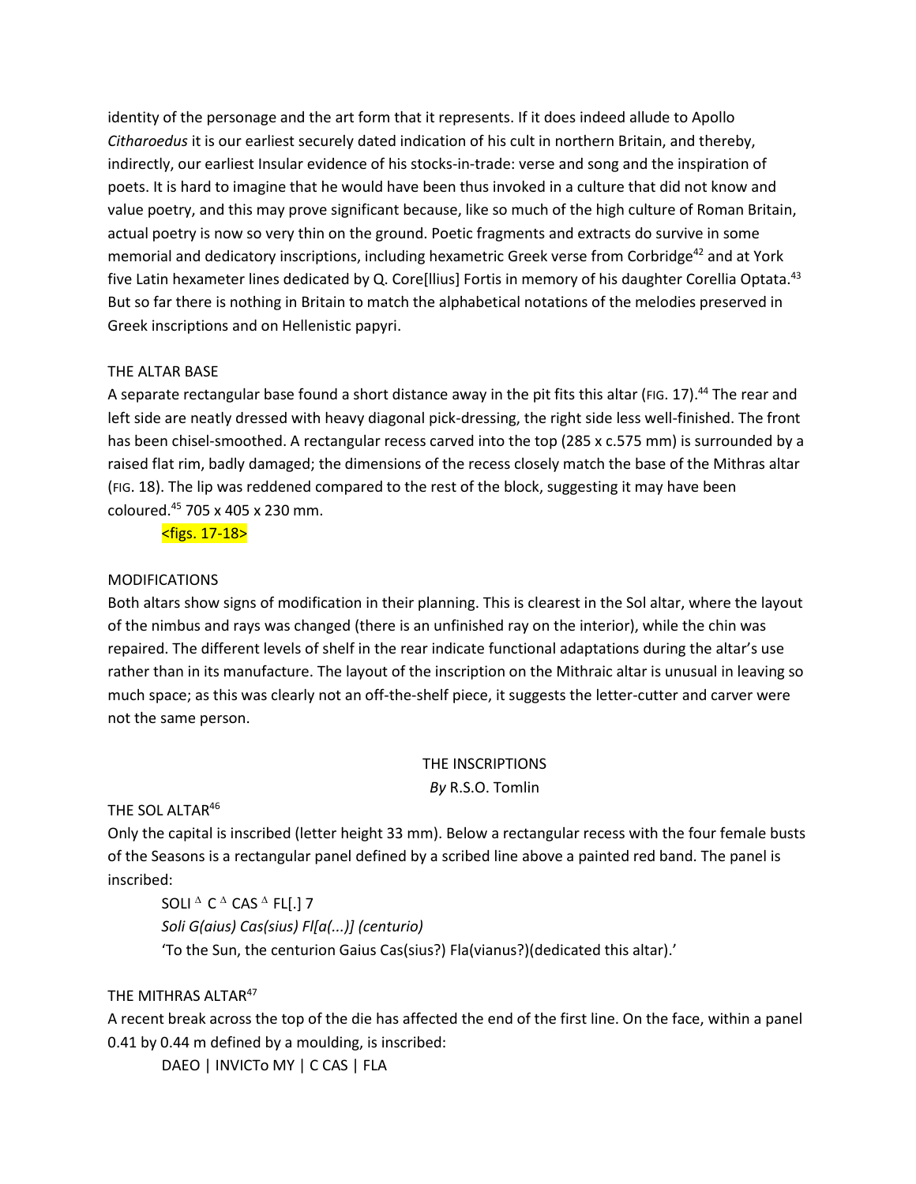identity of the personage and the art form that it represents. If it does indeed allude to Apollo *Citharoedus* it is our earliest securely dated indication of his cult in northern Britain, and thereby, indirectly, our earliest Insular evidence of his stocks-in-trade: verse and song and the inspiration of poets. It is hard to imagine that he would have been thus invoked in a culture that did not know and value poetry, and this may prove significant because, like so much of the high culture of Roman Britain, actual poetry is now so very thin on the ground. Poetic fragments and extracts do survive in some memorial and dedicatory inscriptions, including hexametric Greek verse from Corbridge<sup>42</sup> and at York five Latin hexameter lines dedicated by Q. Core[llius] Fortis in memory of his daughter Corellia Optata.<sup>43</sup> But so far there is nothing in Britain to match the alphabetical notations of the melodies preserved in Greek inscriptions and on Hellenistic papyri.

## THE ALTAR BASE

A separate rectangular base found a short distance away in the pit fits this altar (FIG. 17).<sup>44</sup> The rear and left side are neatly dressed with heavy diagonal pick-dressing, the right side less well-finished. The front has been chisel-smoothed. A rectangular recess carved into the top (285 x c.575 mm) is surrounded by a raised flat rim, badly damaged; the dimensions of the recess closely match the base of the Mithras altar (FIG. 18). The lip was reddened compared to the rest of the block, suggesting it may have been coloured.<sup>45</sup> 705 x 405 x 230 mm.

<figs. 17-18>

## **MODIFICATIONS**

Both altars show signs of modification in their planning. This is clearest in the Sol altar, where the layout of the nimbus and rays was changed (there is an unfinished ray on the interior), while the chin was repaired. The different levels of shelf in the rear indicate functional adaptations during the altar's use rather than in its manufacture. The layout of the inscription on the Mithraic altar is unusual in leaving so much space; as this was clearly not an off-the-shelf piece, it suggests the letter-cutter and carver were not the same person.

## THE INSCRIPTIONS *By* R.S.O. Tomlin

THE SOL ALTAR<sup>46</sup>

Only the capital is inscribed (letter height 33 mm). Below a rectangular recess with the four female busts of the Seasons is a rectangular panel defined by a scribed line above a painted red band. The panel is inscribed:

SOLI  $^{\Delta}$  C  $^{\Delta}$  CAS  $^{\Delta}$  FL[.] 7 *Soli G(aius) Cas(sius) Fl[a(...)] (centurio)* 'To the Sun, the centurion Gaius Cas(sius?) Fla(vianus?)(dedicated this altar).'

## THE MITHRAS ALTAR<sup>47</sup>

A recent break across the top of the die has affected the end of the first line. On the face, within a panel 0.41 by 0.44 m defined by a moulding, is inscribed:

DAEO | INVICTo MY | C CAS | FLA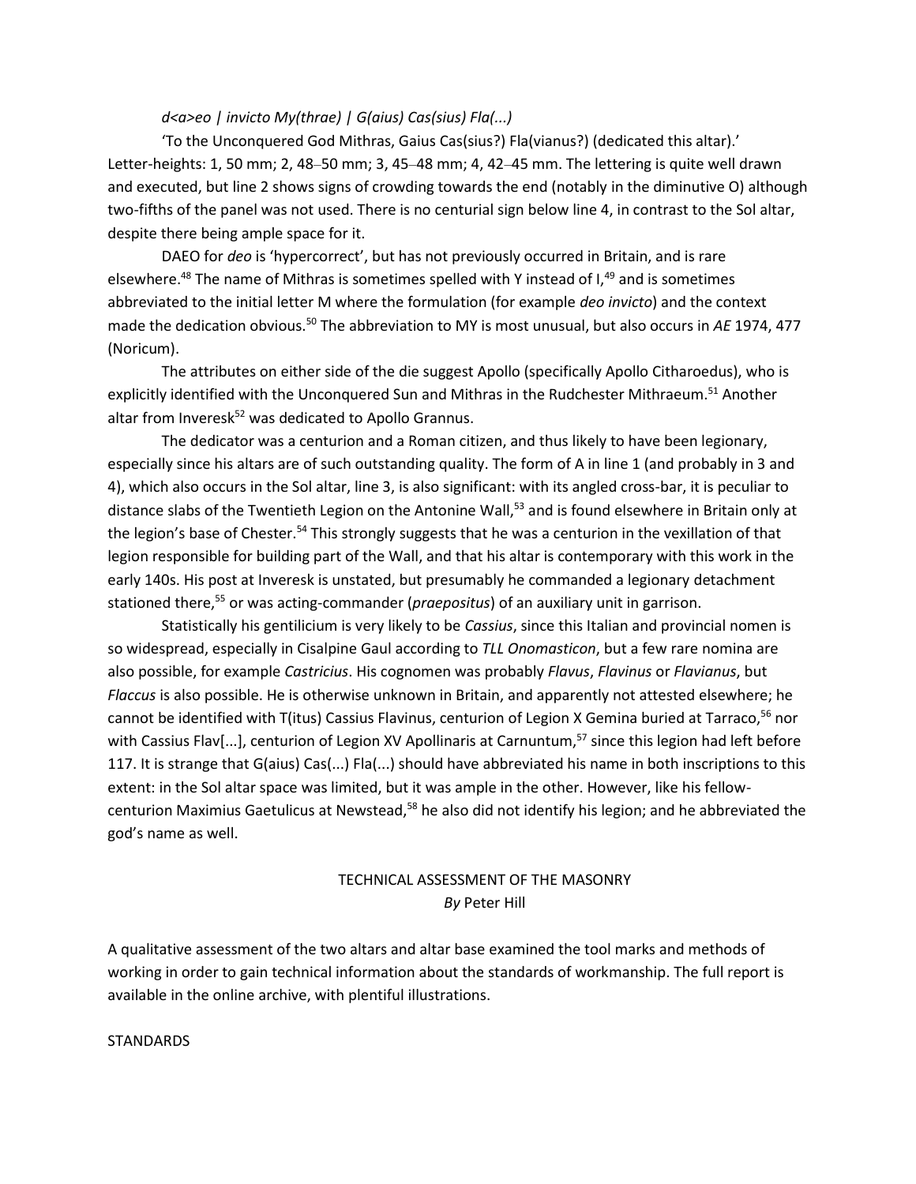## *d<a>eo | invicto My(thrae) | G(aius) Cas(sius) Fla(...)*

'To the Unconquered God Mithras, Gaius Cas(sius?) Fla(vianus?) (dedicated this altar).' Letter-heights: 1, 50 mm; 2, 48–50 mm; 3, 45–48 mm; 4, 42–45 mm. The lettering is quite well drawn and executed, but line 2 shows signs of crowding towards the end (notably in the diminutive O) although two-fifths of the panel was not used. There is no centurial sign below line 4, in contrast to the Sol altar, despite there being ample space for it.

DAEO for *deo* is 'hypercorrect', but has not previously occurred in Britain, and is rare elsewhere.<sup>48</sup> The name of Mithras is sometimes spelled with Y instead of  $I$ ,<sup>49</sup> and is sometimes abbreviated to the initial letter M where the formulation (for example *deo invicto*) and the context made the dedication obvious.<sup>50</sup> The abbreviation to MY is most unusual, but also occurs in *AE* 1974, 477 (Noricum).

The attributes on either side of the die suggest Apollo (specifically Apollo Citharoedus), who is explicitly identified with the Unconquered Sun and Mithras in the Rudchester Mithraeum.<sup>51</sup> Another altar from Inveresk<sup>52</sup> was dedicated to Apollo Grannus.

The dedicator was a centurion and a Roman citizen, and thus likely to have been legionary, especially since his altars are of such outstanding quality. The form of A in line 1 (and probably in 3 and 4), which also occurs in the Sol altar, line 3, is also significant: with its angled cross-bar, it is peculiar to distance slabs of the Twentieth Legion on the Antonine Wall,<sup>53</sup> and is found elsewhere in Britain only at the legion's base of Chester.<sup>54</sup> This strongly suggests that he was a centurion in the vexillation of that legion responsible for building part of the Wall, and that his altar is contemporary with this work in the early 140s. His post at Inveresk is unstated, but presumably he commanded a legionary detachment stationed there,<sup>55</sup> or was acting-commander (*praepositus*) of an auxiliary unit in garrison.

Statistically his gentilicium is very likely to be *Cassius*, since this Italian and provincial nomen is so widespread, especially in Cisalpine Gaul according to *TLL Onomasticon*, but a few rare nomina are also possible, for example *Castricius*. His cognomen was probably *Flavus*, *Flavinus* or *Flavianus*, but *Flaccus* is also possible. He is otherwise unknown in Britain, and apparently not attested elsewhere; he cannot be identified with T(itus) Cassius Flavinus, centurion of Legion X Gemina buried at Tarraco,<sup>56</sup> nor with Cassius Flav[...], centurion of Legion XV Apollinaris at Carnuntum,<sup>57</sup> since this legion had left before 117. It is strange that G(aius) Cas(...) Fla(...) should have abbreviated his name in both inscriptions to this extent: in the Sol altar space was limited, but it was ample in the other. However, like his fellowcenturion Maximius Gaetulicus at Newstead,<sup>58</sup> he also did not identify his legion; and he abbreviated the god's name as well.

## TECHNICAL ASSESSMENT OF THE MASONRY *By* Peter Hill

A qualitative assessment of the two altars and altar base examined the tool marks and methods of working in order to gain technical information about the standards of workmanship. The full report is available in the online archive, with plentiful illustrations.

#### **STANDARDS**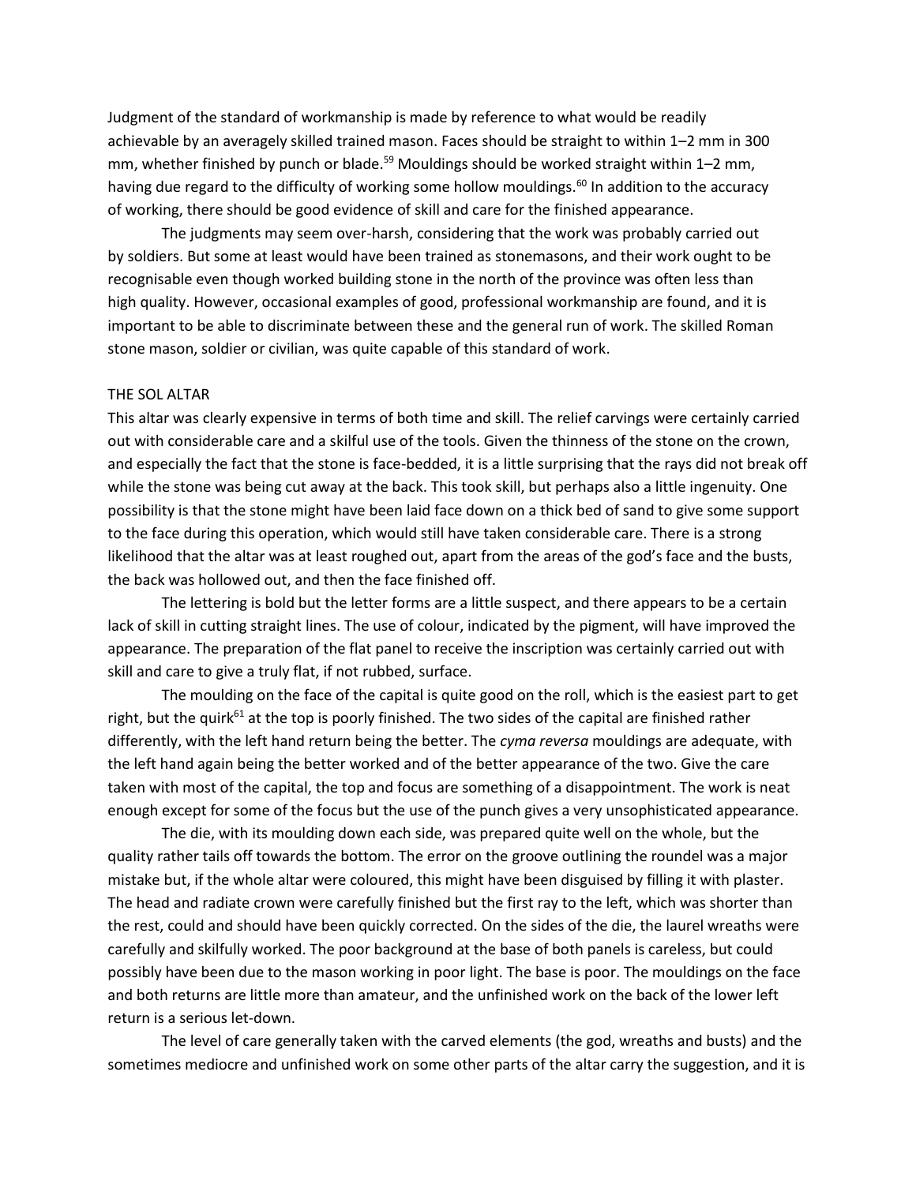Judgment of the standard of workmanship is made by reference to what would be readily achievable by an averagely skilled trained mason. Faces should be straight to within 1–2 mm in 300 mm, whether finished by punch or blade.<sup>59</sup> Mouldings should be worked straight within 1–2 mm, having due regard to the difficulty of working some hollow mouldings.<sup>60</sup> In addition to the accuracy of working, there should be good evidence of skill and care for the finished appearance.

The judgments may seem over-harsh, considering that the work was probably carried out by soldiers. But some at least would have been trained as stonemasons, and their work ought to be recognisable even though worked building stone in the north of the province was often less than high quality. However, occasional examples of good, professional workmanship are found, and it is important to be able to discriminate between these and the general run of work. The skilled Roman stone mason, soldier or civilian, was quite capable of this standard of work.

#### THE SOL ALTAR

This altar was clearly expensive in terms of both time and skill. The relief carvings were certainly carried out with considerable care and a skilful use of the tools. Given the thinness of the stone on the crown, and especially the fact that the stone is face-bedded, it is a little surprising that the rays did not break off while the stone was being cut away at the back. This took skill, but perhaps also a little ingenuity. One possibility is that the stone might have been laid face down on a thick bed of sand to give some support to the face during this operation, which would still have taken considerable care. There is a strong likelihood that the altar was at least roughed out, apart from the areas of the god's face and the busts, the back was hollowed out, and then the face finished off.

The lettering is bold but the letter forms are a little suspect, and there appears to be a certain lack of skill in cutting straight lines. The use of colour, indicated by the pigment, will have improved the appearance. The preparation of the flat panel to receive the inscription was certainly carried out with skill and care to give a truly flat, if not rubbed, surface.

The moulding on the face of the capital is quite good on the roll, which is the easiest part to get right, but the quirk<sup>61</sup> at the top is poorly finished. The two sides of the capital are finished rather differently, with the left hand return being the better. The *cyma reversa* mouldings are adequate, with the left hand again being the better worked and of the better appearance of the two. Give the care taken with most of the capital, the top and focus are something of a disappointment. The work is neat enough except for some of the focus but the use of the punch gives a very unsophisticated appearance.

The die, with its moulding down each side, was prepared quite well on the whole, but the quality rather tails off towards the bottom. The error on the groove outlining the roundel was a major mistake but, if the whole altar were coloured, this might have been disguised by filling it with plaster. The head and radiate crown were carefully finished but the first ray to the left, which was shorter than the rest, could and should have been quickly corrected. On the sides of the die, the laurel wreaths were carefully and skilfully worked. The poor background at the base of both panels is careless, but could possibly have been due to the mason working in poor light. The base is poor. The mouldings on the face and both returns are little more than amateur, and the unfinished work on the back of the lower left return is a serious let-down.

The level of care generally taken with the carved elements (the god, wreaths and busts) and the sometimes mediocre and unfinished work on some other parts of the altar carry the suggestion, and it is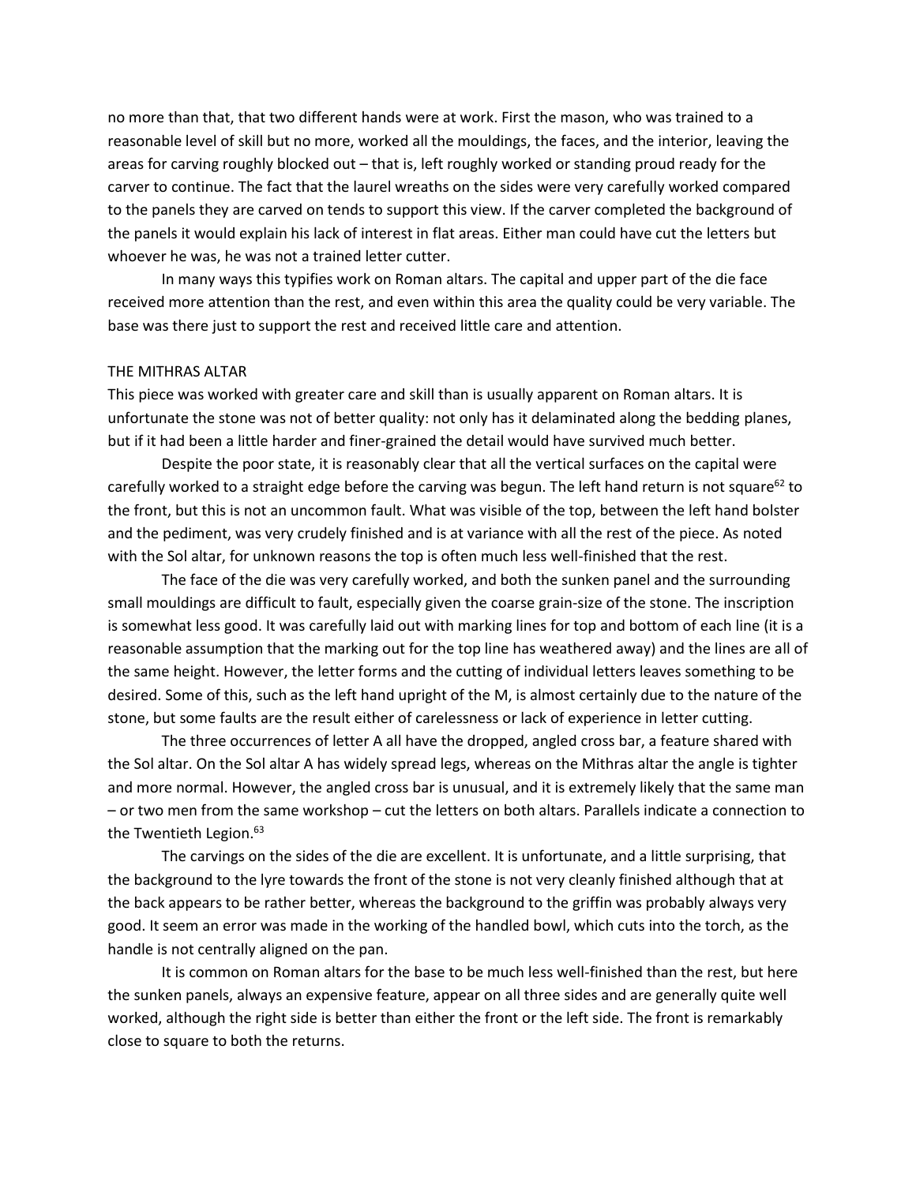no more than that, that two different hands were at work. First the mason, who was trained to a reasonable level of skill but no more, worked all the mouldings, the faces, and the interior, leaving the areas for carving roughly blocked out – that is, left roughly worked or standing proud ready for the carver to continue. The fact that the laurel wreaths on the sides were very carefully worked compared to the panels they are carved on tends to support this view. If the carver completed the background of the panels it would explain his lack of interest in flat areas. Either man could have cut the letters but whoever he was, he was not a trained letter cutter.

In many ways this typifies work on Roman altars. The capital and upper part of the die face received more attention than the rest, and even within this area the quality could be very variable. The base was there just to support the rest and received little care and attention.

#### THE MITHRAS ALTAR

This piece was worked with greater care and skill than is usually apparent on Roman altars. It is unfortunate the stone was not of better quality: not only has it delaminated along the bedding planes, but if it had been a little harder and finer-grained the detail would have survived much better.

Despite the poor state, it is reasonably clear that all the vertical surfaces on the capital were carefully worked to a straight edge before the carving was begun. The left hand return is not square<sup>62</sup> to the front, but this is not an uncommon fault. What was visible of the top, between the left hand bolster and the pediment, was very crudely finished and is at variance with all the rest of the piece. As noted with the Sol altar, for unknown reasons the top is often much less well-finished that the rest.

The face of the die was very carefully worked, and both the sunken panel and the surrounding small mouldings are difficult to fault, especially given the coarse grain-size of the stone. The inscription is somewhat less good. It was carefully laid out with marking lines for top and bottom of each line (it is a reasonable assumption that the marking out for the top line has weathered away) and the lines are all of the same height. However, the letter forms and the cutting of individual letters leaves something to be desired. Some of this, such as the left hand upright of the M, is almost certainly due to the nature of the stone, but some faults are the result either of carelessness or lack of experience in letter cutting.

The three occurrences of letter A all have the dropped, angled cross bar, a feature shared with the Sol altar. On the Sol altar A has widely spread legs, whereas on the Mithras altar the angle is tighter and more normal. However, the angled cross bar is unusual, and it is extremely likely that the same man – or two men from the same workshop – cut the letters on both altars. Parallels indicate a connection to the Twentieth Legion.<sup>63</sup>

The carvings on the sides of the die are excellent. It is unfortunate, and a little surprising, that the background to the lyre towards the front of the stone is not very cleanly finished although that at the back appears to be rather better, whereas the background to the griffin was probably always very good. It seem an error was made in the working of the handled bowl, which cuts into the torch, as the handle is not centrally aligned on the pan.

It is common on Roman altars for the base to be much less well-finished than the rest, but here the sunken panels, always an expensive feature, appear on all three sides and are generally quite well worked, although the right side is better than either the front or the left side. The front is remarkably close to square to both the returns.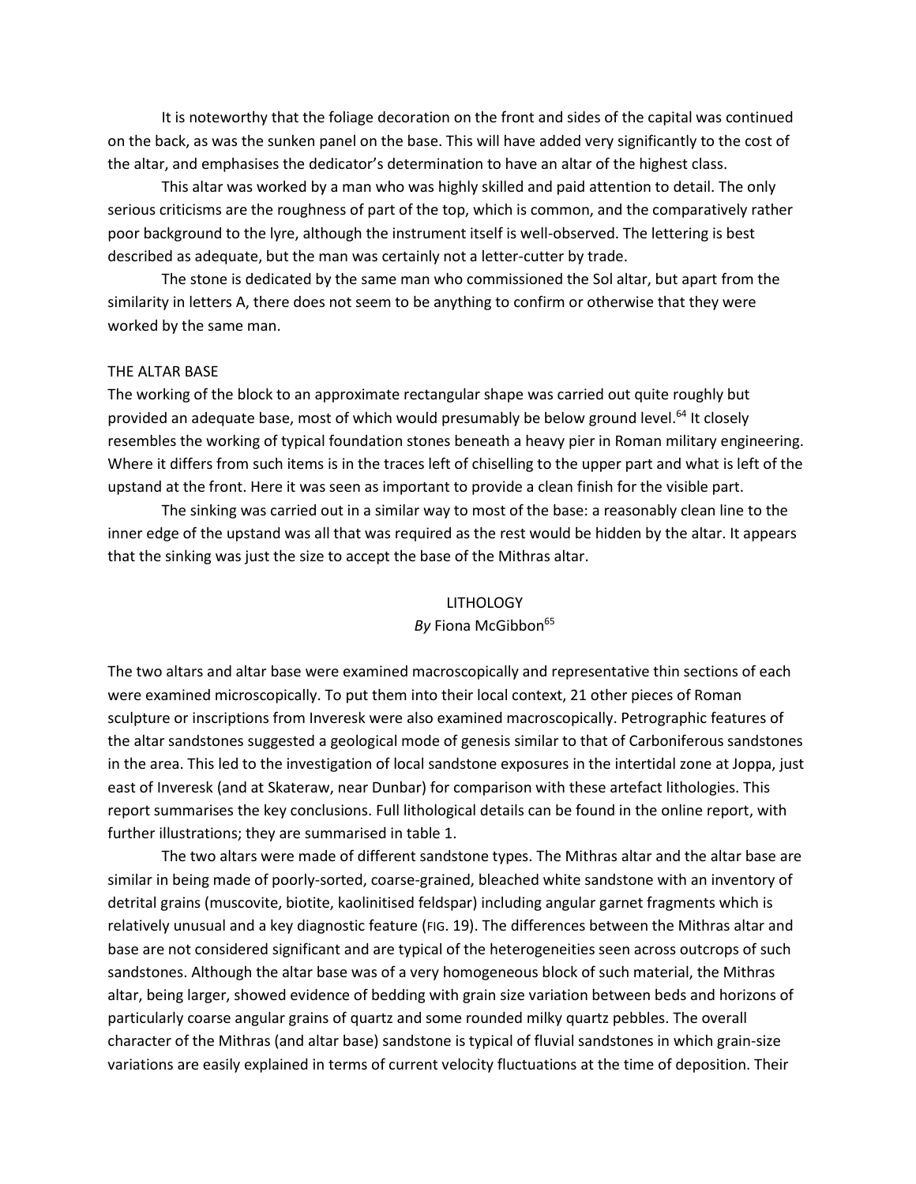It is noteworthy that the foliage decoration on the front and sides of the capital was continued on the back, as was the sunken panel on the base. This will have added very significantly to the cost of the altar, and emphasises the dedicator's determination to have an altar of the highest class.

This altar was worked by a man who was highly skilled and paid attention to detail. The only serious criticisms are the roughness of part of the top, which is common, and the comparatively rather poor background to the lyre, although the instrument itself is well-observed. The lettering is best described as adequate, but the man was certainly not a letter-cutter by trade.

The stone is dedicated by the same man who commissioned the Sol altar, but apart from the similarity in letters A, there does not seem to be anything to confirm or otherwise that they were worked by the same man.

#### THE ALTAR BASE

The working of the block to an approximate rectangular shape was carried out quite roughly but provided an adequate base, most of which would presumably be below ground level.<sup>64</sup> It closely resembles the working of typical foundation stones beneath a heavy pier in Roman military engineering. Where it differs from such items is in the traces left of chiselling to the upper part and what is left of the upstand at the front. Here it was seen as important to provide a clean finish for the visible part.

The sinking was carried out in a similar way to most of the base: a reasonably clean line to the inner edge of the upstand was all that was required as the rest would be hidden by the altar. It appears that the sinking was just the size to accept the base of the Mithras altar.

#### LITHOLOGY

#### By Fiona McGibbon<sup>65</sup>

The two altars and altar base were examined macroscopically and representative thin sections of each were examined microscopically. To put them into their local context, 21 other pieces of Roman sculpture or inscriptions from Inveresk were also examined macroscopically. Petrographic features of the altar sandstones suggested a geological mode of genesis similar to that of Carboniferous sandstones in the area. This led to the investigation of local sandstone exposures in the intertidal zone at Joppa, just east of Inveresk (and at Skateraw, near Dunbar) for comparison with these artefact lithologies. This report summarises the key conclusions. Full lithological details can be found in the online report, with further illustrations; they are summarised in table 1.

The two altars were made of different sandstone types. The Mithras altar and the altar base are similar in being made of poorly-sorted, coarse-grained, bleached white sandstone with an inventory of detrital grains (muscovite, biotite, kaolinitised feldspar) including angular garnet fragments which is relatively unusual and a key diagnostic feature (FIG. 19). The differences between the Mithras altar and base are not considered significant and are typical of the heterogeneities seen across outcrops of such sandstones. Although the altar base was of a very homogeneous block of such material, the Mithras altar, being larger, showed evidence of bedding with grain size variation between beds and horizons of particularly coarse angular grains of quartz and some rounded milky quartz pebbles. The overall character of the Mithras (and altar base) sandstone is typical of fluvial sandstones in which grain-size variations are easily explained in terms of current velocity fluctuations at the time of deposition. Their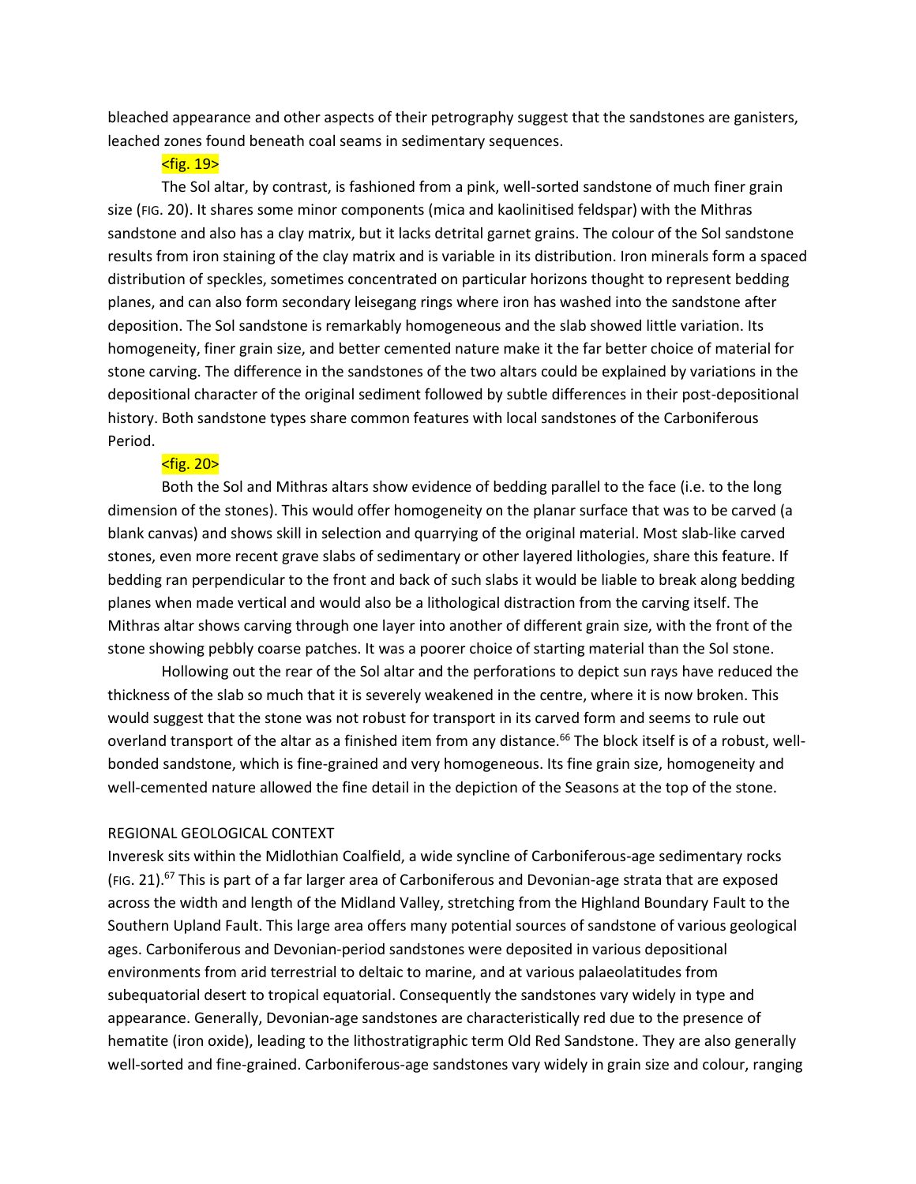bleached appearance and other aspects of their petrography suggest that the sandstones are ganisters, leached zones found beneath coal seams in sedimentary sequences.

#### <fig. 19>

The Sol altar, by contrast, is fashioned from a pink, well-sorted sandstone of much finer grain size (FIG. 20). It shares some minor components (mica and kaolinitised feldspar) with the Mithras sandstone and also has a clay matrix, but it lacks detrital garnet grains. The colour of the Sol sandstone results from iron staining of the clay matrix and is variable in its distribution. Iron minerals form a spaced distribution of speckles, sometimes concentrated on particular horizons thought to represent bedding planes, and can also form secondary leisegang rings where iron has washed into the sandstone after deposition. The Sol sandstone is remarkably homogeneous and the slab showed little variation. Its homogeneity, finer grain size, and better cemented nature make it the far better choice of material for stone carving. The difference in the sandstones of the two altars could be explained by variations in the depositional character of the original sediment followed by subtle differences in their post-depositional history. Both sandstone types share common features with local sandstones of the Carboniferous Period.

#### <fig. 20>

Both the Sol and Mithras altars show evidence of bedding parallel to the face (i.e. to the long dimension of the stones). This would offer homogeneity on the planar surface that was to be carved (a blank canvas) and shows skill in selection and quarrying of the original material. Most slab-like carved stones, even more recent grave slabs of sedimentary or other layered lithologies, share this feature. If bedding ran perpendicular to the front and back of such slabs it would be liable to break along bedding planes when made vertical and would also be a lithological distraction from the carving itself. The Mithras altar shows carving through one layer into another of different grain size, with the front of the stone showing pebbly coarse patches. It was a poorer choice of starting material than the Sol stone.

Hollowing out the rear of the Sol altar and the perforations to depict sun rays have reduced the thickness of the slab so much that it is severely weakened in the centre, where it is now broken. This would suggest that the stone was not robust for transport in its carved form and seems to rule out overland transport of the altar as a finished item from any distance.<sup>66</sup> The block itself is of a robust, wellbonded sandstone, which is fine-grained and very homogeneous. Its fine grain size, homogeneity and well-cemented nature allowed the fine detail in the depiction of the Seasons at the top of the stone.

#### REGIONAL GEOLOGICAL CONTEXT

Inveresk sits within the Midlothian Coalfield, a wide syncline of Carboniferous-age sedimentary rocks (FIG. 21).<sup>67</sup> This is part of a far larger area of Carboniferous and Devonian-age strata that are exposed across the width and length of the Midland Valley, stretching from the Highland Boundary Fault to the Southern Upland Fault. This large area offers many potential sources of sandstone of various geological ages. Carboniferous and Devonian-period sandstones were deposited in various depositional environments from arid terrestrial to deltaic to marine, and at various palaeolatitudes from subequatorial desert to tropical equatorial. Consequently the sandstones vary widely in type and appearance. Generally, Devonian-age sandstones are characteristically red due to the presence of hematite (iron oxide), leading to the lithostratigraphic term Old Red Sandstone. They are also generally well-sorted and fine-grained. Carboniferous-age sandstones vary widely in grain size and colour, ranging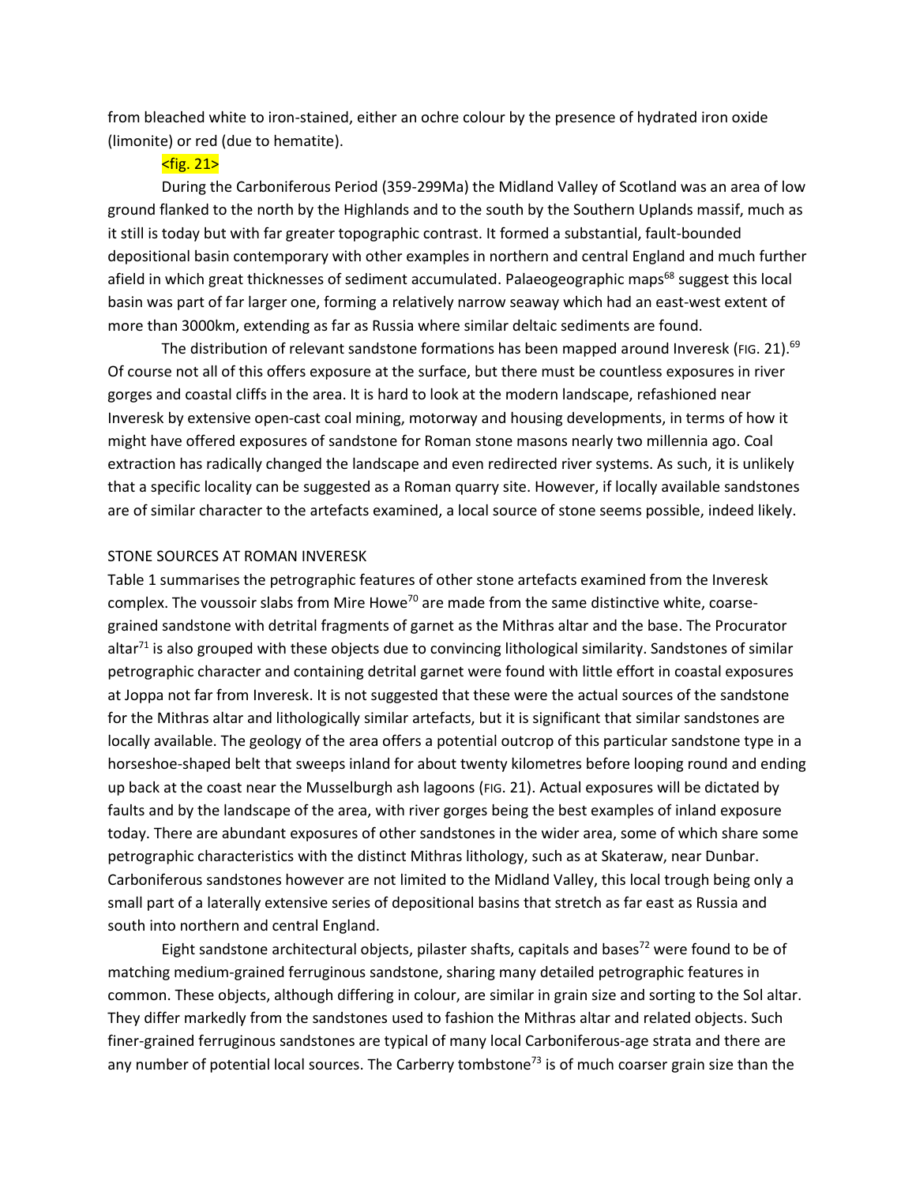from bleached white to iron-stained, either an ochre colour by the presence of hydrated iron oxide (limonite) or red (due to hematite).

#### <fig. 21>

During the Carboniferous Period (359-299Ma) the Midland Valley of Scotland was an area of low ground flanked to the north by the Highlands and to the south by the Southern Uplands massif, much as it still is today but with far greater topographic contrast. It formed a substantial, fault-bounded depositional basin contemporary with other examples in northern and central England and much further afield in which great thicknesses of sediment accumulated. Palaeogeographic maps<sup>68</sup> suggest this local basin was part of far larger one, forming a relatively narrow seaway which had an east-west extent of more than 3000km, extending as far as Russia where similar deltaic sediments are found.

The distribution of relevant sandstone formations has been mapped around Inveresk (FIG. 21).<sup>69</sup> Of course not all of this offers exposure at the surface, but there must be countless exposures in river gorges and coastal cliffs in the area. It is hard to look at the modern landscape, refashioned near Inveresk by extensive open-cast coal mining, motorway and housing developments, in terms of how it might have offered exposures of sandstone for Roman stone masons nearly two millennia ago. Coal extraction has radically changed the landscape and even redirected river systems. As such, it is unlikely that a specific locality can be suggested as a Roman quarry site. However, if locally available sandstones are of similar character to the artefacts examined, a local source of stone seems possible, indeed likely.

#### STONE SOURCES AT ROMAN INVERESK

Table 1 summarises the petrographic features of other stone artefacts examined from the Inveresk complex. The voussoir slabs from Mire Howe<sup>70</sup> are made from the same distinctive white, coarsegrained sandstone with detrital fragments of garnet as the Mithras altar and the base. The Procurator altar $71$  is also grouped with these objects due to convincing lithological similarity. Sandstones of similar petrographic character and containing detrital garnet were found with little effort in coastal exposures at Joppa not far from Inveresk. It is not suggested that these were the actual sources of the sandstone for the Mithras altar and lithologically similar artefacts, but it is significant that similar sandstones are locally available. The geology of the area offers a potential outcrop of this particular sandstone type in a horseshoe-shaped belt that sweeps inland for about twenty kilometres before looping round and ending up back at the coast near the Musselburgh ash lagoons (FIG. 21). Actual exposures will be dictated by faults and by the landscape of the area, with river gorges being the best examples of inland exposure today. There are abundant exposures of other sandstones in the wider area, some of which share some petrographic characteristics with the distinct Mithras lithology, such as at Skateraw, near Dunbar. Carboniferous sandstones however are not limited to the Midland Valley, this local trough being only a small part of a laterally extensive series of depositional basins that stretch as far east as Russia and south into northern and central England.

Eight sandstone architectural objects, pilaster shafts, capitals and bases<sup>72</sup> were found to be of matching medium-grained ferruginous sandstone, sharing many detailed petrographic features in common. These objects, although differing in colour, are similar in grain size and sorting to the Sol altar. They differ markedly from the sandstones used to fashion the Mithras altar and related objects. Such finer-grained ferruginous sandstones are typical of many local Carboniferous-age strata and there are any number of potential local sources. The Carberry tombstone<sup>73</sup> is of much coarser grain size than the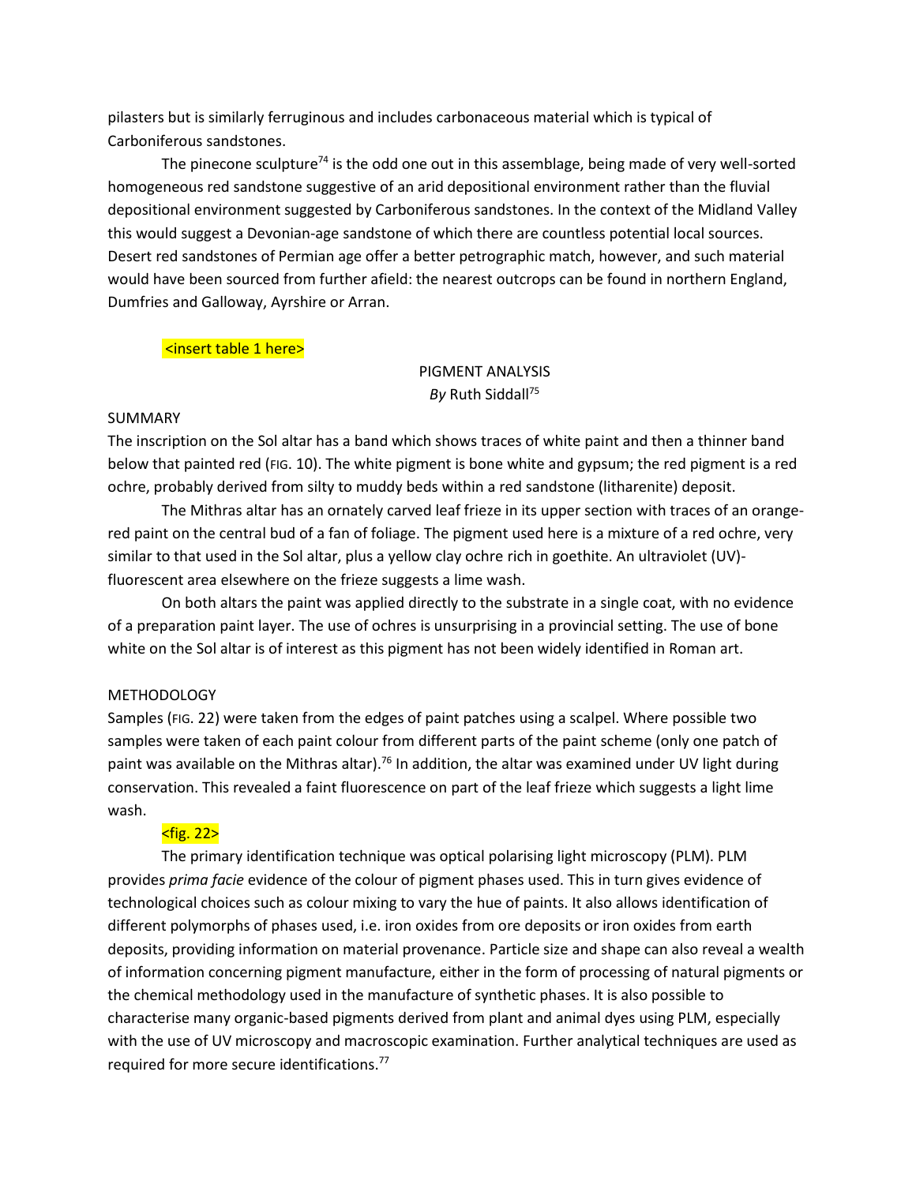pilasters but is similarly ferruginous and includes carbonaceous material which is typical of Carboniferous sandstones.

The pinecone sculpture<sup>74</sup> is the odd one out in this assemblage, being made of very well-sorted homogeneous red sandstone suggestive of an arid depositional environment rather than the fluvial depositional environment suggested by Carboniferous sandstones. In the context of the Midland Valley this would suggest a Devonian-age sandstone of which there are countless potential local sources. Desert red sandstones of Permian age offer a better petrographic match, however, and such material would have been sourced from further afield: the nearest outcrops can be found in northern England, Dumfries and Galloway, Ayrshire or Arran.

<insert table 1 here>

## PIGMENT ANALYSIS By Ruth Siddall<sup>75</sup>

#### SUMMARY

The inscription on the Sol altar has a band which shows traces of white paint and then a thinner band below that painted red (FIG. 10). The white pigment is bone white and gypsum; the red pigment is a red ochre, probably derived from silty to muddy beds within a red sandstone (litharenite) deposit.

The Mithras altar has an ornately carved leaf frieze in its upper section with traces of an orangered paint on the central bud of a fan of foliage. The pigment used here is a mixture of a red ochre, very similar to that used in the Sol altar, plus a yellow clay ochre rich in goethite. An ultraviolet (UV) fluorescent area elsewhere on the frieze suggests a lime wash.

On both altars the paint was applied directly to the substrate in a single coat, with no evidence of a preparation paint layer. The use of ochres is unsurprising in a provincial setting. The use of bone white on the Sol altar is of interest as this pigment has not been widely identified in Roman art.

#### **METHODOLOGY**

Samples (FIG. 22) were taken from the edges of paint patches using a scalpel. Where possible two samples were taken of each paint colour from different parts of the paint scheme (only one patch of paint was available on the Mithras altar).<sup>76</sup> In addition, the altar was examined under UV light during conservation. This revealed a faint fluorescence on part of the leaf frieze which suggests a light lime wash.

## <fig. 22>

The primary identification technique was optical polarising light microscopy (PLM). PLM provides *prima facie* evidence of the colour of pigment phases used. This in turn gives evidence of technological choices such as colour mixing to vary the hue of paints. It also allows identification of different polymorphs of phases used, i.e. iron oxides from ore deposits or iron oxides from earth deposits, providing information on material provenance. Particle size and shape can also reveal a wealth of information concerning pigment manufacture, either in the form of processing of natural pigments or the chemical methodology used in the manufacture of synthetic phases. It is also possible to characterise many organic-based pigments derived from plant and animal dyes using PLM, especially with the use of UV microscopy and macroscopic examination. Further analytical techniques are used as required for more secure identifications.77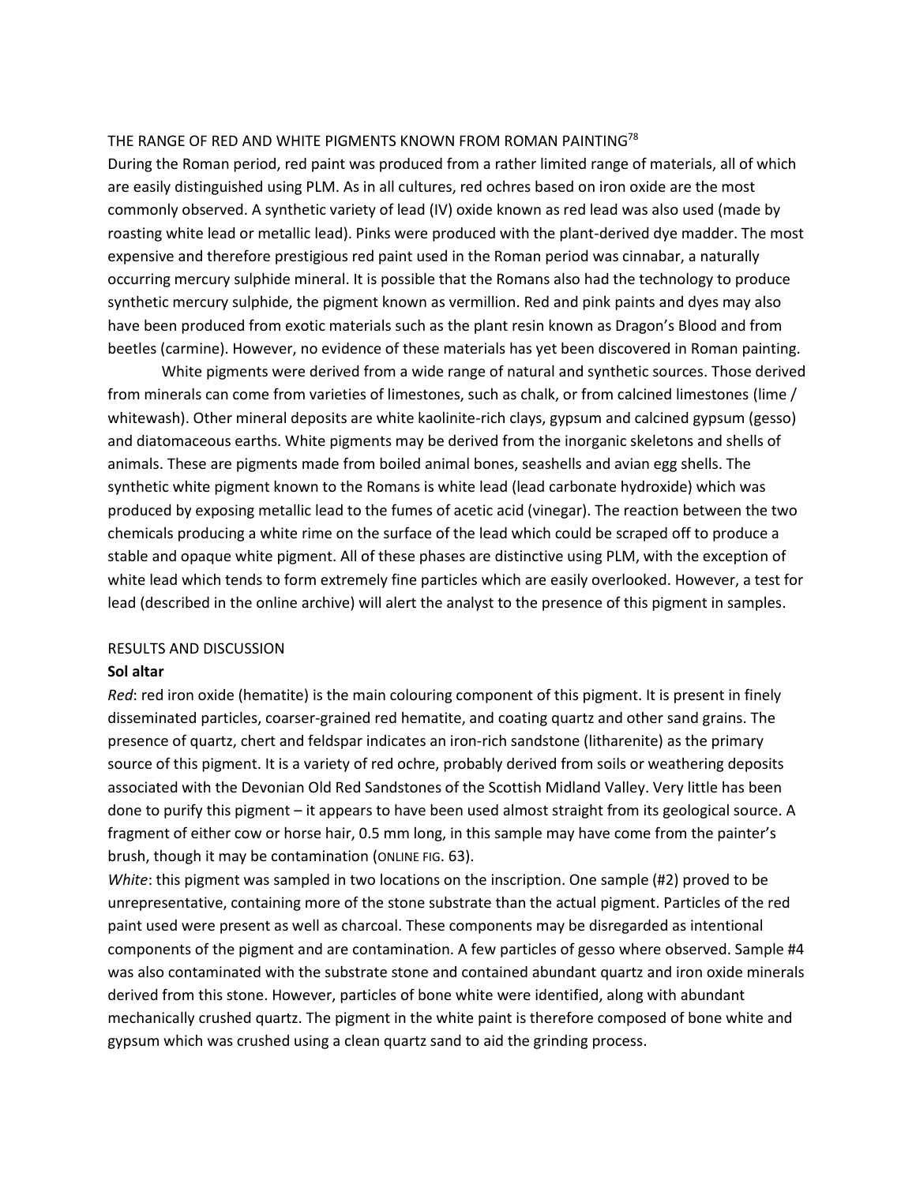#### THE RANGE OF RED AND WHITE PIGMENTS KNOWN FROM ROMAN PAINTING78

During the Roman period, red paint was produced from a rather limited range of materials, all of which are easily distinguished using PLM. As in all cultures, red ochres based on iron oxide are the most commonly observed. A synthetic variety of lead (IV) oxide known as red lead was also used (made by roasting white lead or metallic lead). Pinks were produced with the plant-derived dye madder. The most expensive and therefore prestigious red paint used in the Roman period was cinnabar, a naturally occurring mercury sulphide mineral. It is possible that the Romans also had the technology to produce synthetic mercury sulphide, the pigment known as vermillion. Red and pink paints and dyes may also have been produced from exotic materials such as the plant resin known as Dragon's Blood and from beetles (carmine). However, no evidence of these materials has yet been discovered in Roman painting.

White pigments were derived from a wide range of natural and synthetic sources. Those derived from minerals can come from varieties of limestones, such as chalk, or from calcined limestones (lime / whitewash). Other mineral deposits are white kaolinite-rich clays, gypsum and calcined gypsum (gesso) and diatomaceous earths. White pigments may be derived from the inorganic skeletons and shells of animals. These are pigments made from boiled animal bones, seashells and avian egg shells. The synthetic white pigment known to the Romans is white lead (lead carbonate hydroxide) which was produced by exposing metallic lead to the fumes of acetic acid (vinegar). The reaction between the two chemicals producing a white rime on the surface of the lead which could be scraped off to produce a stable and opaque white pigment. All of these phases are distinctive using PLM, with the exception of white lead which tends to form extremely fine particles which are easily overlooked. However, a test for lead (described in the online archive) will alert the analyst to the presence of this pigment in samples.

#### RESULTS AND DISCUSSION

#### **Sol altar**

*Red*: red iron oxide (hematite) is the main colouring component of this pigment. It is present in finely disseminated particles, coarser-grained red hematite, and coating quartz and other sand grains. The presence of quartz, chert and feldspar indicates an iron-rich sandstone (litharenite) as the primary source of this pigment. It is a variety of red ochre, probably derived from soils or weathering deposits associated with the Devonian Old Red Sandstones of the Scottish Midland Valley. Very little has been done to purify this pigment – it appears to have been used almost straight from its geological source. A fragment of either cow or horse hair, 0.5 mm long, in this sample may have come from the painter's brush, though it may be contamination (ONLINE FIG. 63).

*White*: this pigment was sampled in two locations on the inscription. One sample (#2) proved to be unrepresentative, containing more of the stone substrate than the actual pigment. Particles of the red paint used were present as well as charcoal. These components may be disregarded as intentional components of the pigment and are contamination. A few particles of gesso where observed. Sample #4 was also contaminated with the substrate stone and contained abundant quartz and iron oxide minerals derived from this stone. However, particles of bone white were identified, along with abundant mechanically crushed quartz. The pigment in the white paint is therefore composed of bone white and gypsum which was crushed using a clean quartz sand to aid the grinding process.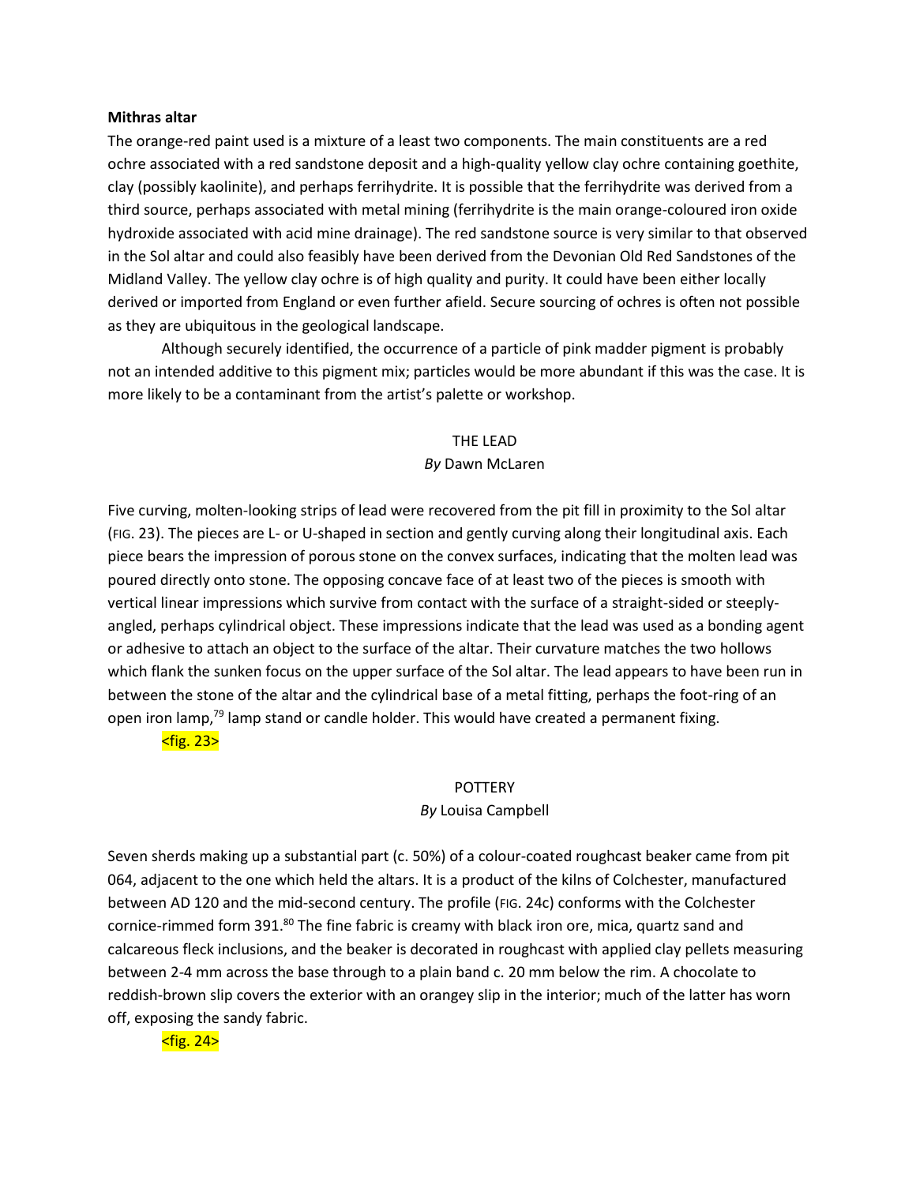#### **Mithras altar**

The orange-red paint used is a mixture of a least two components. The main constituents are a red ochre associated with a red sandstone deposit and a high-quality yellow clay ochre containing goethite, clay (possibly kaolinite), and perhaps ferrihydrite. It is possible that the ferrihydrite was derived from a third source, perhaps associated with metal mining (ferrihydrite is the main orange-coloured iron oxide hydroxide associated with acid mine drainage). The red sandstone source is very similar to that observed in the Sol altar and could also feasibly have been derived from the Devonian Old Red Sandstones of the Midland Valley. The yellow clay ochre is of high quality and purity. It could have been either locally derived or imported from England or even further afield. Secure sourcing of ochres is often not possible as they are ubiquitous in the geological landscape.

Although securely identified, the occurrence of a particle of pink madder pigment is probably not an intended additive to this pigment mix; particles would be more abundant if this was the case. It is more likely to be a contaminant from the artist's palette or workshop.

## THE LEAD

## *By* Dawn McLaren

Five curving, molten-looking strips of lead were recovered from the pit fill in proximity to the Sol altar (FIG. 23). The pieces are L- or U-shaped in section and gently curving along their longitudinal axis. Each piece bears the impression of porous stone on the convex surfaces, indicating that the molten lead was poured directly onto stone. The opposing concave face of at least two of the pieces is smooth with vertical linear impressions which survive from contact with the surface of a straight-sided or steeplyangled, perhaps cylindrical object. These impressions indicate that the lead was used as a bonding agent or adhesive to attach an object to the surface of the altar. Their curvature matches the two hollows which flank the sunken focus on the upper surface of the Sol altar. The lead appears to have been run in between the stone of the altar and the cylindrical base of a metal fitting, perhaps the foot-ring of an open iron lamp,<sup>79</sup> lamp stand or candle holder. This would have created a permanent fixing.

<fig. 23>

#### **POTTERY**

#### *By* Louisa Campbell

Seven sherds making up a substantial part (c. 50%) of a colour-coated roughcast beaker came from pit 064, adjacent to the one which held the altars. It is a product of the kilns of Colchester, manufactured between AD 120 and the mid-second century. The profile (FIG. 24c) conforms with the Colchester cornice-rimmed form 391.<sup>80</sup> The fine fabric is creamy with black iron ore, mica, quartz sand and calcareous fleck inclusions, and the beaker is decorated in roughcast with applied clay pellets measuring between 2-4 mm across the base through to a plain band c. 20 mm below the rim. A chocolate to reddish-brown slip covers the exterior with an orangey slip in the interior; much of the latter has worn off, exposing the sandy fabric.

 $<$ fig. 24 $>$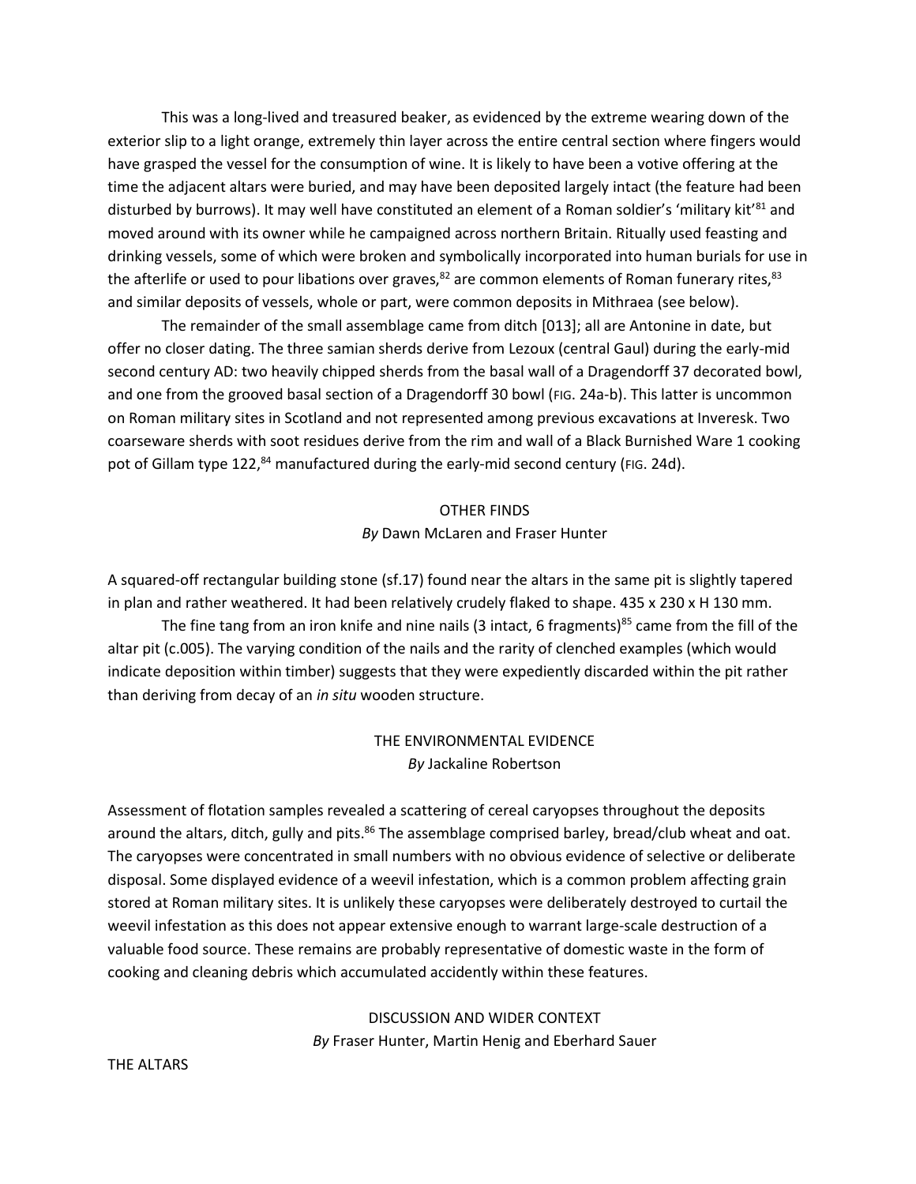This was a long-lived and treasured beaker, as evidenced by the extreme wearing down of the exterior slip to a light orange, extremely thin layer across the entire central section where fingers would have grasped the vessel for the consumption of wine. It is likely to have been a votive offering at the time the adjacent altars were buried, and may have been deposited largely intact (the feature had been disturbed by burrows). It may well have constituted an element of a Roman soldier's 'military kit'<sup>81</sup> and moved around with its owner while he campaigned across northern Britain. Ritually used feasting and drinking vessels, some of which were broken and symbolically incorporated into human burials for use in the afterlife or used to pour libations over graves, $82$  are common elements of Roman funerary rites, $83$ and similar deposits of vessels, whole or part, were common deposits in Mithraea (see below).

The remainder of the small assemblage came from ditch [013]; all are Antonine in date, but offer no closer dating. The three samian sherds derive from Lezoux (central Gaul) during the early-mid second century AD: two heavily chipped sherds from the basal wall of a Dragendorff 37 decorated bowl, and one from the grooved basal section of a Dragendorff 30 bowl (FIG. 24a-b). This latter is uncommon on Roman military sites in Scotland and not represented among previous excavations at Inveresk. Two coarseware sherds with soot residues derive from the rim and wall of a Black Burnished Ware 1 cooking pot of Gillam type 122,<sup>84</sup> manufactured during the early-mid second century (FIG. 24d).

## OTHER FINDS *By* Dawn McLaren and Fraser Hunter

A squared-off rectangular building stone (sf.17) found near the altars in the same pit is slightly tapered in plan and rather weathered. It had been relatively crudely flaked to shape. 435 x 230 x H 130 mm.

The fine tang from an iron knife and nine nails (3 intact, 6 fragments)<sup>85</sup> came from the fill of the altar pit (c.005). The varying condition of the nails and the rarity of clenched examples (which would indicate deposition within timber) suggests that they were expediently discarded within the pit rather than deriving from decay of an *in situ* wooden structure.

## THE ENVIRONMENTAL EVIDENCE *By* Jackaline Robertson

Assessment of flotation samples revealed a scattering of cereal caryopses throughout the deposits around the altars, ditch, gully and pits.<sup>86</sup> The assemblage comprised barley, bread/club wheat and oat. The caryopses were concentrated in small numbers with no obvious evidence of selective or deliberate disposal. Some displayed evidence of a weevil infestation, which is a common problem affecting grain stored at Roman military sites. It is unlikely these caryopses were deliberately destroyed to curtail the weevil infestation as this does not appear extensive enough to warrant large-scale destruction of a valuable food source. These remains are probably representative of domestic waste in the form of cooking and cleaning debris which accumulated accidently within these features.

> DISCUSSION AND WIDER CONTEXT *By* Fraser Hunter, Martin Henig and Eberhard Sauer

THE ALTARS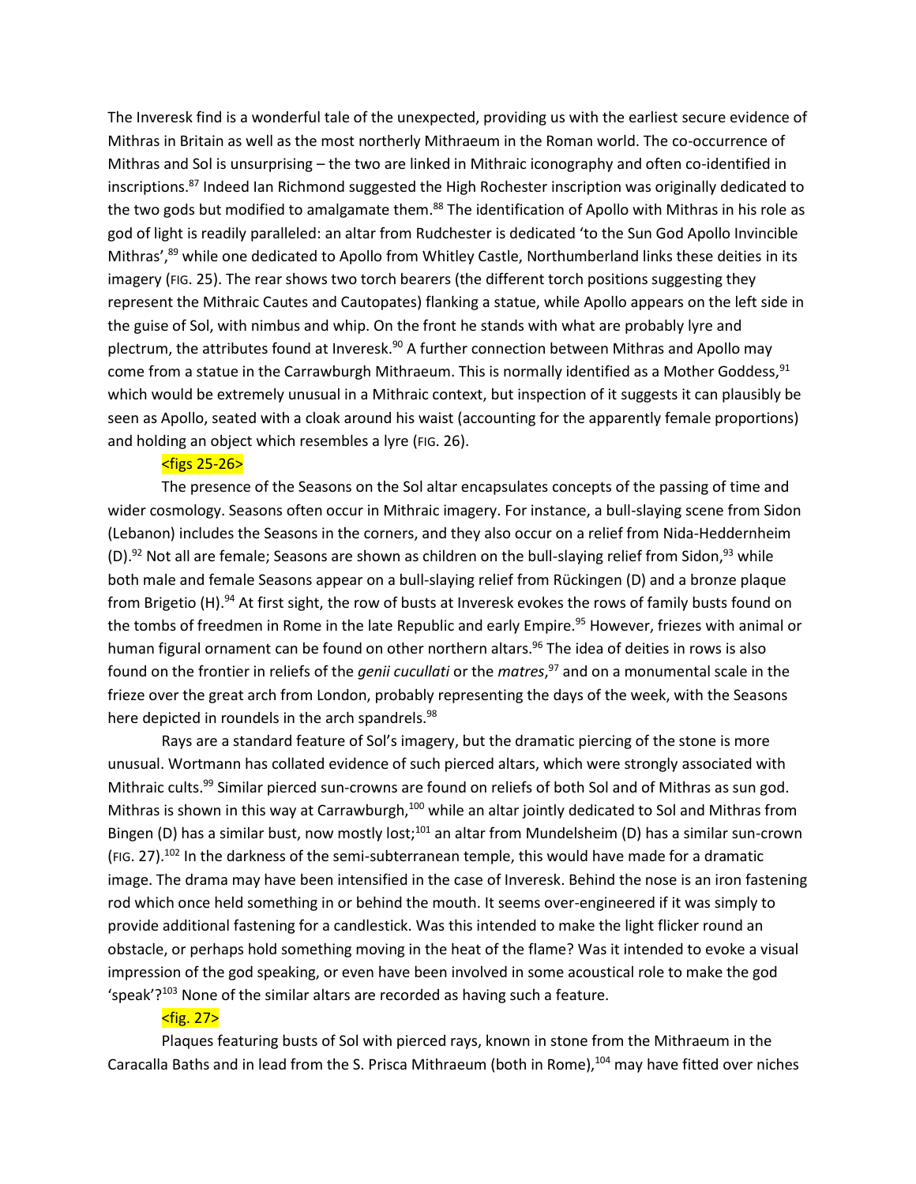The Inveresk find is a wonderful tale of the unexpected, providing us with the earliest secure evidence of Mithras in Britain as well as the most northerly Mithraeum in the Roman world. The co-occurrence of Mithras and Sol is unsurprising – the two are linked in Mithraic iconography and often co-identified in inscriptions.<sup>87</sup> Indeed Ian Richmond suggested the High Rochester inscription was originally dedicated to the two gods but modified to amalgamate them.<sup>88</sup> The identification of Apollo with Mithras in his role as god of light is readily paralleled: an altar from Rudchester is dedicated 'to the Sun God Apollo Invincible Mithras',<sup>89</sup> while one dedicated to Apollo from Whitley Castle, Northumberland links these deities in its imagery (FIG. 25). The rear shows two torch bearers (the different torch positions suggesting they represent the Mithraic Cautes and Cautopates) flanking a statue, while Apollo appears on the left side in the guise of Sol, with nimbus and whip. On the front he stands with what are probably lyre and plectrum, the attributes found at Inveresk.<sup>90</sup> A further connection between Mithras and Apollo may come from a statue in the Carrawburgh Mithraeum. This is normally identified as a Mother Goddess, <sup>91</sup> which would be extremely unusual in a Mithraic context, but inspection of it suggests it can plausibly be seen as Apollo, seated with a cloak around his waist (accounting for the apparently female proportions) and holding an object which resembles a lyre (FIG. 26).

#### <figs 25-26>

The presence of the Seasons on the Sol altar encapsulates concepts of the passing of time and wider cosmology. Seasons often occur in Mithraic imagery. For instance, a bull-slaying scene from Sidon (Lebanon) includes the Seasons in the corners, and they also occur on a relief from Nida-Heddernheim (D).<sup>92</sup> Not all are female; Seasons are shown as children on the bull-slaying relief from Sidon,<sup>93</sup> while both male and female Seasons appear on a bull-slaying relief from Rückingen (D) and a bronze plaque from Brigetio (H).<sup>94</sup> At first sight, the row of busts at Inveresk evokes the rows of family busts found on the tombs of freedmen in Rome in the late Republic and early Empire.<sup>95</sup> However, friezes with animal or human figural ornament can be found on other northern altars.<sup>96</sup> The idea of deities in rows is also found on the frontier in reliefs of the *genii cucullati* or the *matres*, <sup>97</sup> and on a monumental scale in the frieze over the great arch from London, probably representing the days of the week, with the Seasons here depicted in roundels in the arch spandrels.<sup>98</sup>

Rays are a standard feature of Sol's imagery, but the dramatic piercing of the stone is more unusual. Wortmann has collated evidence of such pierced altars, which were strongly associated with Mithraic cults.<sup>99</sup> Similar pierced sun-crowns are found on reliefs of both Sol and of Mithras as sun god. Mithras is shown in this way at Carrawburgh,<sup>100</sup> while an altar jointly dedicated to Sol and Mithras from Bingen (D) has a similar bust, now mostly lost;<sup>101</sup> an altar from Mundelsheim (D) has a similar sun-crown (FIG. 27).<sup>102</sup> In the darkness of the semi-subterranean temple, this would have made for a dramatic image. The drama may have been intensified in the case of Inveresk. Behind the nose is an iron fastening rod which once held something in or behind the mouth. It seems over-engineered if it was simply to provide additional fastening for a candlestick. Was this intended to make the light flicker round an obstacle, or perhaps hold something moving in the heat of the flame? Was it intended to evoke a visual impression of the god speaking, or even have been involved in some acoustical role to make the god 'speak'? $103$  None of the similar altars are recorded as having such a feature.

### <fig. 27>

Plaques featuring busts of Sol with pierced rays, known in stone from the Mithraeum in the Caracalla Baths and in lead from the S. Prisca Mithraeum (both in Rome),<sup>104</sup> may have fitted over niches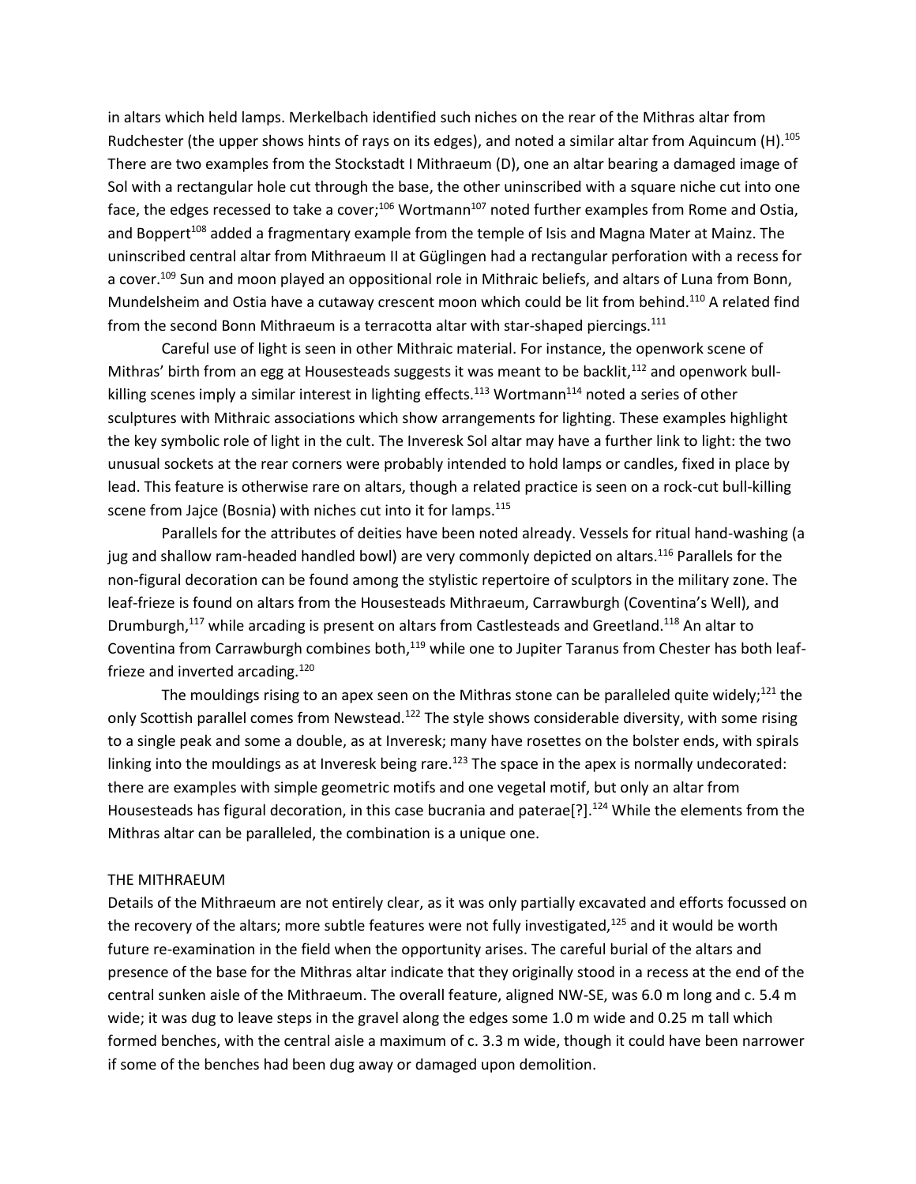in altars which held lamps. Merkelbach identified such niches on the rear of the Mithras altar from Rudchester (the upper shows hints of rays on its edges), and noted a similar altar from Aquincum (H).<sup>105</sup> There are two examples from the Stockstadt I Mithraeum (D), one an altar bearing a damaged image of Sol with a rectangular hole cut through the base, the other uninscribed with a square niche cut into one face, the edges recessed to take a cover;<sup>106</sup> Wortmann<sup>107</sup> noted further examples from Rome and Ostia, and Boppert<sup>108</sup> added a fragmentary example from the temple of Isis and Magna Mater at Mainz. The uninscribed central altar from Mithraeum II at Güglingen had a rectangular perforation with a recess for a cover.<sup>109</sup> Sun and moon played an oppositional role in Mithraic beliefs, and altars of Luna from Bonn, Mundelsheim and Ostia have a cutaway crescent moon which could be lit from behind.<sup>110</sup> A related find from the second Bonn Mithraeum is a terracotta altar with star-shaped piercings.<sup>111</sup>

Careful use of light is seen in other Mithraic material. For instance, the openwork scene of Mithras' birth from an egg at Housesteads suggests it was meant to be backlit,<sup>112</sup> and openwork bullkilling scenes imply a similar interest in lighting effects.<sup>113</sup> Wortmann<sup>114</sup> noted a series of other sculptures with Mithraic associations which show arrangements for lighting. These examples highlight the key symbolic role of light in the cult. The Inveresk Sol altar may have a further link to light: the two unusual sockets at the rear corners were probably intended to hold lamps or candles, fixed in place by lead. This feature is otherwise rare on altars, though a related practice is seen on a rock-cut bull-killing scene from Jajce (Bosnia) with niches cut into it for lamps.<sup>115</sup>

Parallels for the attributes of deities have been noted already. Vessels for ritual hand-washing (a jug and shallow ram-headed handled bowl) are very commonly depicted on altars.<sup>116</sup> Parallels for the non-figural decoration can be found among the stylistic repertoire of sculptors in the military zone. The leaf-frieze is found on altars from the Housesteads Mithraeum, Carrawburgh (Coventina's Well), and Drumburgh,<sup>117</sup> while arcading is present on altars from Castlesteads and Greetland.<sup>118</sup> An altar to Coventina from Carrawburgh combines both,<sup>119</sup> while one to Jupiter Taranus from Chester has both leaffrieze and inverted arcading.<sup>120</sup>

The mouldings rising to an apex seen on the Mithras stone can be paralleled quite widely;<sup>121</sup> the only Scottish parallel comes from Newstead.<sup>122</sup> The style shows considerable diversity, with some rising to a single peak and some a double, as at Inveresk; many have rosettes on the bolster ends, with spirals linking into the mouldings as at Inveresk being rare.<sup>123</sup> The space in the apex is normally undecorated: there are examples with simple geometric motifs and one vegetal motif, but only an altar from Housesteads has figural decoration, in this case bucrania and paterae<sup>[?]</sup>.<sup>124</sup> While the elements from the Mithras altar can be paralleled, the combination is a unique one.

#### THE MITHRAEUM

Details of the Mithraeum are not entirely clear, as it was only partially excavated and efforts focussed on the recovery of the altars; more subtle features were not fully investigated,<sup>125</sup> and it would be worth future re-examination in the field when the opportunity arises. The careful burial of the altars and presence of the base for the Mithras altar indicate that they originally stood in a recess at the end of the central sunken aisle of the Mithraeum. The overall feature, aligned NW-SE, was 6.0 m long and c. 5.4 m wide; it was dug to leave steps in the gravel along the edges some 1.0 m wide and 0.25 m tall which formed benches, with the central aisle a maximum of c. 3.3 m wide, though it could have been narrower if some of the benches had been dug away or damaged upon demolition.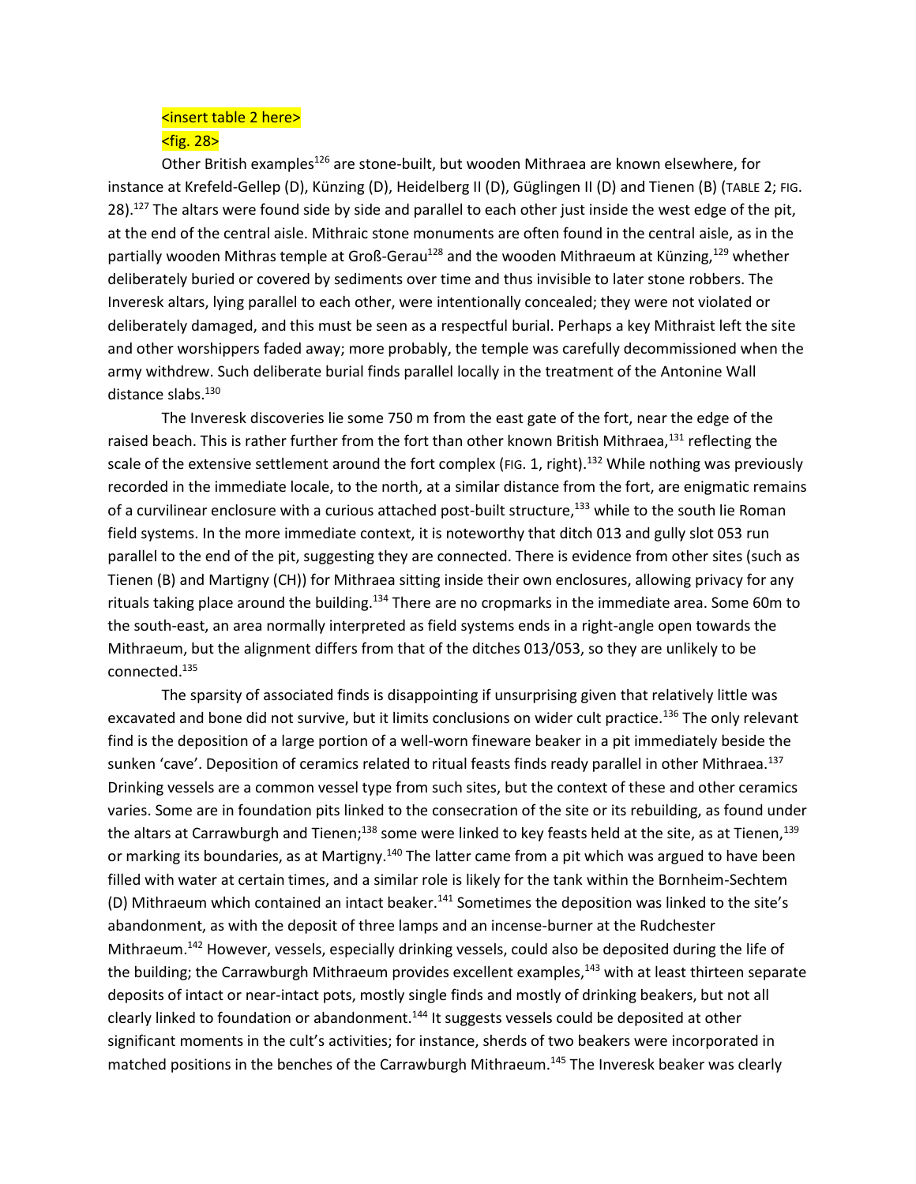## <insert table 2 here> <fig. 28>

Other British examples<sup>126</sup> are stone-built, but wooden Mithraea are known elsewhere, for instance at Krefeld-Gellep (D), Künzing (D), Heidelberg II (D), Güglingen II (D) and Tienen (B) (TABLE 2; FIG. 28).<sup>127</sup> The altars were found side by side and parallel to each other just inside the west edge of the pit, at the end of the central aisle. Mithraic stone monuments are often found in the central aisle, as in the partially wooden Mithras temple at Groß-Gerau<sup>128</sup> and the wooden Mithraeum at Künzing,<sup>129</sup> whether deliberately buried or covered by sediments over time and thus invisible to later stone robbers. The Inveresk altars, lying parallel to each other, were intentionally concealed; they were not violated or deliberately damaged, and this must be seen as a respectful burial. Perhaps a key Mithraist left the site and other worshippers faded away; more probably, the temple was carefully decommissioned when the army withdrew. Such deliberate burial finds parallel locally in the treatment of the Antonine Wall distance slabs.<sup>130</sup>

The Inveresk discoveries lie some 750 m from the east gate of the fort, near the edge of the raised beach. This is rather further from the fort than other known British Mithraea,<sup>131</sup> reflecting the scale of the extensive settlement around the fort complex (FIG. 1, right).<sup>132</sup> While nothing was previously recorded in the immediate locale, to the north, at a similar distance from the fort, are enigmatic remains of a curvilinear enclosure with a curious attached post-built structure,<sup>133</sup> while to the south lie Roman field systems. In the more immediate context, it is noteworthy that ditch 013 and gully slot 053 run parallel to the end of the pit, suggesting they are connected. There is evidence from other sites (such as Tienen (B) and Martigny (CH)) for Mithraea sitting inside their own enclosures, allowing privacy for any rituals taking place around the building.<sup>134</sup> There are no cropmarks in the immediate area. Some 60m to the south-east, an area normally interpreted as field systems ends in a right-angle open towards the Mithraeum, but the alignment differs from that of the ditches 013/053, so they are unlikely to be connected.<sup>135</sup>

The sparsity of associated finds is disappointing if unsurprising given that relatively little was excavated and bone did not survive, but it limits conclusions on wider cult practice.<sup>136</sup> The only relevant find is the deposition of a large portion of a well-worn fineware beaker in a pit immediately beside the sunken 'cave'. Deposition of ceramics related to ritual feasts finds ready parallel in other Mithraea.<sup>137</sup> Drinking vessels are a common vessel type from such sites, but the context of these and other ceramics varies. Some are in foundation pits linked to the consecration of the site or its rebuilding, as found under the altars at Carrawburgh and Tienen;<sup>138</sup> some were linked to key feasts held at the site, as at Tienen,<sup>139</sup> or marking its boundaries, as at Martigny.<sup>140</sup> The latter came from a pit which was argued to have been filled with water at certain times, and a similar role is likely for the tank within the Bornheim-Sechtem (D) Mithraeum which contained an intact beaker.<sup>141</sup> Sometimes the deposition was linked to the site's abandonment, as with the deposit of three lamps and an incense-burner at the Rudchester Mithraeum.<sup>142</sup> However, vessels, especially drinking vessels, could also be deposited during the life of the building; the Carrawburgh Mithraeum provides excellent examples,<sup>143</sup> with at least thirteen separate deposits of intact or near-intact pots, mostly single finds and mostly of drinking beakers, but not all clearly linked to foundation or abandonment.<sup>144</sup> It suggests vessels could be deposited at other significant moments in the cult's activities; for instance, sherds of two beakers were incorporated in matched positions in the benches of the Carrawburgh Mithraeum.<sup>145</sup> The Inveresk beaker was clearly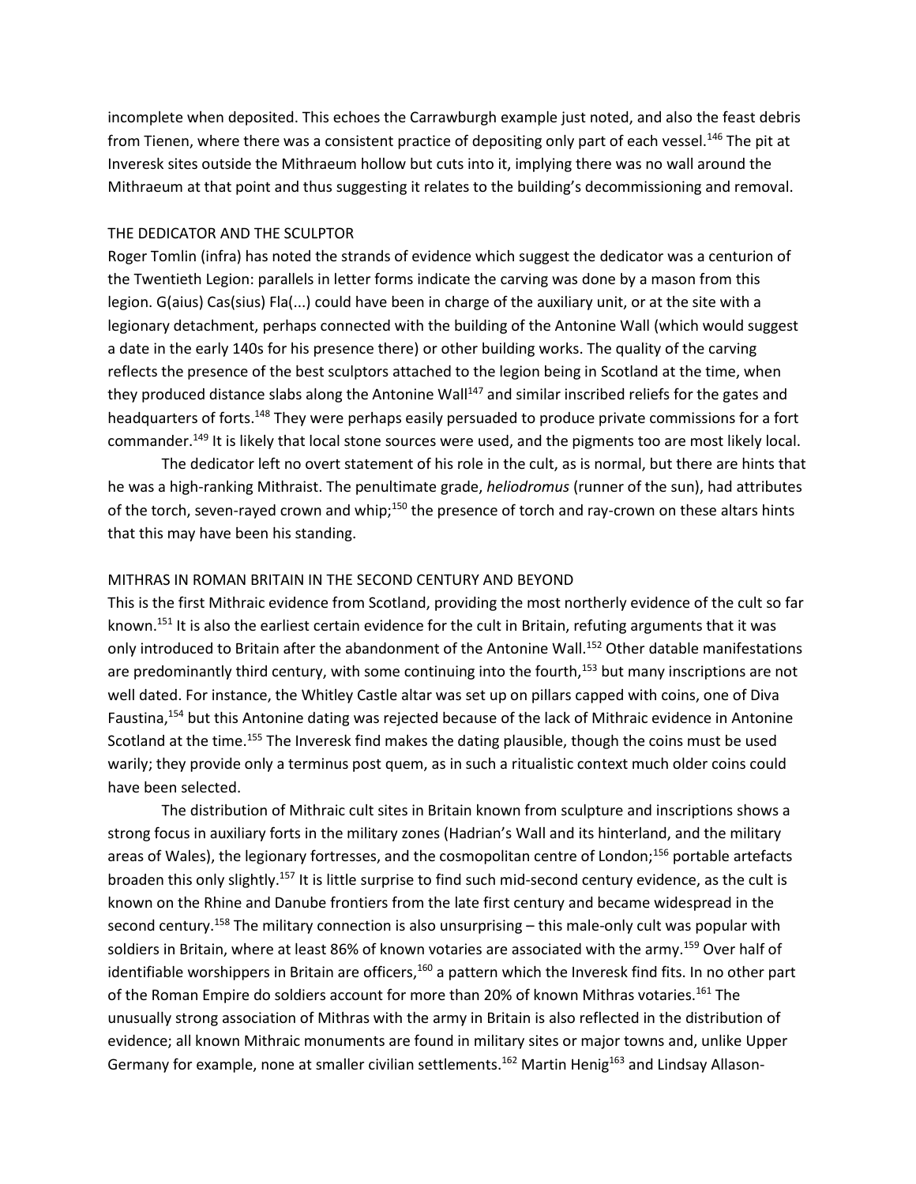incomplete when deposited. This echoes the Carrawburgh example just noted, and also the feast debris from Tienen, where there was a consistent practice of depositing only part of each vessel.<sup>146</sup> The pit at Inveresk sites outside the Mithraeum hollow but cuts into it, implying there was no wall around the Mithraeum at that point and thus suggesting it relates to the building's decommissioning and removal.

#### THE DEDICATOR AND THE SCULPTOR

Roger Tomlin (infra) has noted the strands of evidence which suggest the dedicator was a centurion of the Twentieth Legion: parallels in letter forms indicate the carving was done by a mason from this legion. G(aius) Cas(sius) Fla(...) could have been in charge of the auxiliary unit, or at the site with a legionary detachment, perhaps connected with the building of the Antonine Wall (which would suggest a date in the early 140s for his presence there) or other building works. The quality of the carving reflects the presence of the best sculptors attached to the legion being in Scotland at the time, when they produced distance slabs along the Antonine Wall<sup>147</sup> and similar inscribed reliefs for the gates and headquarters of forts.<sup>148</sup> They were perhaps easily persuaded to produce private commissions for a fort commander.<sup>149</sup> It is likely that local stone sources were used, and the pigments too are most likely local.

The dedicator left no overt statement of his role in the cult, as is normal, but there are hints that he was a high-ranking Mithraist. The penultimate grade, *heliodromus* (runner of the sun), had attributes of the torch, seven-rayed crown and whip;<sup>150</sup> the presence of torch and ray-crown on these altars hints that this may have been his standing.

#### MITHRAS IN ROMAN BRITAIN IN THE SECOND CENTURY AND BEYOND

This is the first Mithraic evidence from Scotland, providing the most northerly evidence of the cult so far known.<sup>151</sup> It is also the earliest certain evidence for the cult in Britain, refuting arguments that it was only introduced to Britain after the abandonment of the Antonine Wall.<sup>152</sup> Other datable manifestations are predominantly third century, with some continuing into the fourth,<sup>153</sup> but many inscriptions are not well dated. For instance, the Whitley Castle altar was set up on pillars capped with coins, one of Diva Faustina,<sup>154</sup> but this Antonine dating was rejected because of the lack of Mithraic evidence in Antonine Scotland at the time.<sup>155</sup> The Inveresk find makes the dating plausible, though the coins must be used warily; they provide only a terminus post quem, as in such a ritualistic context much older coins could have been selected.

The distribution of Mithraic cult sites in Britain known from sculpture and inscriptions shows a strong focus in auxiliary forts in the military zones (Hadrian's Wall and its hinterland, and the military areas of Wales), the legionary fortresses, and the cosmopolitan centre of London;<sup>156</sup> portable artefacts broaden this only slightly.<sup>157</sup> It is little surprise to find such mid-second century evidence, as the cult is known on the Rhine and Danube frontiers from the late first century and became widespread in the second century.<sup>158</sup> The military connection is also unsurprising  $-$  this male-only cult was popular with soldiers in Britain, where at least 86% of known votaries are associated with the army.<sup>159</sup> Over half of identifiable worshippers in Britain are officers,<sup>160</sup> a pattern which the Inveresk find fits. In no other part of the Roman Empire do soldiers account for more than 20% of known Mithras votaries.<sup>161</sup> The unusually strong association of Mithras with the army in Britain is also reflected in the distribution of evidence; all known Mithraic monuments are found in military sites or major towns and, unlike Upper Germany for example, none at smaller civilian settlements.<sup>162</sup> Martin Henig<sup>163</sup> and Lindsay Allason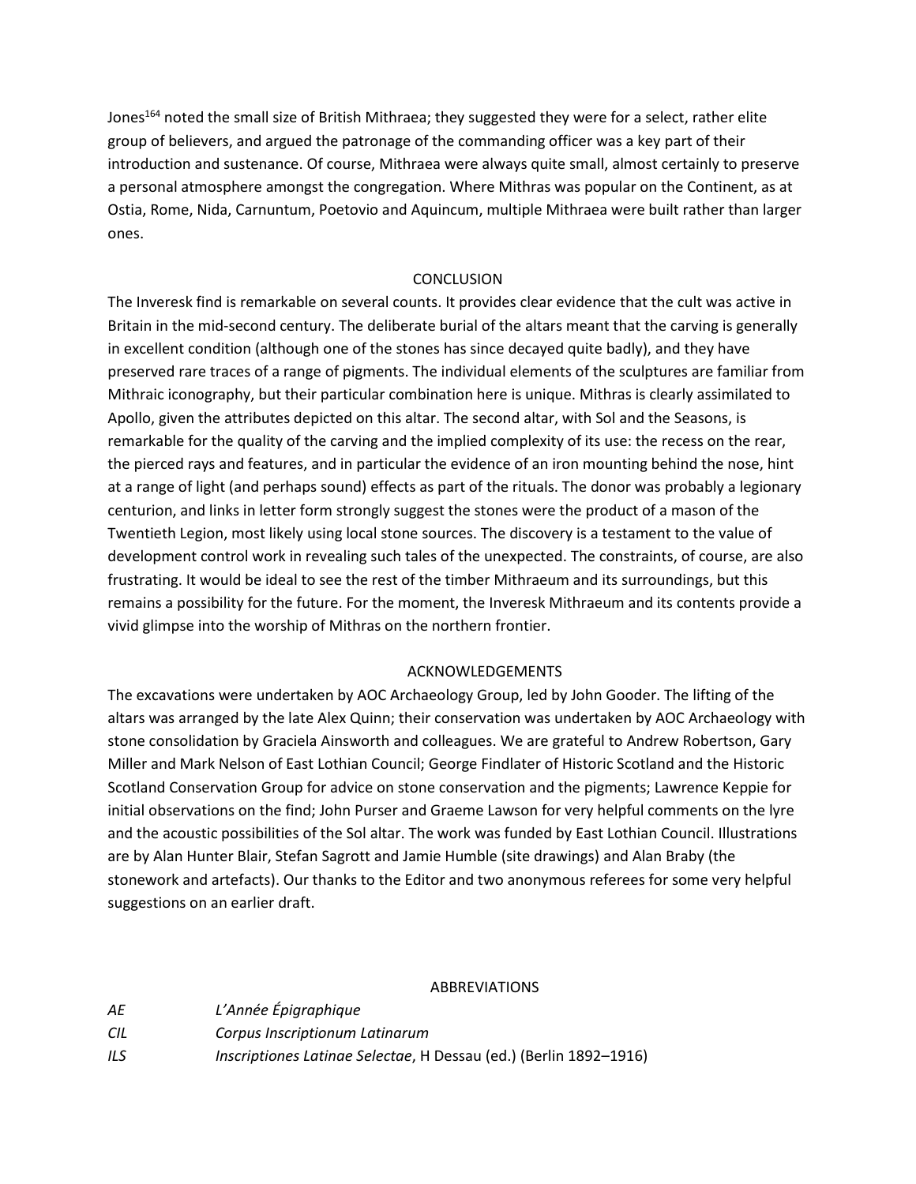Jones<sup>164</sup> noted the small size of British Mithraea; they suggested they were for a select, rather elite group of believers, and argued the patronage of the commanding officer was a key part of their introduction and sustenance. Of course, Mithraea were always quite small, almost certainly to preserve a personal atmosphere amongst the congregation. Where Mithras was popular on the Continent, as at Ostia, Rome, Nida, Carnuntum, Poetovio and Aquincum, multiple Mithraea were built rather than larger ones.

#### **CONCLUSION**

The Inveresk find is remarkable on several counts. It provides clear evidence that the cult was active in Britain in the mid-second century. The deliberate burial of the altars meant that the carving is generally in excellent condition (although one of the stones has since decayed quite badly), and they have preserved rare traces of a range of pigments. The individual elements of the sculptures are familiar from Mithraic iconography, but their particular combination here is unique. Mithras is clearly assimilated to Apollo, given the attributes depicted on this altar. The second altar, with Sol and the Seasons, is remarkable for the quality of the carving and the implied complexity of its use: the recess on the rear, the pierced rays and features, and in particular the evidence of an iron mounting behind the nose, hint at a range of light (and perhaps sound) effects as part of the rituals. The donor was probably a legionary centurion, and links in letter form strongly suggest the stones were the product of a mason of the Twentieth Legion, most likely using local stone sources. The discovery is a testament to the value of development control work in revealing such tales of the unexpected. The constraints, of course, are also frustrating. It would be ideal to see the rest of the timber Mithraeum and its surroundings, but this remains a possibility for the future. For the moment, the Inveresk Mithraeum and its contents provide a vivid glimpse into the worship of Mithras on the northern frontier.

#### ACKNOWLEDGEMENTS

The excavations were undertaken by AOC Archaeology Group, led by John Gooder. The lifting of the altars was arranged by the late Alex Quinn; their conservation was undertaken by AOC Archaeology with stone consolidation by Graciela Ainsworth and colleagues. We are grateful to Andrew Robertson, Gary Miller and Mark Nelson of East Lothian Council; George Findlater of Historic Scotland and the Historic Scotland Conservation Group for advice on stone conservation and the pigments; Lawrence Keppie for initial observations on the find; John Purser and Graeme Lawson for very helpful comments on the lyre and the acoustic possibilities of the Sol altar. The work was funded by East Lothian Council. Illustrations are by Alan Hunter Blair, Stefan Sagrott and Jamie Humble (site drawings) and Alan Braby (the stonework and artefacts). Our thanks to the Editor and two anonymous referees for some very helpful suggestions on an earlier draft.

#### ABBREVIATIONS

| L'Année Épigraphique<br>AF |  |
|----------------------------|--|
|----------------------------|--|

- *CIL Corpus Inscriptionum Latinarum*
- *ILS Inscriptiones Latinae Selectae*, H Dessau (ed.) (Berlin 1892–1916)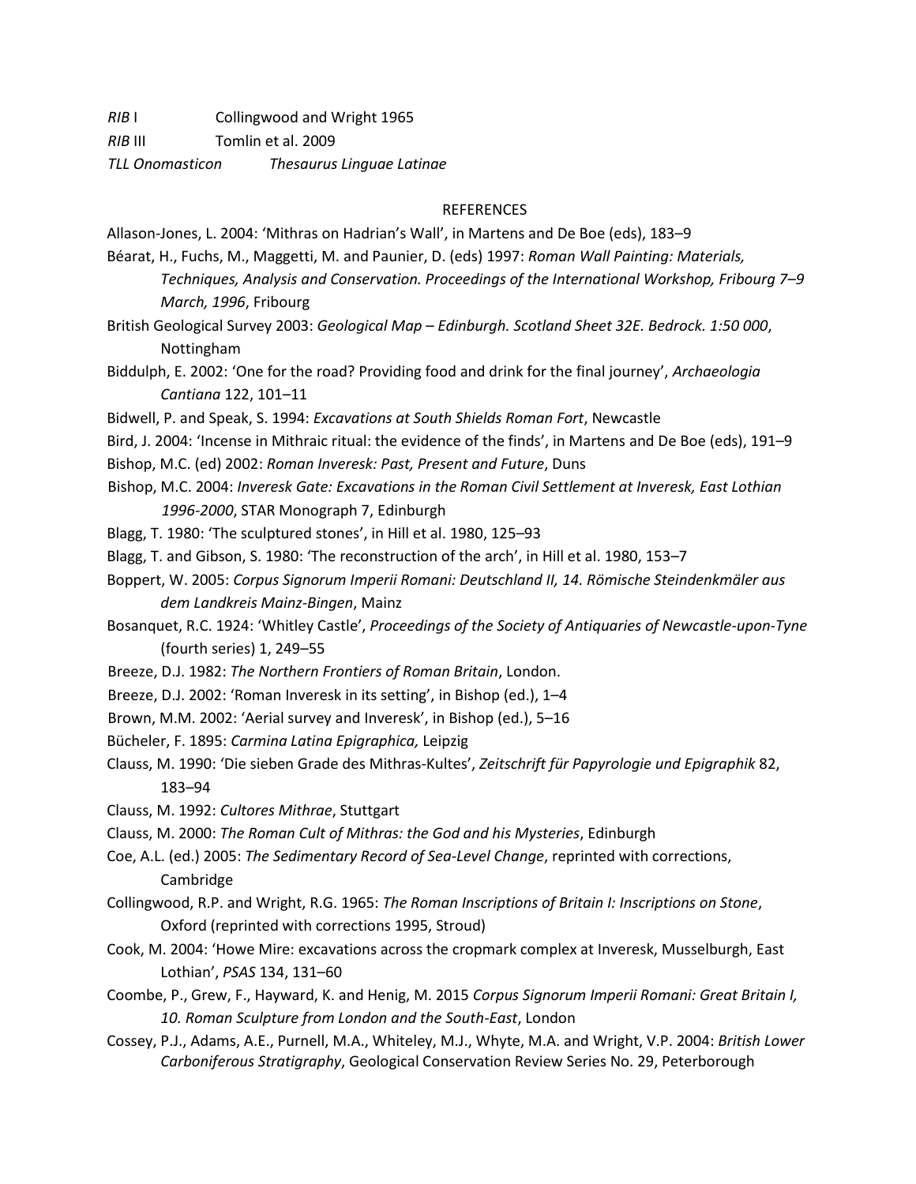*RIB* I Collingwood and Wright 1965

*RIB* III Tomlin et al. 2009

*TLL Onomasticon Thesaurus Linguae Latinae*

## **REFERENCES**

Allason-Jones, L. 2004: 'Mithras on Hadrian's Wall', in Martens and De Boe (eds), 183–9

Béarat, H., Fuchs, M., Maggetti, M. and Paunier, D. (eds) 1997: *Roman Wall Painting: Materials, Techniques, Analysis and Conservation. Proceedings of the International Workshop, Fribourg 7*–*9 March, 1996*, Fribourg

British Geological Survey 2003: *Geological Map* – *Edinburgh. Scotland Sheet 32E. Bedrock. 1:50 000*, Nottingham

Biddulph, E. 2002: 'One for the road? Providing food and drink for the final journey', *Archaeologia Cantiana* 122, 101–11

Bidwell, P. and Speak, S. 1994: *Excavations at South Shields Roman Fort*, Newcastle

Bird, J. 2004: 'Incense in Mithraic ritual: the evidence of the finds', in Martens and De Boe (eds), 191–9

Bishop, M.C. (ed) 2002: *Roman Inveresk: Past, Present and Future*, Duns

Bishop, M.C. 2004: *Inveresk Gate: Excavations in the Roman Civil Settlement at Inveresk, East Lothian 1996-2000*, STAR Monograph 7, Edinburgh

Blagg, T. 1980: 'The sculptured stones', in Hill et al. 1980, 125–93

Blagg, T. and Gibson, S. 1980: 'The reconstruction of the arch', in Hill et al. 1980, 153–7

Boppert, W. 2005: *Corpus Signorum Imperii Romani: Deutschland II, 14. Römische Steindenkmäler aus dem Landkreis Mainz-Bingen*, Mainz

Bosanquet, R.C. 1924: 'Whitley Castle', *Proceedings of the Society of Antiquaries of Newcastle-upon-Tyne* (fourth series) 1, 249–55

Breeze, D.J. 1982: *The Northern Frontiers of Roman Britain*, London.

Breeze, D.J. 2002: 'Roman Inveresk in its setting', in Bishop (ed.), 1–4

Brown, M.M. 2002: 'Aerial survey and Inveresk', in Bishop (ed.), 5–16

Bücheler, F. 1895: *Carmina Latina Epigraphica,* Leipzig

Clauss, M. 1990: 'Die sieben Grade des Mithras-Kultes', *Zeitschrift für Papyrologie und Epigraphik* 82, 183–94

Clauss, M. 1992: *Cultores Mithrae*, Stuttgart

Clauss, M. 2000: *The Roman Cult of Mithras: the God and his Mysteries*, Edinburgh

Coe, A.L. (ed.) 2005: *The Sedimentary Record of Sea-Level Change*, reprinted with corrections, Cambridge

Collingwood, R.P. and Wright, R.G. 1965: *The Roman Inscriptions of Britain I: Inscriptions on Stone*, Oxford (reprinted with corrections 1995, Stroud)

Cook, M. 2004: 'Howe Mire: excavations across the cropmark complex at Inveresk, Musselburgh, East Lothian', *PSAS* 134, 131–60

Coombe, P., Grew, F., Hayward, K. and Henig, M. 2015 *Corpus Signorum Imperii Romani: Great Britain I, 10. Roman Sculpture from London and the South-East*, London

Cossey, P.J., Adams, A.E., Purnell, M.A., Whiteley, M.J., Whyte, M.A. and Wright, V.P. 2004: *British Lower Carboniferous Stratigraphy*, Geological Conservation Review Series No. 29, Peterborough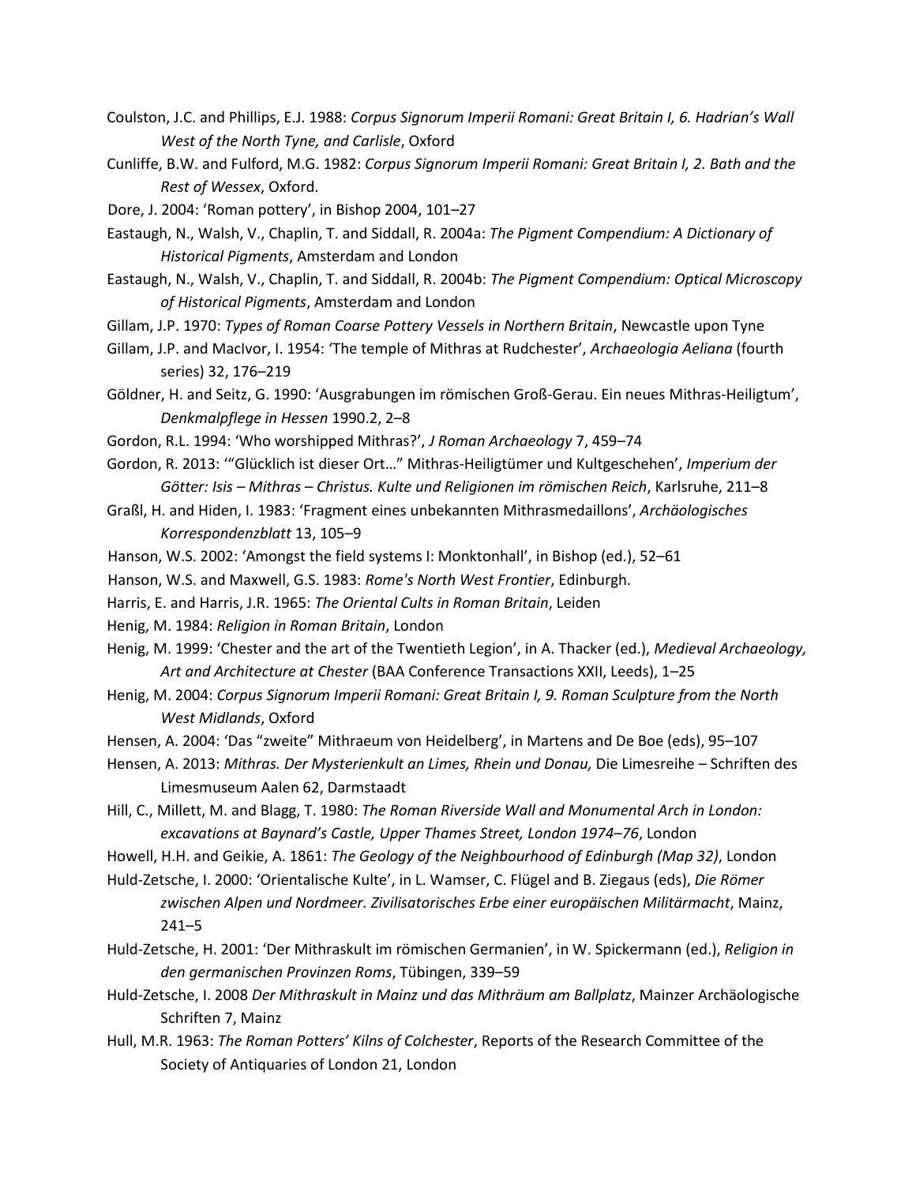- Coulston, J.C. and Phillips, E.J. 1988: *Corpus Signorum Imperii Romani: Great Britain I, 6. Hadrian's Wall West of the North Tyne, and Carlisle*, Oxford
- Cunliffe, B.W. and Fulford, M.G. 1982: *Corpus Signorum Imperii Romani: Great Britain I, 2. Bath and the Rest of Wessex*, Oxford.
- Dore, J. 2004: 'Roman pottery', in Bishop 2004, 101–27

Eastaugh, N., Walsh, V., Chaplin, T. and Siddall, R. 2004a: *The Pigment Compendium: A Dictionary of Historical Pigments*, Amsterdam and London

- Eastaugh, N., Walsh, V., Chaplin, T. and Siddall, R. 2004b: *The Pigment Compendium: Optical Microscopy of Historical Pigments*, Amsterdam and London
- Gillam, J.P. 1970: *Types of Roman Coarse Pottery Vessels in Northern Britain*, Newcastle upon Tyne
- Gillam, J.P. and MacIvor, I. 1954: 'The temple of Mithras at Rudchester', *Archaeologia Aeliana* (fourth series) 32, 176–219
- Göldner, H. and Seitz, G. 1990: 'Ausgrabungen im römischen Groß-Gerau. Ein neues Mithras-Heiligtum', *Denkmalpflege in Hessen* 1990.2, 2–8
- Gordon, R.L. 1994: 'Who worshipped Mithras?', *J Roman Archaeology* 7, 459–74
- Gordon, R. 2013: '"Glücklich ist dieser Ort…" Mithras-Heiligtümer und Kultgeschehen', *Imperium der Götter: Isis – Mithras – Christus. Kulte und Religionen im römischen Reich*, Karlsruhe, 211–8
- Graßl, H. and Hiden, I. 1983: 'Fragment eines unbekannten Mithrasmedaillons', *Archäologisches Korrespondenzblatt* 13, 105–9
- Hanson, W.S. 2002: 'Amongst the field systems I: Monktonhall', in Bishop (ed.), 52–61
- Hanson, W.S. and Maxwell, G.S. 1983: *Rome's North West Frontier*, Edinburgh.
- Harris, E. and Harris, J.R. 1965: *The Oriental Cults in Roman Britain*, Leiden
- Henig, M. 1984: *Religion in Roman Britain*, London
- Henig, M. 1999: 'Chester and the art of the Twentieth Legion', in A. Thacker (ed.), *Medieval Archaeology, Art and Architecture at Chester* (BAA Conference Transactions XXII, Leeds), 1–25
- Henig, M. 2004: *Corpus Signorum Imperii Romani: Great Britain I, 9. Roman Sculpture from the North West Midlands*, Oxford
- Hensen, A. 2004: 'Das "zweite" Mithraeum von Heidelberg', in Martens and De Boe (eds), 95–107
- Hensen, A. 2013: *Mithras. Der Mysterienkult an Limes, Rhein und Donau,* Die Limesreihe Schriften des Limesmuseum Aalen 62, Darmstaadt
- Hill, C., Millett, M. and Blagg, T. 1980: *The Roman Riverside Wall and Monumental Arch in London: excavations at Baynard's Castle, Upper Thames Street, London 1974*–*76*, London

Howell, H.H. and Geikie, A. 1861: *The Geology of the Neighbourhood of Edinburgh (Map 32)*, London

Huld-Zetsche, I. 2000: 'Orientalische Kulte', in L. Wamser, C. Flügel and B. Ziegaus (eds), *Die Römer zwischen Alpen und Nordmeer. Zivilisatorisches Erbe einer europäischen Militärmacht*, Mainz, 241–5

- Huld-Zetsche, H. 2001: 'Der Mithraskult im römischen Germanien', in W. Spickermann (ed.), *Religion in den germanischen Provinzen Roms*, Tübingen, 339–59
- Huld-Zetsche, I. 2008 *Der Mithraskult in Mainz und das Mithräum am Ballplatz*, Mainzer Archäologische Schriften 7, Mainz
- Hull, M.R. 1963: *The Roman Potters' Kilns of Colchester*, Reports of the Research Committee of the Society of Antiquaries of London 21, London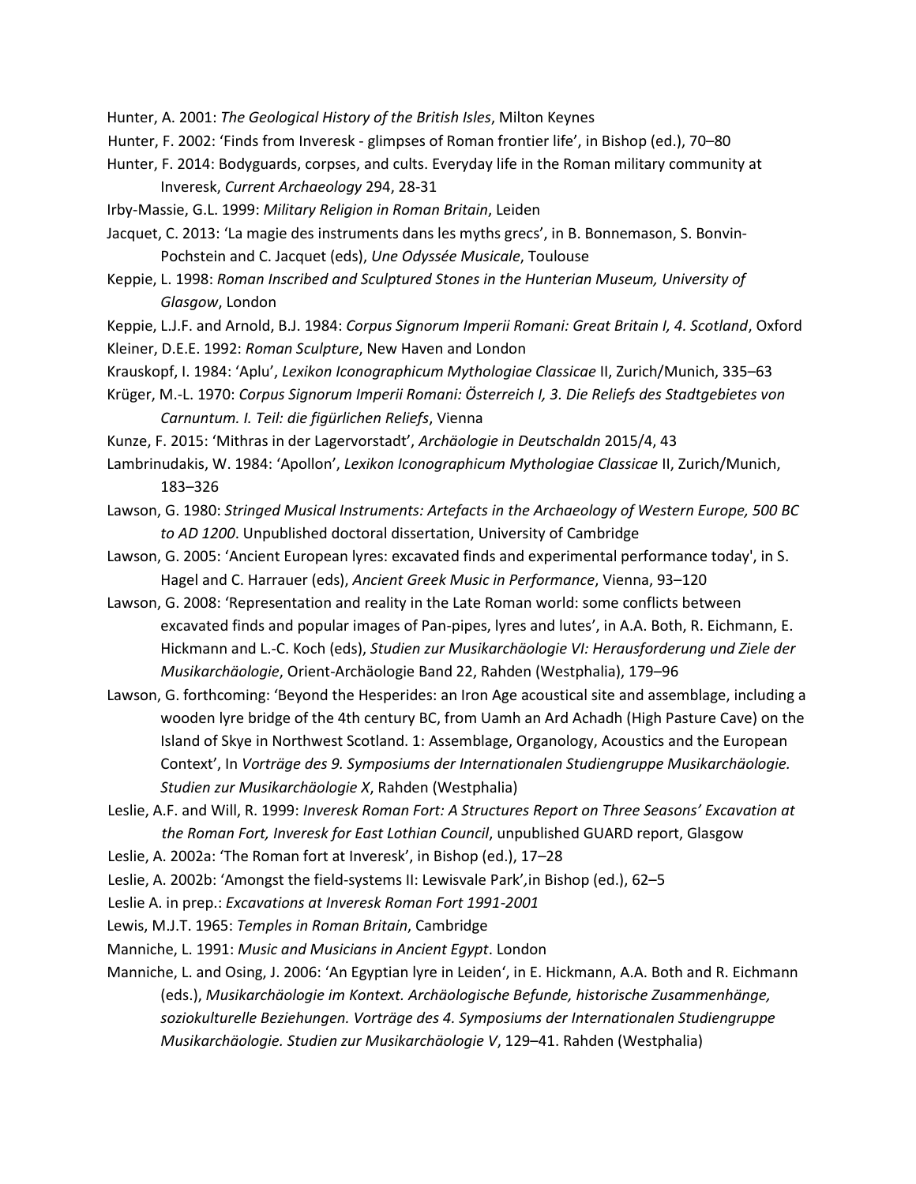Hunter, A. 2001: *The Geological History of the British Isles*, Milton Keynes

Hunter, F. 2002: 'Finds from Inveresk - glimpses of Roman frontier life', in Bishop (ed.), 70–80

- Hunter, F. 2014: Bodyguards, corpses, and cults. Everyday life in the Roman military community at Inveresk, *Current Archaeology* 294, 28-31
- Irby-Massie, G.L. 1999: *Military Religion in Roman Britain*, Leiden

Jacquet, C. 2013: 'La magie des instruments dans les myths grecs', in B. Bonnemason, S. Bonvin-Pochstein and C. Jacquet (eds), *Une Odyssée Musicale*, Toulouse

- Keppie, L. 1998: *Roman Inscribed and Sculptured Stones in the Hunterian Museum, University of Glasgow*, London
- Keppie, L.J.F. and Arnold, B.J. 1984: *Corpus Signorum Imperii Romani: Great Britain I, 4. Scotland*, Oxford Kleiner, D.E.E. 1992: *Roman Sculpture*, New Haven and London
- Krauskopf, I. 1984: 'Aplu', *Lexikon Iconographicum Mythologiae Classicae* II, Zurich/Munich, 335–63
- Krüger, M.-L. 1970: *Corpus Signorum Imperii Romani: Österreich I, 3. Die Reliefs des Stadtgebietes von Carnuntum. I. Teil: die figürlichen Reliefs*, Vienna
- Kunze, F. 2015: 'Mithras in der Lagervorstadt', *Archäologie in Deutschaldn* 2015/4, 43

Lambrinudakis, W. 1984: 'Apollon', *Lexikon Iconographicum Mythologiae Classicae* II, Zurich/Munich, 183–326

- Lawson, G. 1980: *Stringed Musical Instruments: Artefacts in the Archaeology of Western Europe, 500 BC to AD 1200*. Unpublished doctoral dissertation, University of Cambridge
- Lawson, G. 2005: 'Ancient European lyres: excavated finds and experimental performance today', in S. Hagel and C. Harrauer (eds), *Ancient Greek Music in Performance*, Vienna, 93–120
- Lawson, G. 2008: 'Representation and reality in the Late Roman world: some conflicts between excavated finds and popular images of Pan-pipes, lyres and lutes', in A.A. Both, R. Eichmann, E. Hickmann and L.-C. Koch (eds), *Studien zur Musikarchäologie VI: Herausforderung und Ziele der Musikarchäologie*, Orient-Archäologie Band 22, Rahden (Westphalia), 179–96
- Lawson, G. forthcoming: 'Beyond the Hesperides: an Iron Age acoustical site and assemblage, including a wooden lyre bridge of the 4th century BC, from Uamh an Ard Achadh (High Pasture Cave) on the Island of Skye in Northwest Scotland. 1: Assemblage, Organology, Acoustics and the European Context', In *Vorträge des 9. Symposiums der Internationalen Studiengruppe Musikarchäologie. Studien zur Musikarchäologie X*, Rahden (Westphalia)
- Leslie, A.F. and Will, R. 1999: *Inveresk Roman Fort: A Structures Report on Three Seasons' Excavation at the Roman Fort, Inveresk for East Lothian Council*, unpublished GUARD report, Glasgow
- Leslie, A. 2002a: 'The Roman fort at Inveresk', in Bishop (ed.), 17–28
- Leslie, A. 2002b: 'Amongst the field-systems II: Lewisvale Park'*,*in Bishop (ed.), 62–5

Leslie A. in prep.: *Excavations at Inveresk Roman Fort 1991-2001*

Lewis, M.J.T. 1965: *Temples in Roman Britain*, Cambridge

Manniche, L. 1991: *Music and Musicians in Ancient Egypt*. London

Manniche, L. and Osing, J. 2006: 'An Egyptian lyre in Leiden', in E. Hickmann, A.A. Both and R. Eichmann (eds.), *Musikarchäologie im Kontext. Archäologische Befunde, historische Zusammenhänge, soziokulturelle Beziehungen. Vorträge des 4. Symposiums der Internationalen Studiengruppe Musikarchäologie. Studien zur Musikarchäologie V*, 129–41. Rahden (Westphalia)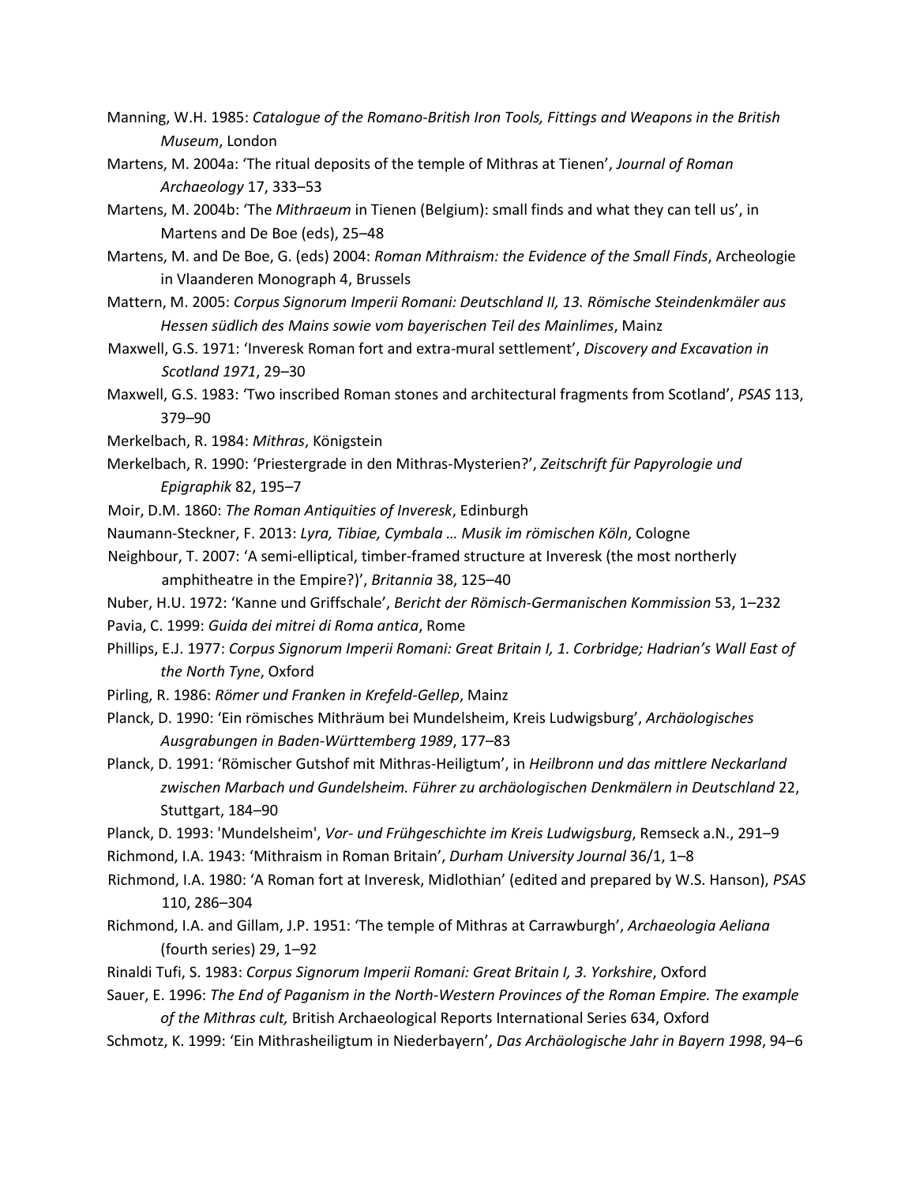- Manning, W.H. 1985: *Catalogue of the Romano-British Iron Tools, Fittings and Weapons in the British Museum*, London
- Martens, M. 2004a: 'The ritual deposits of the temple of Mithras at Tienen', *Journal of Roman Archaeology* 17, 333–53
- Martens, M. 2004b: 'The *Mithraeum* in Tienen (Belgium): small finds and what they can tell us', in Martens and De Boe (eds), 25–48
- Martens, M. and De Boe, G. (eds) 2004: *Roman Mithraism: the Evidence of the Small Finds*, Archeologie in Vlaanderen Monograph 4, Brussels
- Mattern, M. 2005: *Corpus Signorum Imperii Romani: Deutschland II, 13. Römische Steindenkmäler aus Hessen südlich des Mains sowie vom bayerischen Teil des Mainlimes*, Mainz
- Maxwell, G.S. 1971: 'Inveresk Roman fort and extra-mural settlement', *Discovery and Excavation in Scotland 1971*, 29–30
- Maxwell, G.S. 1983: 'Two inscribed Roman stones and architectural fragments from Scotland', *PSAS* 113, 379–90
- Merkelbach, R. 1984: *Mithras*, Königstein
- Merkelbach, R. 1990: 'Priestergrade in den Mithras-Mysterien?', *Zeitschrift für Papyrologie und Epigraphik* 82, 195–7
- Moir, D.M. 1860: *The Roman Antiquities of Inveresk*, Edinburgh
- Naumann-Steckner, F. 2013: *Lyra, Tibiae, Cymbala … Musik im römischen Köln*, Cologne
- Neighbour, T. 2007: 'A semi-elliptical, timber-framed structure at Inveresk (the most northerly amphitheatre in the Empire?)', *Britannia* 38, 125–40
- Nuber, H.U. 1972: 'Kanne und Griffschale', *Bericht der Römisch-Germanischen Kommission* 53, 1–232
- Pavia, C. 1999: *Guida dei mitrei di Roma antica*, Rome
- Phillips, E.J. 1977: *Corpus Signorum Imperii Romani: Great Britain I, 1. Corbridge; Hadrian's Wall East of the North Tyne*, Oxford
- Pirling, R. 1986: *Römer und Franken in Krefeld-Gellep*, Mainz
- Planck, D. 1990: 'Ein römisches Mithräum bei Mundelsheim, Kreis Ludwigsburg', *Archäologisches Ausgrabungen in Baden-Württemberg 1989*, 177–83
- Planck, D. 1991: 'Römischer Gutshof mit Mithras-Heiligtum', in *Heilbronn und das mittlere Neckarland zwischen Marbach und Gundelsheim. Führer zu archäologischen Denkmälern in Deutschland* 22, Stuttgart, 184–90
- Planck, D. 1993: 'Mundelsheim', *Vor- und Frühgeschichte im Kreis Ludwigsburg*, Remseck a.N., 291–9
- Richmond, I.A. 1943: 'Mithraism in Roman Britain', *Durham University Journal* 36/1, 1–8
- Richmond, I.A. 1980: 'A Roman fort at Inveresk, Midlothian' (edited and prepared by W.S. Hanson), *PSAS*  110, 286–304
- Richmond, I.A. and Gillam, J.P. 1951: 'The temple of Mithras at Carrawburgh', *Archaeologia Aeliana* (fourth series) 29, 1–92
- Rinaldi Tufi, S. 1983: *Corpus Signorum Imperii Romani: Great Britain I, 3. Yorkshire*, Oxford
- Sauer, E. 1996: *The End of Paganism in the North-Western Provinces of the Roman Empire. The example of the Mithras cult,* British Archaeological Reports International Series 634, Oxford
- Schmotz, K. 1999: 'Ein Mithrasheiligtum in Niederbayern', *Das Archäologische Jahr in Bayern 1998*, 94–6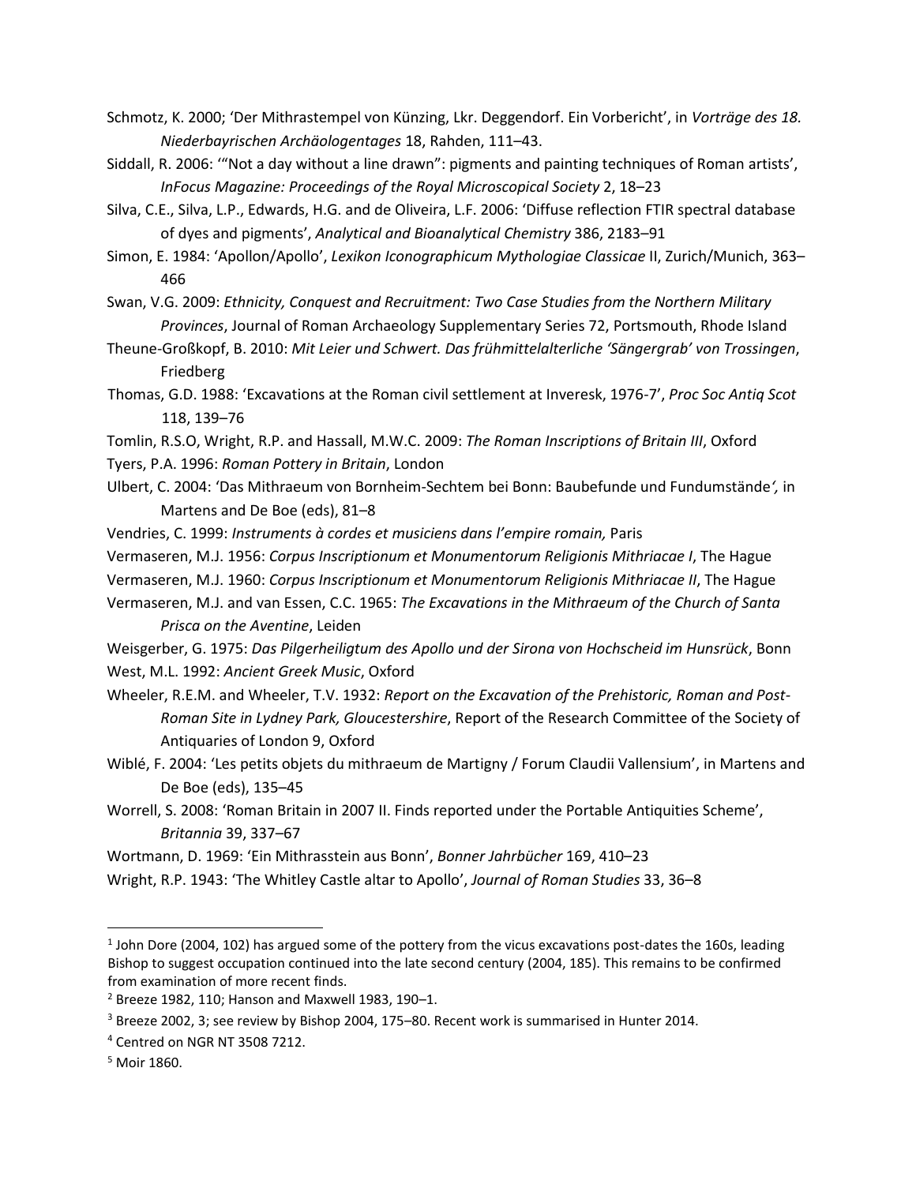- Schmotz, K. 2000; 'Der Mithrastempel von Künzing, Lkr. Deggendorf. Ein Vorbericht', in *Vorträge des 18. Niederbayrischen Archäologentages* 18, Rahden, 111–43.
- Siddall, R. 2006: '"Not a day without a line drawn": pigments and painting techniques of Roman artists', *InFocus Magazine: Proceedings of the Royal Microscopical Society* 2, 18–23
- Silva, C.E., Silva, L.P., Edwards, H.G. and de Oliveira, L.F. 2006: 'Diffuse reflection FTIR spectral database of dyes and pigments', *Analytical and Bioanalytical Chemistry* 386, 2183–91
- Simon, E. 1984: 'Apollon/Apollo', *Lexikon Iconographicum Mythologiae Classicae* II, Zurich/Munich, 363– 466
- Swan, V.G. 2009: *Ethnicity, Conquest and Recruitment: Two Case Studies from the Northern Military Provinces*, Journal of Roman Archaeology Supplementary Series 72, Portsmouth, Rhode Island
- Theune-Großkopf, B. 2010: *Mit Leier und Schwert. Das frühmittelalterliche 'Sängergrab' von Trossingen*, Friedberg
- Thomas, G.D. 1988: 'Excavations at the Roman civil settlement at Inveresk, 1976-7', *Proc Soc Antiq Scot*  118, 139–76
- Tomlin, R.S.O, Wright, R.P. and Hassall, M.W.C. 2009: *The Roman Inscriptions of Britain III*, Oxford Tyers, P.A. 1996: *Roman Pottery in Britain*, London
- Ulbert, C. 2004: 'Das Mithraeum von Bornheim-Sechtem bei Bonn: Baubefunde und Fundumstände*',* in Martens and De Boe (eds), 81–8
- Vendries, C. 1999: *Instruments à cordes et musiciens dans l'empire romain,* Paris
- Vermaseren, M.J. 1956: *Corpus Inscriptionum et Monumentorum Religionis Mithriacae I*, The Hague
- Vermaseren, M.J. 1960: *Corpus Inscriptionum et Monumentorum Religionis Mithriacae II*, The Hague
- Vermaseren, M.J. and van Essen, C.C. 1965: *The Excavations in the Mithraeum of the Church of Santa Prisca on the Aventine*, Leiden
- Weisgerber, G. 1975: *Das Pilgerheiligtum des Apollo und der Sirona von Hochscheid im Hunsrück*, Bonn West, M.L. 1992: *Ancient Greek Music*, Oxford
- Wheeler, R.E.M. and Wheeler, T.V. 1932: *Report on the Excavation of the Prehistoric, Roman and Post-Roman Site in Lydney Park, Gloucestershire*, Report of the Research Committee of the Society of Antiquaries of London 9, Oxford
- Wiblé, F. 2004: 'Les petits objets du mithraeum de Martigny / Forum Claudii Vallensium', in Martens and De Boe (eds), 135–45
- Worrell, S. 2008: 'Roman Britain in 2007 II. Finds reported under the Portable Antiquities Scheme', *Britannia* 39, 337–67
- Wortmann, D. 1969: 'Ein Mithrasstein aus Bonn', *Bonner Jahrbücher* 169, 410–23
- Wright, R.P. 1943: 'The Whitley Castle altar to Apollo', *Journal of Roman Studies* 33, 36–8

l

 $^1$  John Dore (2004, 102) has argued some of the pottery from the vicus excavations post-dates the 160s, leading Bishop to suggest occupation continued into the late second century (2004, 185). This remains to be confirmed from examination of more recent finds.

<sup>2</sup> Breeze 1982, 110; Hanson and Maxwell 1983, 190–1.

<sup>3</sup> Breeze 2002, 3; see review by Bishop 2004, 175–80. Recent work is summarised in Hunter 2014.

<sup>4</sup> Centred on NGR NT 3508 7212.

<sup>5</sup> Moir 1860.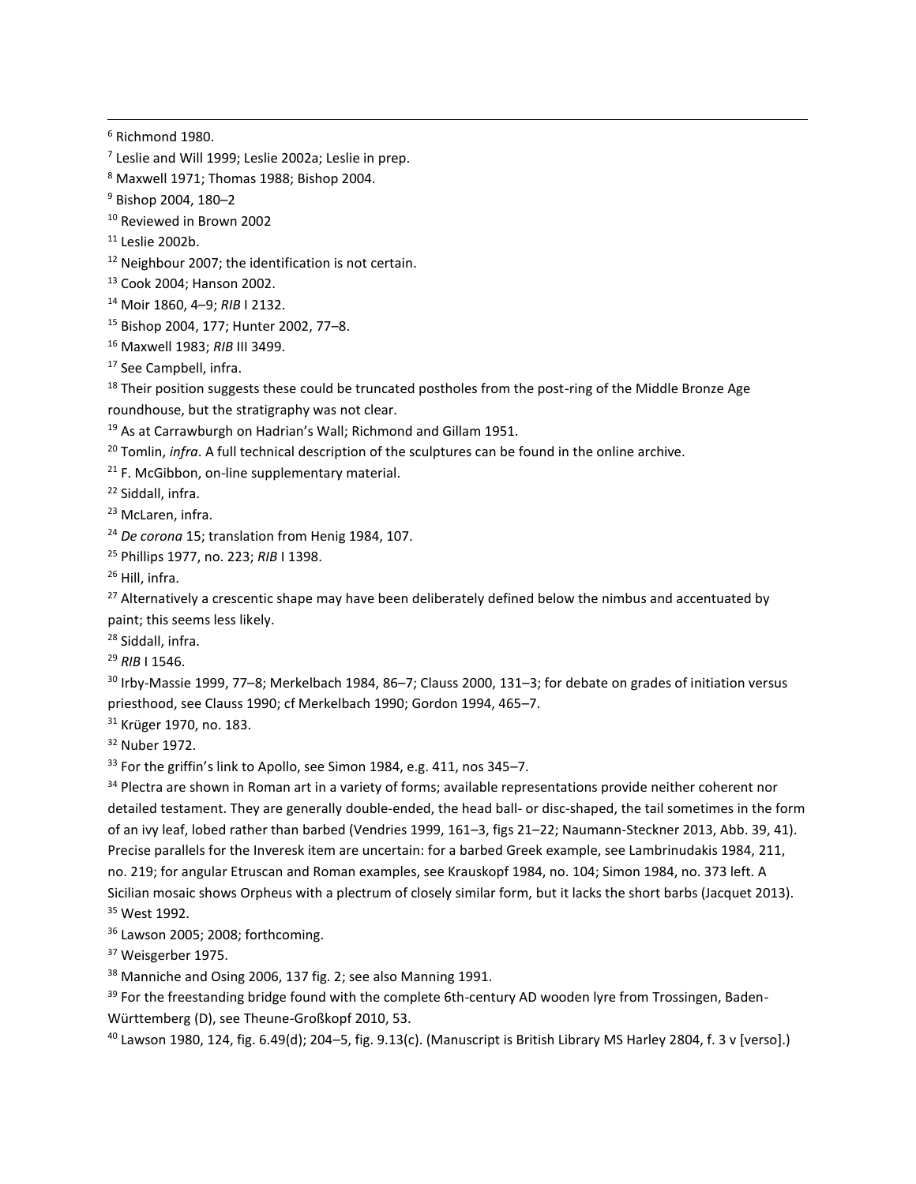<sup>6</sup> Richmond 1980.

 $\overline{\phantom{a}}$ 

<sup>7</sup> Leslie and Will 1999; Leslie 2002a; Leslie in prep.

<sup>8</sup> Maxwell 1971; Thomas 1988; Bishop 2004.

<sup>9</sup> Bishop 2004, 180–2

<sup>10</sup> Reviewed in Brown 2002

 $11$  Leslie 2002b.

<sup>12</sup> Neighbour 2007; the identification is not certain.

<sup>13</sup> Cook 2004; Hanson 2002.

<sup>14</sup> Moir 1860, 4–9; *RIB* I 2132.

<sup>15</sup> Bishop 2004, 177; Hunter 2002, 77–8.

<sup>16</sup> Maxwell 1983; *RIB* III 3499.

<sup>17</sup> See Campbell, infra.

 $18$  Their position suggests these could be truncated postholes from the post-ring of the Middle Bronze Age roundhouse, but the stratigraphy was not clear.

<sup>19</sup> As at Carrawburgh on Hadrian's Wall; Richmond and Gillam 1951.

<sup>20</sup> Tomlin, *infra*. A full technical description of the sculptures can be found in the online archive.

<sup>21</sup> F. McGibbon, on-line supplementary material.

<sup>22</sup> Siddall, infra.

<sup>23</sup> McLaren, infra.

<sup>24</sup> *De corona* 15; translation from Henig 1984, 107.

<sup>25</sup> Phillips 1977, no. 223; *RIB* I 1398.

<sup>26</sup> Hill, infra.

 $27$  Alternatively a crescentic shape may have been deliberately defined below the nimbus and accentuated by paint; this seems less likely.

<sup>28</sup> Siddall, infra.

<sup>29</sup> *RIB* I 1546.

<sup>30</sup> Irby-Massie 1999, 77–8; Merkelbach 1984, 86–7; Clauss 2000, 131–3; for debate on grades of initiation versus priesthood, see Clauss 1990; cf Merkelbach 1990; Gordon 1994, 465–7.

<sup>31</sup> Krüger 1970, no. 183.

<sup>32</sup> Nuber 1972.

33 For the griffin's link to Apollo, see Simon 1984, e.g. 411, nos 345-7.

<sup>34</sup> Plectra are shown in Roman art in a variety of forms; available representations provide neither coherent nor detailed testament. They are generally double-ended, the head ball- or disc-shaped, the tail sometimes in the form of an ivy leaf, lobed rather than barbed (Vendries 1999, 161–3, figs 21–22; Naumann-Steckner 2013, Abb. 39, 41). Precise parallels for the Inveresk item are uncertain: for a barbed Greek example, see Lambrinudakis 1984, 211, no. 219; for angular Etruscan and Roman examples, see Krauskopf 1984, no. 104; Simon 1984, no. 373 left. A Sicilian mosaic shows Orpheus with a plectrum of closely similar form, but it lacks the short barbs (Jacquet 2013). <sup>35</sup> West 1992.

<sup>36</sup> Lawson 2005; 2008; forthcoming.

<sup>37</sup> Weisgerber 1975.

<sup>38</sup> Manniche and Osing 2006, 137 fig. 2; see also Manning 1991.

<sup>39</sup> For the freestanding bridge found with the complete 6th-century AD wooden lyre from Trossingen, Baden-Württemberg (D), see Theune-Großkopf 2010, 53.

 $40$  Lawson 1980, 124, fig. 6.49(d); 204–5, fig. 9.13(c). (Manuscript is British Library MS Harley 2804, f. 3 v [verso].)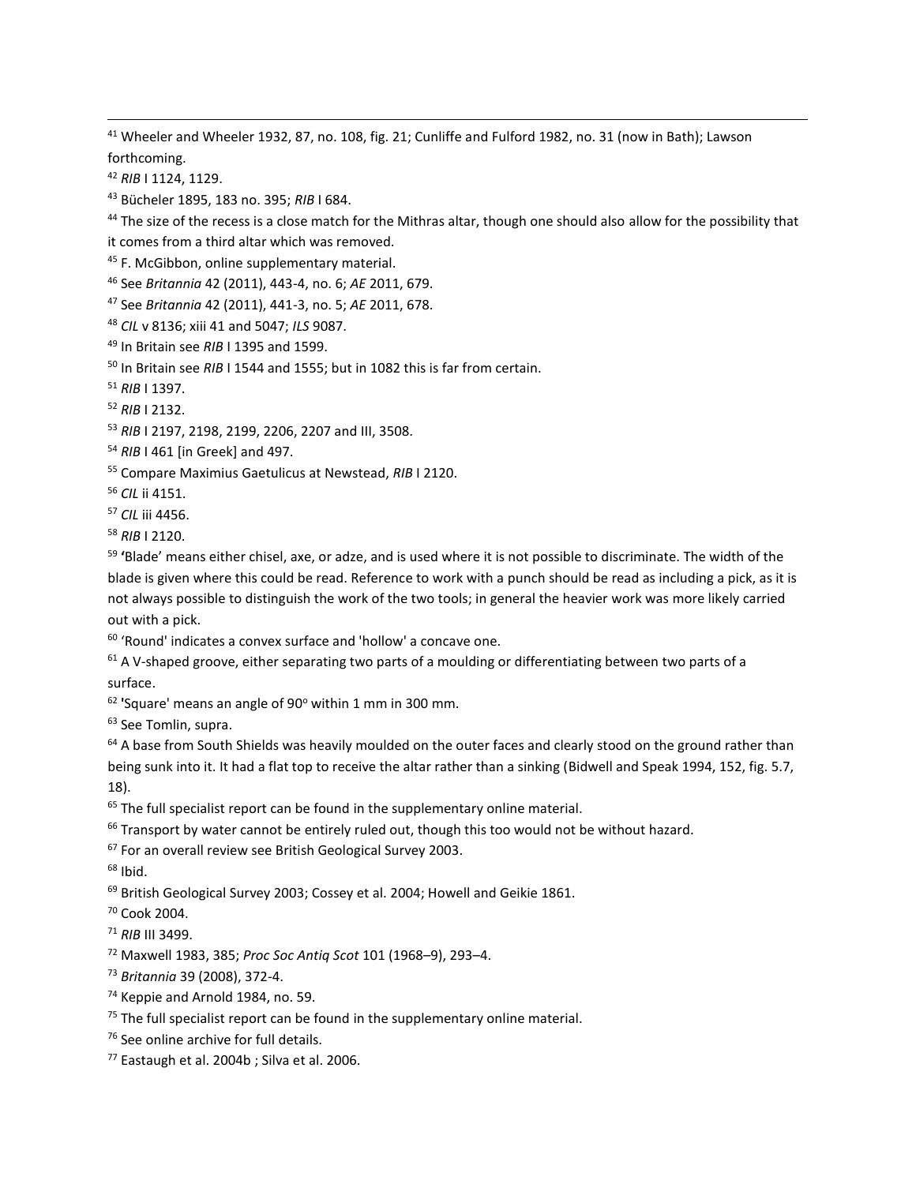Wheeler and Wheeler 1932, 87, no. 108, fig. 21; Cunliffe and Fulford 1982, no. 31 (now in Bath); Lawson forthcoming.

*RIB* I 1124, 1129.

 $\overline{\phantom{a}}$ 

Bücheler 1895, 183 no. 395; *RIB* I 684.

<sup>44</sup> The size of the recess is a close match for the Mithras altar, though one should also allow for the possibility that it comes from a third altar which was removed.

45 F. McGibbon, online supplementary material.

See *Britannia* 42 (2011), 443-4, no. 6; *AE* 2011, 679.

See *Britannia* 42 (2011), 441-3, no. 5; *AE* 2011, 678.

*CIL* v 8136; xiii 41 and 5047; *ILS* 9087.

In Britain see *RIB* I 1395 and 1599.

In Britain see *RIB* I 1544 and 1555; but in 1082 this is far from certain.

*RIB* I 1397.

*RIB* I 2132.

*RIB* I 2197, 2198, 2199, 2206, 2207 and III, 3508.

*RIB* I 461 [in Greek] and 497.

Compare Maximius Gaetulicus at Newstead, *RIB* I 2120.

*CIL* ii 4151.

*CIL* iii 4456.

*RIB* I 2120.

 **'**Blade' means either chisel, axe, or adze, and is used where it is not possible to discriminate. The width of the blade is given where this could be read. Reference to work with a punch should be read as including a pick, as it is not always possible to distinguish the work of the two tools; in general the heavier work was more likely carried out with a pick.

'Round' indicates a convex surface and 'hollow' a concave one.

 A V-shaped groove, either separating two parts of a moulding or differentiating between two parts of a surface.

<sup>62</sup> 'Square' means an angle of 90° within 1 mm in 300 mm.

<sup>63</sup> See Tomlin, supra.

 A base from South Shields was heavily moulded on the outer faces and clearly stood on the ground rather than being sunk into it. It had a flat top to receive the altar rather than a sinking (Bidwell and Speak 1994, 152, fig. 5.7, 18).

<sup>65</sup> The full specialist report can be found in the supplementary online material.

Transport by water cannot be entirely ruled out, though this too would not be without hazard.

For an overall review see British Geological Survey 2003.

Ibid.

<sup>69</sup> British Geological Survey 2003; Cossey et al. 2004; Howell and Geikie 1861.

Cook 2004.

*RIB* III 3499.

Maxwell 1983, 385; *Proc Soc Antiq Scot* 101 (1968–9), 293–4.

*Britannia* 39 (2008), 372-4.

Keppie and Arnold 1984, no. 59.

The full specialist report can be found in the supplementary online material.

See online archive for full details.

Eastaugh et al. 2004b ; Silva et al. 2006.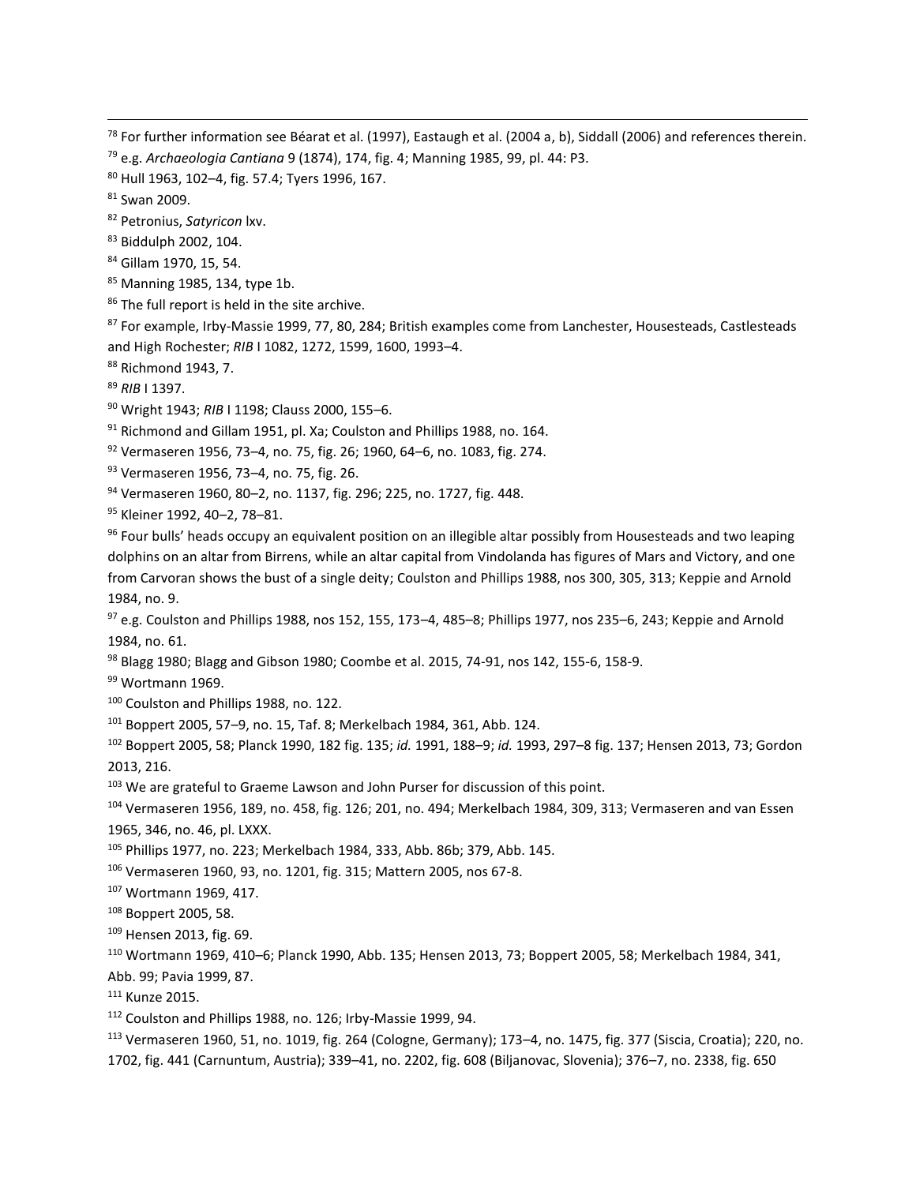For further information see Béarat et al. (1997), Eastaugh et al. (2004 a, b), Siddall (2006) and references therein. e.g. *Archaeologia Cantiana* 9 (1874), 174, fig. 4; Manning 1985, 99, pl. 44: P3.

Hull 1963, 102–4, fig. 57.4; Tyers 1996, 167.

Swan 2009.

 $\overline{\phantom{a}}$ 

Petronius, *Satyricon* lxv.

Biddulph 2002, 104.

Gillam 1970, 15, 54.

Manning 1985, 134, type 1b.

86 The full report is held in the site archive.

87 For example, Irby-Massie 1999, 77, 80, 284; British examples come from Lanchester, Housesteads, Castlesteads and High Rochester; *RIB* I 1082, 1272, 1599, 1600, 1993–4.

Richmond 1943, 7.

*RIB* I 1397.

Wright 1943; *RIB* I 1198; Clauss 2000, 155–6.

91 Richmond and Gillam 1951, pl. Xa; Coulston and Phillips 1988, no. 164.

Vermaseren 1956, 73–4, no. 75, fig. 26; 1960, 64–6, no. 1083, fig. 274.

93 Vermaseren 1956, 73-4, no. 75, fig. 26.

Vermaseren 1960, 80–2, no. 1137, fig. 296; 225, no. 1727, fig. 448.

Kleiner 1992, 40–2, 78–81.

<sup>96</sup> Four bulls' heads occupy an equivalent position on an illegible altar possibly from Housesteads and two leaping dolphins on an altar from Birrens, while an altar capital from Vindolanda has figures of Mars and Victory, and one from Carvoran shows the bust of a single deity; Coulston and Phillips 1988, nos 300, 305, 313; Keppie and Arnold 1984, no. 9.

 e.g. Coulston and Phillips 1988, nos 152, 155, 173–4, 485–8; Phillips 1977, nos 235–6, 243; Keppie and Arnold 1984, no. 61.

Blagg 1980; Blagg and Gibson 1980; Coombe et al. 2015, 74-91, nos 142, 155-6, 158-9.

99 Wortmann 1969.

100 Coulston and Phillips 1988, no. 122.

Boppert 2005, 57–9, no. 15, Taf. 8; Merkelbach 1984, 361, Abb. 124.

 Boppert 2005, 58; Planck 1990, 182 fig. 135; *id.* 1991, 188–9; *id.* 1993, 297–8 fig. 137; Hensen 2013, 73; Gordon 2013, 216.

We are grateful to Graeme Lawson and John Purser for discussion of this point.

 Vermaseren 1956, 189, no. 458, fig. 126; 201, no. 494; Merkelbach 1984, 309, 313; Vermaseren and van Essen 1965, 346, no. 46, pl. LXXX.

Phillips 1977, no. 223; Merkelbach 1984, 333, Abb. 86b; 379, Abb. 145.

Vermaseren 1960, 93, no. 1201, fig. 315; Mattern 2005, nos 67-8.

Wortmann 1969, 417.

Boppert 2005, 58.

Hensen 2013, fig. 69.

Wortmann 1969, 410–6; Planck 1990, Abb. 135; Hensen 2013, 73; Boppert 2005, 58; Merkelbach 1984, 341,

Abb. 99; Pavia 1999, 87.

Kunze 2015.

Coulston and Phillips 1988, no. 126; Irby-Massie 1999, 94.

 Vermaseren 1960, 51, no. 1019, fig. 264 (Cologne, Germany); 173–4, no. 1475, fig. 377 (Siscia, Croatia); 220, no. 1702, fig. 441 (Carnuntum, Austria); 339–41, no. 2202, fig. 608 (Biljanovac, Slovenia); 376–7, no. 2338, fig. 650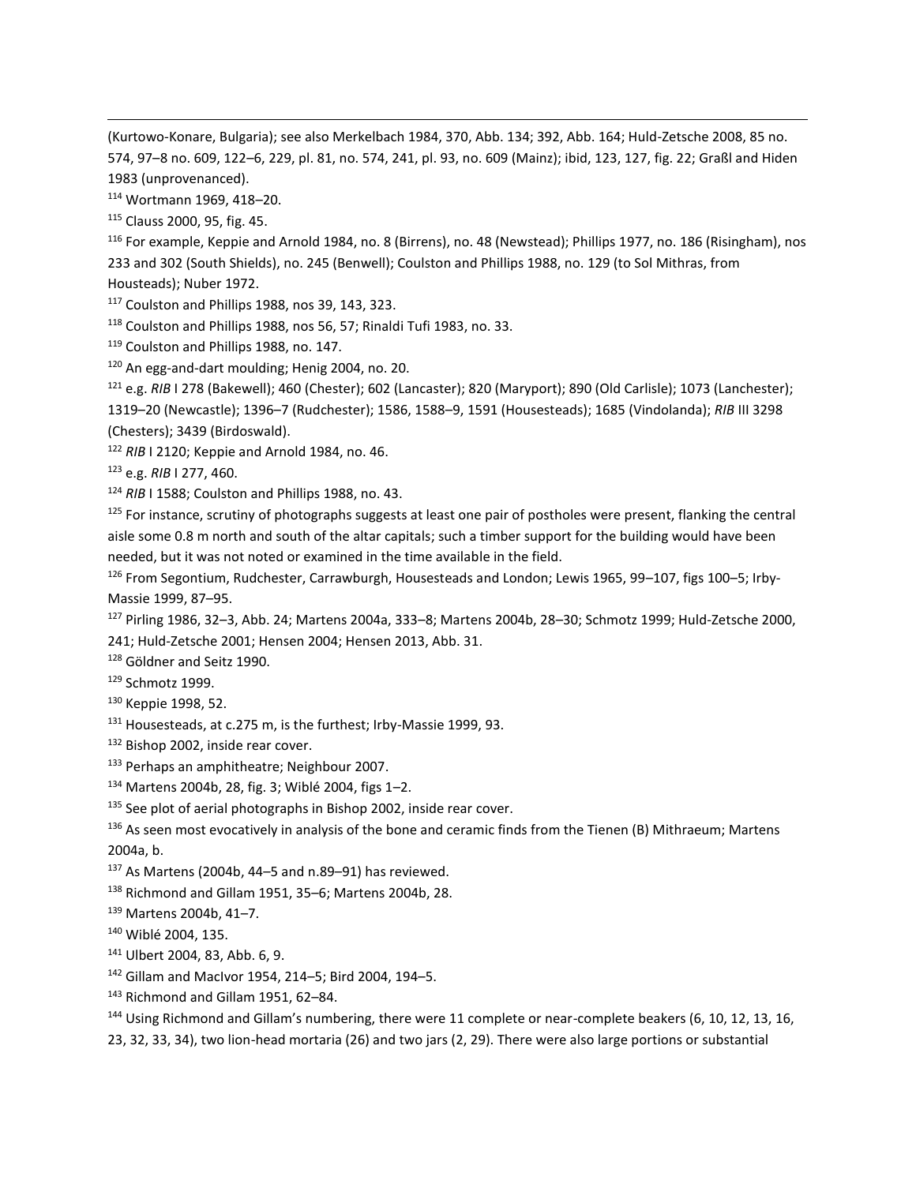(Kurtowo-Konare, Bulgaria); see also Merkelbach 1984, 370, Abb. 134; 392, Abb. 164; Huld-Zetsche 2008, 85 no. 574, 97–8 no. 609, 122–6, 229, pl. 81, no. 574, 241, pl. 93, no. 609 (Mainz); ibid, 123, 127, fig. 22; Graßl and Hiden 1983 (unprovenanced).

<sup>114</sup> Wortmann 1969, 418–20.

<sup>115</sup> Clauss 2000, 95, fig. 45.

 $\overline{\phantom{a}}$ 

<sup>116</sup> For example, Keppie and Arnold 1984, no. 8 (Birrens), no. 48 (Newstead); Phillips 1977, no. 186 (Risingham), nos 233 and 302 (South Shields), no. 245 (Benwell); Coulston and Phillips 1988, no. 129 (to Sol Mithras, from Housteads); Nuber 1972.

<sup>117</sup> Coulston and Phillips 1988, nos 39, 143, 323.

<sup>118</sup> Coulston and Phillips 1988, nos 56, 57; Rinaldi Tufi 1983, no. 33.

119 Coulston and Phillips 1988, no. 147.

<sup>120</sup> An egg-and-dart moulding; Henig 2004, no. 20.

<sup>121</sup> e.g. *RIB* I 278 (Bakewell); 460 (Chester); 602 (Lancaster); 820 (Maryport); 890 (Old Carlisle); 1073 (Lanchester);

1319–20 (Newcastle); 1396–7 (Rudchester); 1586, 1588–9, 1591 (Housesteads); 1685 (Vindolanda); *RIB* III 3298 (Chesters); 3439 (Birdoswald).

<sup>122</sup> *RIB* I 2120; Keppie and Arnold 1984, no. 46.

<sup>123</sup> e.g. *RIB* I 277, 460.

<sup>124</sup> *RIB* I 1588; Coulston and Phillips 1988, no. 43.

 $125$  For instance, scrutiny of photographs suggests at least one pair of postholes were present, flanking the central aisle some 0.8 m north and south of the altar capitals; such a timber support for the building would have been needed, but it was not noted or examined in the time available in the field.

<sup>126</sup> From Segontium, Rudchester, Carrawburgh, Housesteads and London; Lewis 1965, 99–107, figs 100–5; Irby-Massie 1999, 87–95.

<sup>127</sup> Pirling 1986, 32–3, Abb. 24; Martens 2004a, 333–8; Martens 2004b, 28–30; Schmotz 1999; Huld-Zetsche 2000, 241; Huld-Zetsche 2001; Hensen 2004; Hensen 2013, Abb. 31.

<sup>128</sup> Göldner and Seitz 1990.

<sup>129</sup> Schmotz 1999.

<sup>130</sup> Keppie 1998, 52.

131 Housesteads, at c.275 m, is the furthest; Irby-Massie 1999, 93.

<sup>132</sup> Bishop 2002, inside rear cover.

133 Perhaps an amphitheatre; Neighbour 2007.

<sup>134</sup> Martens 2004b, 28, fig. 3; Wiblé 2004, figs 1–2.

<sup>135</sup> See plot of aerial photographs in Bishop 2002, inside rear cover.

<sup>136</sup> As seen most evocatively in analysis of the bone and ceramic finds from the Tienen (B) Mithraeum; Martens 2004a, b.

<sup>137</sup> As Martens (2004b, 44–5 and n.89–91) has reviewed.

<sup>138</sup> Richmond and Gillam 1951, 35–6; Martens 2004b, 28.

<sup>139</sup> Martens 2004b, 41–7.

<sup>140</sup> Wiblé 2004, 135.

<sup>141</sup> Ulbert 2004, 83, Abb. 6, 9.

<sup>142</sup> Gillam and MacIvor 1954, 214–5; Bird 2004, 194–5.

<sup>143</sup> Richmond and Gillam 1951, 62–84.

<sup>144</sup> Using Richmond and Gillam's numbering, there were 11 complete or near-complete beakers (6, 10, 12, 13, 16,

23, 32, 33, 34), two lion-head mortaria (26) and two jars (2, 29). There were also large portions or substantial